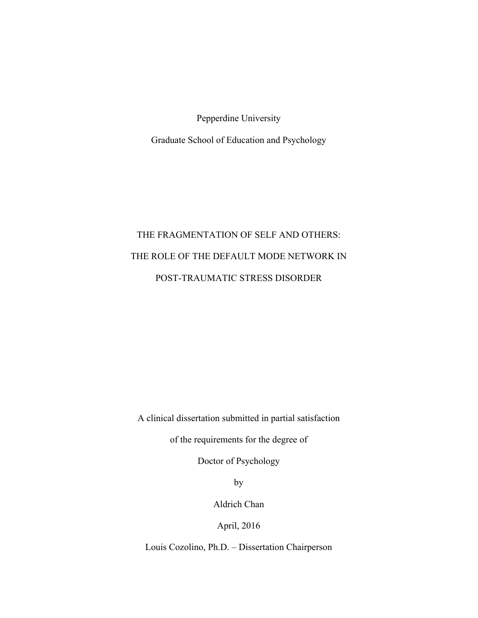Pepperdine University

Graduate School of Education and Psychology

# THE FRAGMENTATION OF SELF AND OTHERS: THE ROLE OF THE DEFAULT MODE NETWORK IN POST-TRAUMATIC STRESS DISORDER

A clinical dissertation submitted in partial satisfaction

of the requirements for the degree of

Doctor of Psychology

by

Aldrich Chan

April, 2016

Louis Cozolino, Ph.D. – Dissertation Chairperson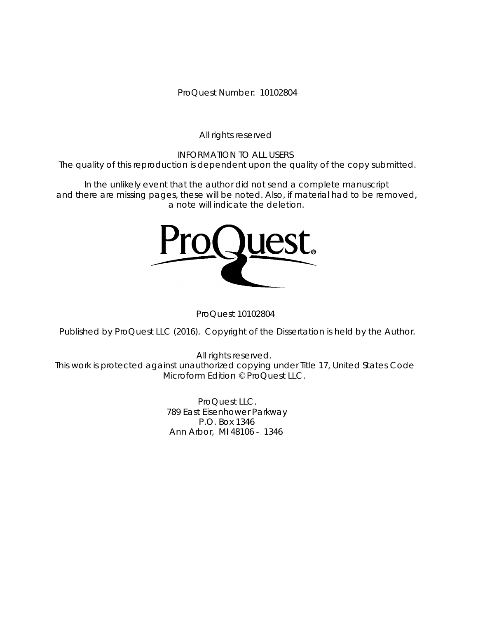ProQuest Number: 10102804

All rights reserved

INFORMATION TO ALL USERS The quality of this reproduction is dependent upon the quality of the copy submitted.

In the unlikely event that the author did not send a complete manuscript and there are missing pages, these will be noted. Also, if material had to be removed, a note will indicate the deletion.



ProQuest 10102804

Published by ProQuest LLC (2016). Copyright of the Dissertation is held by the Author.

All rights reserved. This work is protected against unauthorized copying under Title 17, United States Code Microform Edition © ProQuest LLC.

> ProQuest LLC. 789 East Eisenhower Parkway P.O. Box 1346 Ann Arbor, MI 48106 - 1346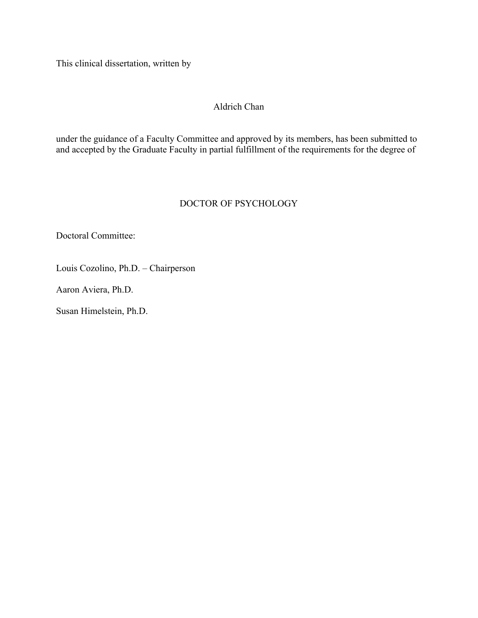This clinical dissertation, written by

# Aldrich Chan

under the guidance of a Faculty Committee and approved by its members, has been submitted to and accepted by the Graduate Faculty in partial fulfillment of the requirements for the degree of

# DOCTOR OF PSYCHOLOGY

Doctoral Committee:

Louis Cozolino, Ph.D. – Chairperson

Aaron Aviera, Ph.D.

Susan Himelstein, Ph.D.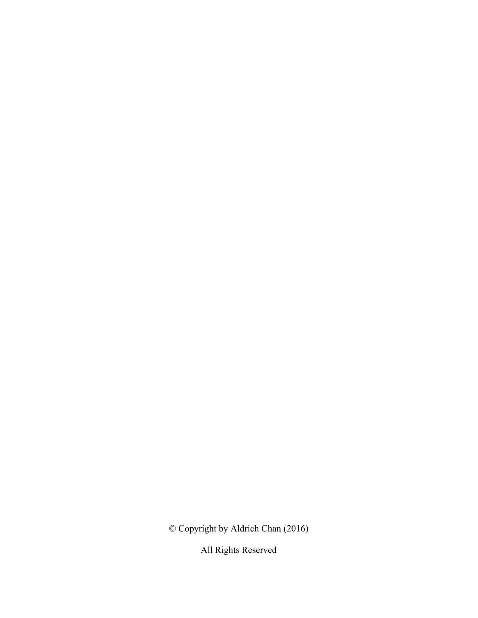© Copyright by Aldrich Chan (2016)

All Rights Reserved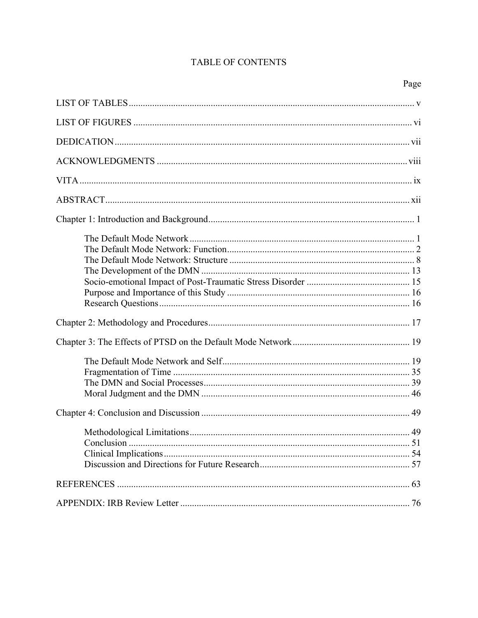# TABLE OF CONTENTS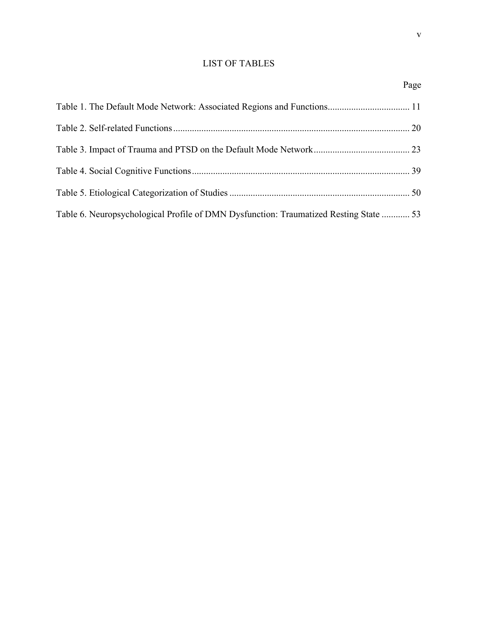# LIST OF TABLES

| Table 6. Neuropsychological Profile of DMN Dysfunction: Traumatized Resting State  53 |  |
|---------------------------------------------------------------------------------------|--|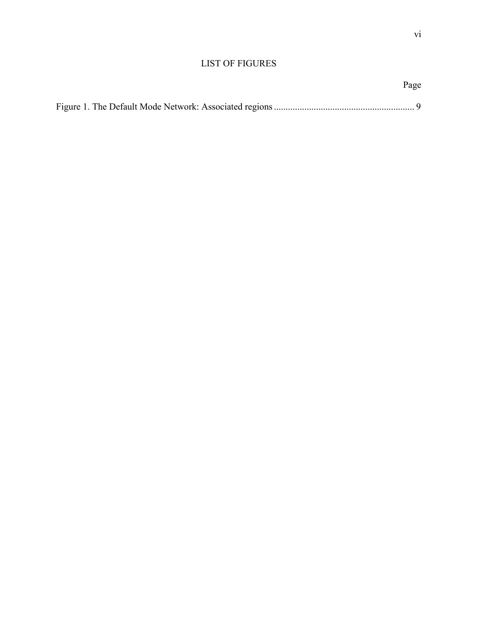Page

# LIST OF FIGURES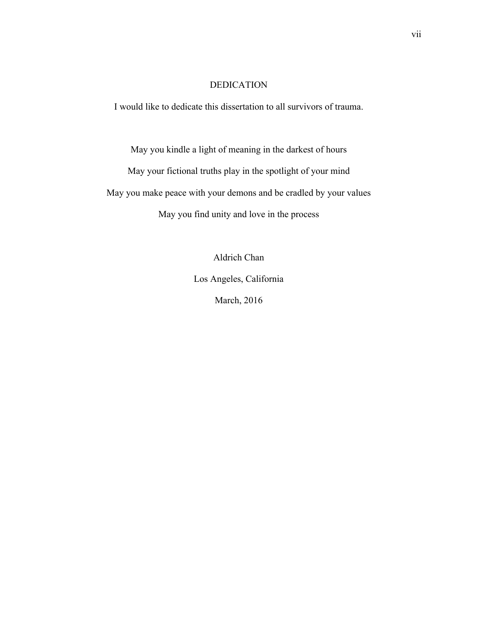# DEDICATION

I would like to dedicate this dissertation to all survivors of trauma.

May you kindle a light of meaning in the darkest of hours

May your fictional truths play in the spotlight of your mind May you make peace with your demons and be cradled by your values May you find unity and love in the process

> Aldrich Chan Los Angeles, California March, 2016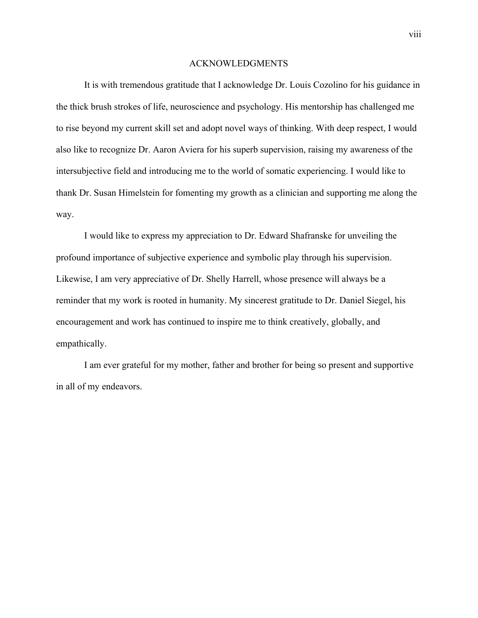#### ACKNOWLEDGMENTS

It is with tremendous gratitude that I acknowledge Dr. Louis Cozolino for his guidance in the thick brush strokes of life, neuroscience and psychology. His mentorship has challenged me to rise beyond my current skill set and adopt novel ways of thinking. With deep respect, I would also like to recognize Dr. Aaron Aviera for his superb supervision, raising my awareness of the intersubjective field and introducing me to the world of somatic experiencing. I would like to thank Dr. Susan Himelstein for fomenting my growth as a clinician and supporting me along the way.

I would like to express my appreciation to Dr. Edward Shafranske for unveiling the profound importance of subjective experience and symbolic play through his supervision. Likewise, I am very appreciative of Dr. Shelly Harrell, whose presence will always be a reminder that my work is rooted in humanity. My sincerest gratitude to Dr. Daniel Siegel, his encouragement and work has continued to inspire me to think creatively, globally, and empathically.

I am ever grateful for my mother, father and brother for being so present and supportive in all of my endeavors.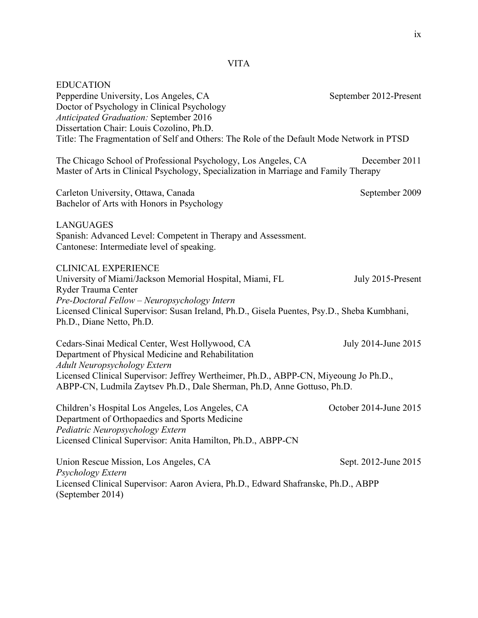| <b>EDUCATION</b><br>Pepperdine University, Los Angeles, CA<br>Doctor of Psychology in Clinical Psychology<br><b>Anticipated Graduation: September 2016</b><br>Dissertation Chair: Louis Cozolino, Ph.D.<br>Title: The Fragmentation of Self and Others: The Role of the Default Mode Network in PTSD | September 2012-Present |
|------------------------------------------------------------------------------------------------------------------------------------------------------------------------------------------------------------------------------------------------------------------------------------------------------|------------------------|
| The Chicago School of Professional Psychology, Los Angeles, CA<br>Master of Arts in Clinical Psychology, Specialization in Marriage and Family Therapy                                                                                                                                               | December 2011          |
| Carleton University, Ottawa, Canada<br>Bachelor of Arts with Honors in Psychology                                                                                                                                                                                                                    | September 2009         |
| <b>LANGUAGES</b><br>Spanish: Advanced Level: Competent in Therapy and Assessment.<br>Cantonese: Intermediate level of speaking.                                                                                                                                                                      |                        |
| <b>CLINICAL EXPERIENCE</b><br>University of Miami/Jackson Memorial Hospital, Miami, FL<br>Ryder Trauma Center<br>Pre-Doctoral Fellow - Neuropsychology Intern<br>Licensed Clinical Supervisor: Susan Ireland, Ph.D., Gisela Puentes, Psy.D., Sheba Kumbhani,<br>Ph.D., Diane Netto, Ph.D.            | July 2015-Present      |
| Cedars-Sinai Medical Center, West Hollywood, CA<br>Department of Physical Medicine and Rehabilitation<br>Adult Neuropsychology Extern                                                                                                                                                                | July 2014-June 2015    |
| Licensed Clinical Supervisor: Jeffrey Wertheimer, Ph.D., ABPP-CN, Miyeoung Jo Ph.D.,<br>ABPP-CN, Ludmila Zaytsev Ph.D., Dale Sherman, Ph.D, Anne Gottuso, Ph.D.                                                                                                                                      |                        |
| Children's Hospital Los Angeles, Los Angeles, CA<br>Department of Orthopaedics and Sports Medicine<br>Pediatric Neuropsychology Extern<br>Licensed Clinical Supervisor: Anita Hamilton, Ph.D., ABPP-CN                                                                                               | October 2014-June 2015 |
| Union Rescue Mission, Los Angeles, CA<br>Psychology Extern<br>Licensed Clinical Supervisor: Aaron Aviera, Ph.D., Edward Shafranske, Ph.D., ABPP                                                                                                                                                      | Sept. 2012-June 2015   |
| (September 2014)                                                                                                                                                                                                                                                                                     |                        |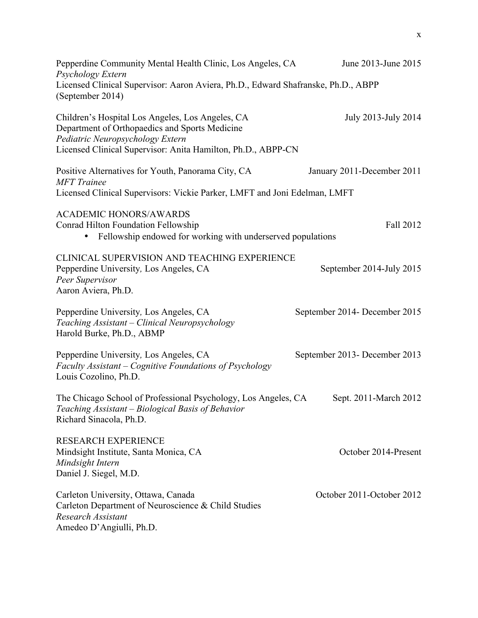| Pepperdine Community Mental Health Clinic, Los Angeles, CA<br>Psychology Extern                                                                                                                        | June 2013-June 2015           |
|--------------------------------------------------------------------------------------------------------------------------------------------------------------------------------------------------------|-------------------------------|
| Licensed Clinical Supervisor: Aaron Aviera, Ph.D., Edward Shafranske, Ph.D., ABPP<br>(September 2014)                                                                                                  |                               |
| Children's Hospital Los Angeles, Los Angeles, CA<br>Department of Orthopaedics and Sports Medicine<br>Pediatric Neuropsychology Extern<br>Licensed Clinical Supervisor: Anita Hamilton, Ph.D., ABPP-CN | July 2013-July 2014           |
| Positive Alternatives for Youth, Panorama City, CA<br><b>MFT</b> Trainee<br>Licensed Clinical Supervisors: Vickie Parker, LMFT and Joni Edelman, LMFT                                                  | January 2011-December 2011    |
| <b>ACADEMIC HONORS/AWARDS</b><br><b>Conrad Hilton Foundation Fellowship</b><br>Fellowship endowed for working with underserved populations<br>$\bullet$                                                | Fall 2012                     |
| CLINICAL SUPERVISION AND TEACHING EXPERIENCE<br>Pepperdine University, Los Angeles, CA<br>Peer Supervisor<br>Aaron Aviera, Ph.D.                                                                       | September 2014-July 2015      |
| Pepperdine University, Los Angeles, CA<br>Teaching Assistant - Clinical Neuropsychology<br>Harold Burke, Ph.D., ABMP                                                                                   | September 2014- December 2015 |
| Pepperdine University, Los Angeles, CA<br>Faculty Assistant – Cognitive Foundations of Psychology<br>Louis Cozolino, Ph.D.                                                                             | September 2013- December 2013 |
| The Chicago School of Professional Psychology, Los Angeles, CA<br>Teaching Assistant - Biological Basis of Behavior<br>Richard Sinacola, Ph.D.                                                         | Sept. 2011-March 2012         |
| <b>RESEARCH EXPERIENCE</b><br>Mindsight Institute, Santa Monica, CA<br>Mindsight Intern<br>Daniel J. Siegel, M.D.                                                                                      | October 2014-Present          |
| Carleton University, Ottawa, Canada<br>Carleton Department of Neuroscience & Child Studies<br>Research Assistant<br>Amedeo D'Angiulli, Ph.D.                                                           | October 2011-October 2012     |

x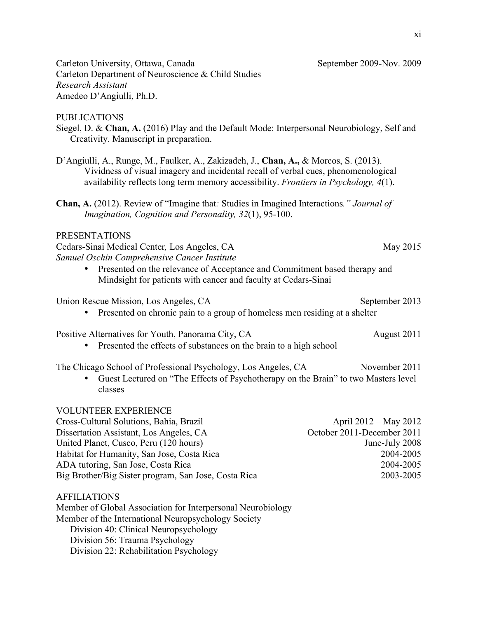Carleton University, Ottawa, Canada September 2009-Nov. 2009 Carleton Department of Neuroscience & Child Studies *Research Assistant*  Amedeo D'Angiulli, Ph.D.

PUBLICATIONS

Siegel, D. & **Chan, A.** (2016) Play and the Default Mode: Interpersonal Neurobiology, Self and Creativity. Manuscript in preparation.

- D'Angiulli, A., Runge, M., Faulker, A., Zakizadeh, J., **Chan, A.,** & Morcos, S. (2013). Vividness of visual imagery and incidental recall of verbal cues, phenomenological availability reflects long term memory accessibility. *Frontiers in Psychology, 4*(1).
- **Chan, A.** (2012). Review of "Imagine that*:* Studies in Imagined Interactions*." Journal of Imagination, Cognition and Personality, 32*(1), 95-100.

## PRESENTATIONS

Cedars-Sinai Medical Center*,* Los Angeles, CA May 2015 *Samuel Oschin Comprehensive Cancer Institute* 

• Presented on the relevance of Acceptance and Commitment based therapy and Mindsight for patients with cancer and faculty at Cedars-Sinai

## Union Rescue Mission, Los Angeles, CA September 2013

• Presented on chronic pain to a group of homeless men residing at a shelter

Positive Alternatives for Youth, Panorama City, CA August 2011

• Presented the effects of substances on the brain to a high school

The Chicago School of Professional Psychology, Los Angeles, CA November 2011

• Guest Lectured on "The Effects of Psychotherapy on the Brain" to two Masters level classes

# VOLUNTEER EXPERIENCE

| Cross-Cultural Solutions, Bahia, Brazil              | April $2012 -$ May $2012$  |
|------------------------------------------------------|----------------------------|
| Dissertation Assistant, Los Angeles, CA              | October 2011-December 2011 |
| United Planet, Cusco, Peru (120 hours)               | June-July 2008             |
| Habitat for Humanity, San Jose, Costa Rica           | 2004-2005                  |
| ADA tutoring, San Jose, Costa Rica                   | 2004-2005                  |
| Big Brother/Big Sister program, San Jose, Costa Rica | 2003-2005                  |

# AFFILIATIONS

Member of Global Association for Interpersonal Neurobiology Member of the International Neuropsychology Society Division 40: Clinical Neuropsychology Division 56: Trauma Psychology Division 22: Rehabilitation Psychology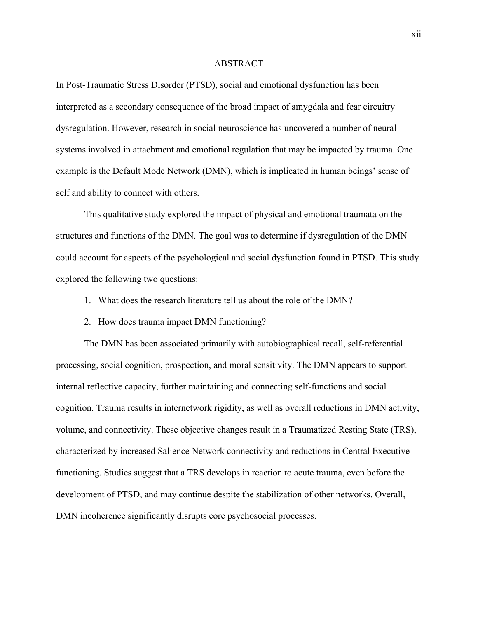#### ABSTRACT

In Post-Traumatic Stress Disorder (PTSD), social and emotional dysfunction has been interpreted as a secondary consequence of the broad impact of amygdala and fear circuitry dysregulation. However, research in social neuroscience has uncovered a number of neural systems involved in attachment and emotional regulation that may be impacted by trauma. One example is the Default Mode Network (DMN), which is implicated in human beings' sense of self and ability to connect with others.

This qualitative study explored the impact of physical and emotional traumata on the structures and functions of the DMN. The goal was to determine if dysregulation of the DMN could account for aspects of the psychological and social dysfunction found in PTSD. This study explored the following two questions:

- 1. What does the research literature tell us about the role of the DMN?
- 2. How does trauma impact DMN functioning?

The DMN has been associated primarily with autobiographical recall, self-referential processing, social cognition, prospection, and moral sensitivity. The DMN appears to support internal reflective capacity, further maintaining and connecting self-functions and social cognition. Trauma results in internetwork rigidity, as well as overall reductions in DMN activity, volume, and connectivity. These objective changes result in a Traumatized Resting State (TRS), characterized by increased Salience Network connectivity and reductions in Central Executive functioning. Studies suggest that a TRS develops in reaction to acute trauma, even before the development of PTSD, and may continue despite the stabilization of other networks. Overall, DMN incoherence significantly disrupts core psychosocial processes.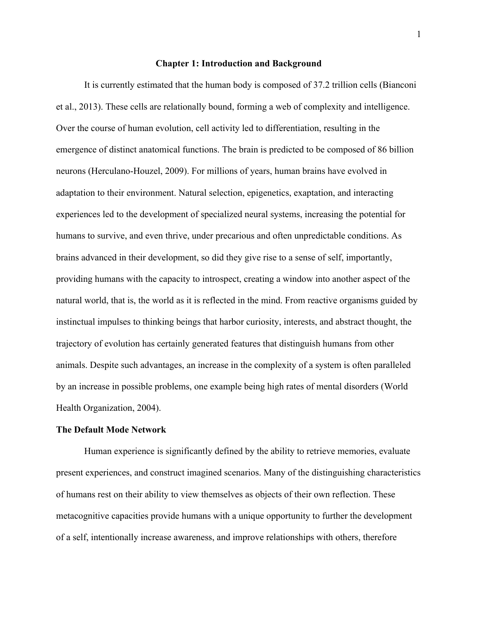#### **Chapter 1: Introduction and Background**

It is currently estimated that the human body is composed of 37.2 trillion cells (Bianconi et al., 2013). These cells are relationally bound, forming a web of complexity and intelligence. Over the course of human evolution, cell activity led to differentiation, resulting in the emergence of distinct anatomical functions. The brain is predicted to be composed of 86 billion neurons (Herculano-Houzel, 2009). For millions of years, human brains have evolved in adaptation to their environment. Natural selection, epigenetics, exaptation, and interacting experiences led to the development of specialized neural systems, increasing the potential for humans to survive, and even thrive, under precarious and often unpredictable conditions. As brains advanced in their development, so did they give rise to a sense of self, importantly, providing humans with the capacity to introspect, creating a window into another aspect of the natural world, that is, the world as it is reflected in the mind. From reactive organisms guided by instinctual impulses to thinking beings that harbor curiosity, interests, and abstract thought, the trajectory of evolution has certainly generated features that distinguish humans from other animals. Despite such advantages, an increase in the complexity of a system is often paralleled by an increase in possible problems, one example being high rates of mental disorders (World Health Organization, 2004).

#### **The Default Mode Network**

Human experience is significantly defined by the ability to retrieve memories, evaluate present experiences, and construct imagined scenarios. Many of the distinguishing characteristics of humans rest on their ability to view themselves as objects of their own reflection. These metacognitive capacities provide humans with a unique opportunity to further the development of a self, intentionally increase awareness, and improve relationships with others, therefore

1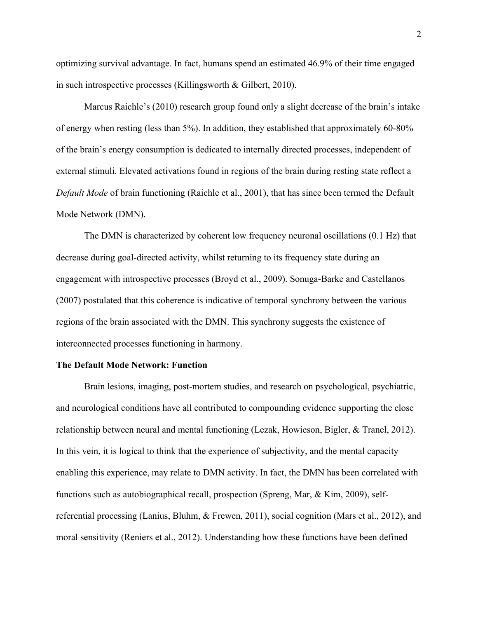optimizing survival advantage. In fact, humans spend an estimated 46.9% of their time engaged in such introspective processes (Killingsworth & Gilbert, 2010).

Marcus Raichle's (2010) research group found only a slight decrease of the brain's intake of energy when resting (less than 5%). In addition, they established that approximately 60-80% of the brain's energy consumption is dedicated to internally directed processes, independent of external stimuli. Elevated activations found in regions of the brain during resting state reflect a *Default Mode* of brain functioning (Raichle et al., 2001), that has since been termed the Default Mode Network (DMN).

The DMN is characterized by coherent low frequency neuronal oscillations (0.1 Hz) that decrease during goal-directed activity, whilst returning to its frequency state during an engagement with introspective processes (Broyd et al., 2009). Sonuga-Barke and Castellanos (2007) postulated that this coherence is indicative of temporal synchrony between the various regions of the brain associated with the DMN. This synchrony suggests the existence of interconnected processes functioning in harmony.

#### **The Default Mode Network: Function**

Brain lesions, imaging, post-mortem studies, and research on psychological, psychiatric, and neurological conditions have all contributed to compounding evidence supporting the close relationship between neural and mental functioning (Lezak, Howieson, Bigler, & Tranel, 2012). In this vein, it is logical to think that the experience of subjectivity, and the mental capacity enabling this experience, may relate to DMN activity. In fact, the DMN has been correlated with functions such as autobiographical recall, prospection (Spreng, Mar, & Kim, 2009), selfreferential processing (Lanius, Bluhm, & Frewen, 2011), social cognition (Mars et al., 2012), and moral sensitivity (Reniers et al., 2012). Understanding how these functions have been defined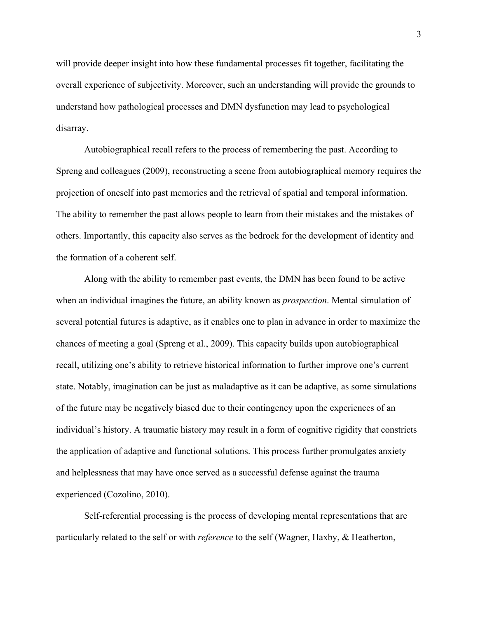will provide deeper insight into how these fundamental processes fit together, facilitating the overall experience of subjectivity. Moreover, such an understanding will provide the grounds to understand how pathological processes and DMN dysfunction may lead to psychological disarray.

Autobiographical recall refers to the process of remembering the past. According to Spreng and colleagues (2009), reconstructing a scene from autobiographical memory requires the projection of oneself into past memories and the retrieval of spatial and temporal information. The ability to remember the past allows people to learn from their mistakes and the mistakes of others. Importantly, this capacity also serves as the bedrock for the development of identity and the formation of a coherent self.

Along with the ability to remember past events, the DMN has been found to be active when an individual imagines the future, an ability known as *prospection*. Mental simulation of several potential futures is adaptive, as it enables one to plan in advance in order to maximize the chances of meeting a goal (Spreng et al., 2009). This capacity builds upon autobiographical recall, utilizing one's ability to retrieve historical information to further improve one's current state. Notably, imagination can be just as maladaptive as it can be adaptive, as some simulations of the future may be negatively biased due to their contingency upon the experiences of an individual's history. A traumatic history may result in a form of cognitive rigidity that constricts the application of adaptive and functional solutions. This process further promulgates anxiety and helplessness that may have once served as a successful defense against the trauma experienced (Cozolino, 2010).

Self-referential processing is the process of developing mental representations that are particularly related to the self or with *reference* to the self (Wagner, Haxby, & Heatherton,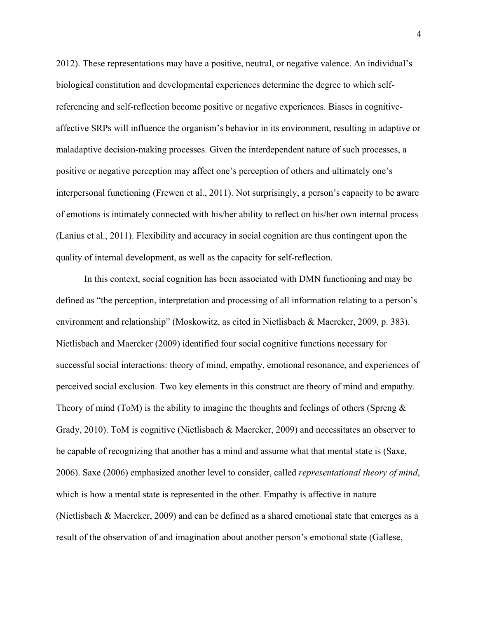2012). These representations may have a positive, neutral, or negative valence. An individual's biological constitution and developmental experiences determine the degree to which selfreferencing and self-reflection become positive or negative experiences. Biases in cognitiveaffective SRPs will influence the organism's behavior in its environment, resulting in adaptive or maladaptive decision-making processes. Given the interdependent nature of such processes, a positive or negative perception may affect one's perception of others and ultimately one's interpersonal functioning (Frewen et al., 2011). Not surprisingly, a person's capacity to be aware of emotions is intimately connected with his/her ability to reflect on his/her own internal process (Lanius et al., 2011). Flexibility and accuracy in social cognition are thus contingent upon the quality of internal development, as well as the capacity for self-reflection.

In this context, social cognition has been associated with DMN functioning and may be defined as "the perception, interpretation and processing of all information relating to a person's environment and relationship" (Moskowitz, as cited in Nietlisbach & Maercker, 2009, p. 383). Nietlisbach and Maercker (2009) identified four social cognitive functions necessary for successful social interactions: theory of mind, empathy, emotional resonance, and experiences of perceived social exclusion. Two key elements in this construct are theory of mind and empathy. Theory of mind (ToM) is the ability to imagine the thoughts and feelings of others (Spreng  $\&$ Grady, 2010). ToM is cognitive (Nietlisbach & Maercker, 2009) and necessitates an observer to be capable of recognizing that another has a mind and assume what that mental state is (Saxe, 2006). Saxe (2006) emphasized another level to consider, called *representational theory of mind*, which is how a mental state is represented in the other. Empathy is affective in nature (Nietlisbach & Maercker, 2009) and can be defined as a shared emotional state that emerges as a result of the observation of and imagination about another person's emotional state (Gallese,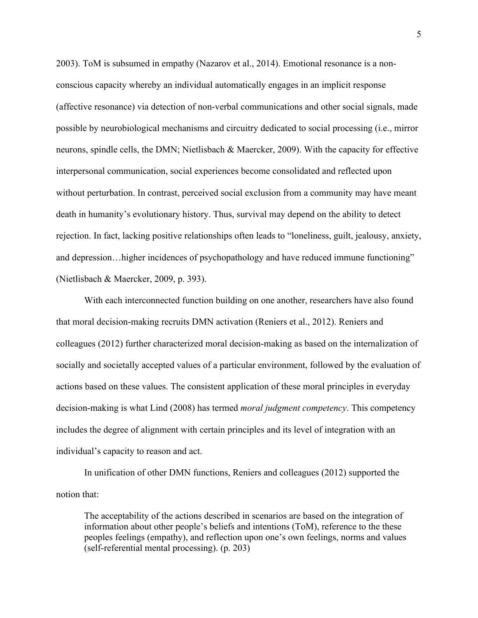2003). ToM is subsumed in empathy (Nazarov et al., 2014). Emotional resonance is a nonconscious capacity whereby an individual automatically engages in an implicit response (affective resonance) via detection of non-verbal communications and other social signals, made possible by neurobiological mechanisms and circuitry dedicated to social processing (i.e., mirror neurons, spindle cells, the DMN; Nietlisbach & Maercker, 2009). With the capacity for effective interpersonal communication, social experiences become consolidated and reflected upon without perturbation. In contrast, perceived social exclusion from a community may have meant death in humanity's evolutionary history. Thus, survival may depend on the ability to detect rejection. In fact, lacking positive relationships often leads to "loneliness, guilt, jealousy, anxiety, and depression…higher incidences of psychopathology and have reduced immune functioning" (Nietlisbach & Maercker, 2009, p. 393).

With each interconnected function building on one another, researchers have also found that moral decision-making recruits DMN activation (Reniers et al., 2012). Reniers and colleagues (2012) further characterized moral decision-making as based on the internalization of socially and societally accepted values of a particular environment, followed by the evaluation of actions based on these values. The consistent application of these moral principles in everyday decision-making is what Lind (2008) has termed *moral judgment competency*. This competency includes the degree of alignment with certain principles and its level of integration with an individual's capacity to reason and act.

In unification of other DMN functions, Reniers and colleagues (2012) supported the notion that:

The acceptability of the actions described in scenarios are based on the integration of information about other people's beliefs and intentions (ToM), reference to the these peoples feelings (empathy), and reflection upon one's own feelings, norms and values (self-referential mental processing). (p. 203)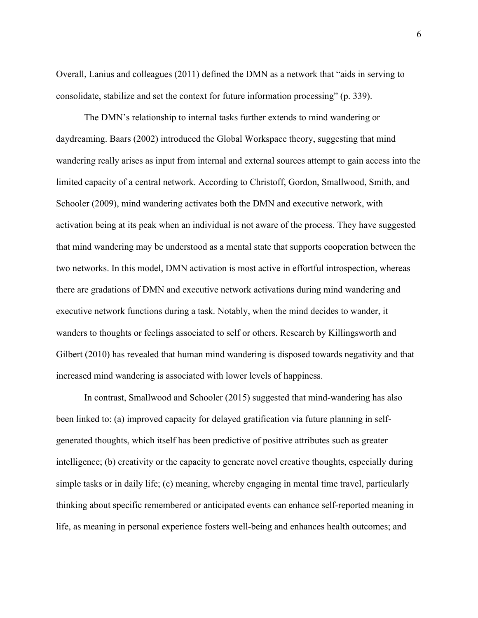Overall, Lanius and colleagues (2011) defined the DMN as a network that "aids in serving to consolidate, stabilize and set the context for future information processing" (p. 339).

The DMN's relationship to internal tasks further extends to mind wandering or daydreaming. Baars (2002) introduced the Global Workspace theory, suggesting that mind wandering really arises as input from internal and external sources attempt to gain access into the limited capacity of a central network. According to Christoff, Gordon, Smallwood, Smith, and Schooler (2009), mind wandering activates both the DMN and executive network, with activation being at its peak when an individual is not aware of the process. They have suggested that mind wandering may be understood as a mental state that supports cooperation between the two networks. In this model, DMN activation is most active in effortful introspection, whereas there are gradations of DMN and executive network activations during mind wandering and executive network functions during a task. Notably, when the mind decides to wander, it wanders to thoughts or feelings associated to self or others. Research by Killingsworth and Gilbert (2010) has revealed that human mind wandering is disposed towards negativity and that increased mind wandering is associated with lower levels of happiness.

In contrast, Smallwood and Schooler (2015) suggested that mind-wandering has also been linked to: (a) improved capacity for delayed gratification via future planning in selfgenerated thoughts, which itself has been predictive of positive attributes such as greater intelligence; (b) creativity or the capacity to generate novel creative thoughts, especially during simple tasks or in daily life; (c) meaning, whereby engaging in mental time travel, particularly thinking about specific remembered or anticipated events can enhance self-reported meaning in life, as meaning in personal experience fosters well-being and enhances health outcomes; and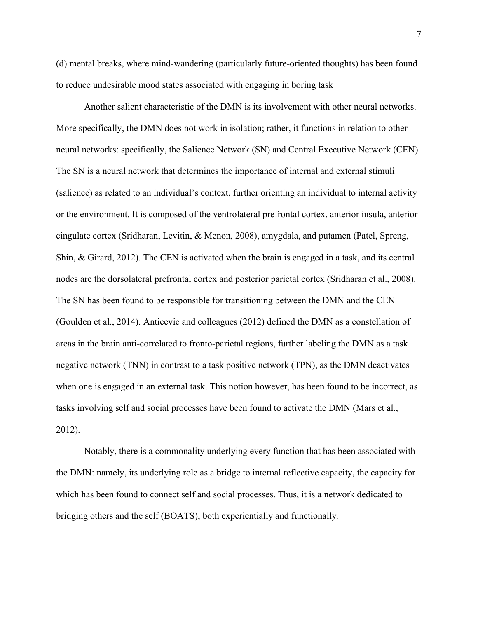(d) mental breaks, where mind-wandering (particularly future-oriented thoughts) has been found to reduce undesirable mood states associated with engaging in boring task

Another salient characteristic of the DMN is its involvement with other neural networks. More specifically, the DMN does not work in isolation; rather, it functions in relation to other neural networks: specifically, the Salience Network (SN) and Central Executive Network (CEN). The SN is a neural network that determines the importance of internal and external stimuli (salience) as related to an individual's context, further orienting an individual to internal activity or the environment. It is composed of the ventrolateral prefrontal cortex, anterior insula, anterior cingulate cortex (Sridharan, Levitin, & Menon, 2008), amygdala, and putamen (Patel, Spreng, Shin, & Girard, 2012). The CEN is activated when the brain is engaged in a task, and its central nodes are the dorsolateral prefrontal cortex and posterior parietal cortex (Sridharan et al., 2008). The SN has been found to be responsible for transitioning between the DMN and the CEN (Goulden et al., 2014). Anticevic and colleagues (2012) defined the DMN as a constellation of areas in the brain anti-correlated to fronto-parietal regions, further labeling the DMN as a task negative network (TNN) in contrast to a task positive network (TPN), as the DMN deactivates when one is engaged in an external task. This notion however, has been found to be incorrect, as tasks involving self and social processes have been found to activate the DMN (Mars et al., 2012).

Notably, there is a commonality underlying every function that has been associated with the DMN: namely, its underlying role as a bridge to internal reflective capacity, the capacity for which has been found to connect self and social processes. Thus, it is a network dedicated to bridging others and the self (BOATS), both experientially and functionally*.*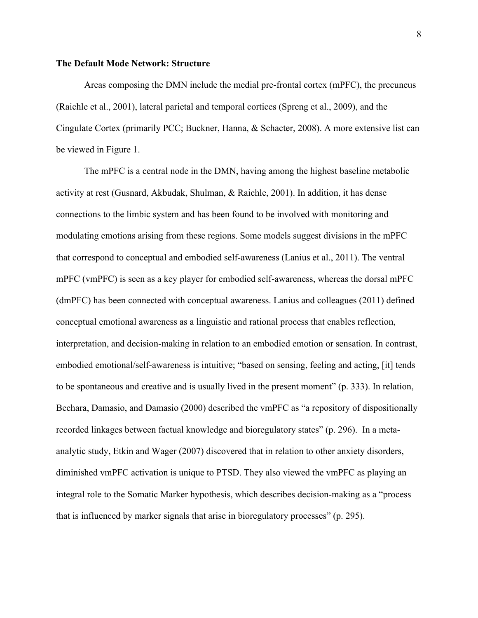#### **The Default Mode Network: Structure**

Areas composing the DMN include the medial pre-frontal cortex (mPFC), the precuneus (Raichle et al., 2001), lateral parietal and temporal cortices (Spreng et al., 2009), and the Cingulate Cortex (primarily PCC; Buckner, Hanna, & Schacter, 2008). A more extensive list can be viewed in Figure 1.

The mPFC is a central node in the DMN, having among the highest baseline metabolic activity at rest (Gusnard, Akbudak, Shulman, & Raichle, 2001). In addition, it has dense connections to the limbic system and has been found to be involved with monitoring and modulating emotions arising from these regions. Some models suggest divisions in the mPFC that correspond to conceptual and embodied self-awareness (Lanius et al., 2011). The ventral mPFC (vmPFC) is seen as a key player for embodied self-awareness, whereas the dorsal mPFC (dmPFC) has been connected with conceptual awareness. Lanius and colleagues (2011) defined conceptual emotional awareness as a linguistic and rational process that enables reflection, interpretation, and decision-making in relation to an embodied emotion or sensation. In contrast, embodied emotional/self-awareness is intuitive; "based on sensing, feeling and acting, [it] tends to be spontaneous and creative and is usually lived in the present moment" (p. 333). In relation, Bechara, Damasio, and Damasio (2000) described the vmPFC as "a repository of dispositionally recorded linkages between factual knowledge and bioregulatory states" (p. 296). In a metaanalytic study, Etkin and Wager (2007) discovered that in relation to other anxiety disorders, diminished vmPFC activation is unique to PTSD. They also viewed the vmPFC as playing an integral role to the Somatic Marker hypothesis, which describes decision-making as a "process that is influenced by marker signals that arise in bioregulatory processes" (p. 295).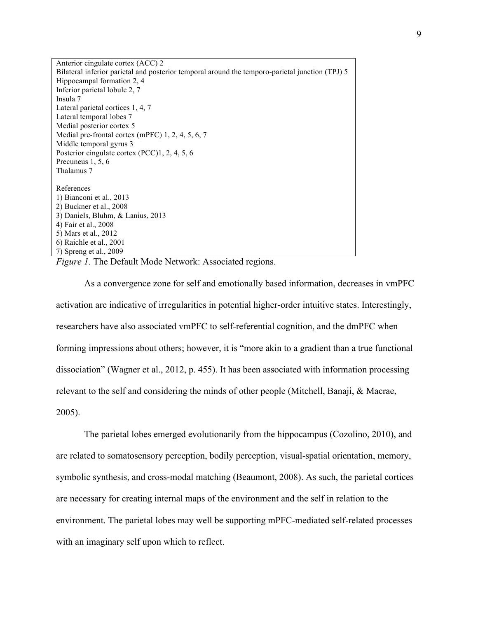Anterior cingulate cortex (ACC) 2 Bilateral inferior parietal and posterior temporal around the temporo-parietal junction (TPJ) 5 Hippocampal formation 2, 4 Inferior parietal lobule 2, 7 Insula 7 Lateral parietal cortices 1, 4, 7 Lateral temporal lobes 7 Medial posterior cortex 5 Medial pre-frontal cortex (mPFC) 1, 2, 4, 5, 6, 7 Middle temporal gyrus 3 Posterior cingulate cortex (PCC)1, 2, 4, 5, 6 Precuneus 1, 5, 6 Thalamus 7 References 1) Bianconi et al., 2013 2) Buckner et al., 2008 3) Daniels, Bluhm, & Lanius, 2013 4) Fair et al., 2008 5) Mars et al., 2012 6) Raichle et al., 2001 7) Spreng et al., 2009

*Figure 1.* The Default Mode Network: Associated regions.

As a convergence zone for self and emotionally based information, decreases in vmPFC activation are indicative of irregularities in potential higher-order intuitive states. Interestingly, researchers have also associated vmPFC to self-referential cognition, and the dmPFC when forming impressions about others; however, it is "more akin to a gradient than a true functional dissociation" (Wagner et al., 2012, p. 455). It has been associated with information processing relevant to the self and considering the minds of other people (Mitchell, Banaji, & Macrae, 2005).

The parietal lobes emerged evolutionarily from the hippocampus (Cozolino, 2010), and are related to somatosensory perception, bodily perception, visual-spatial orientation, memory, symbolic synthesis, and cross-modal matching (Beaumont, 2008). As such, the parietal cortices are necessary for creating internal maps of the environment and the self in relation to the environment. The parietal lobes may well be supporting mPFC-mediated self-related processes with an imaginary self upon which to reflect.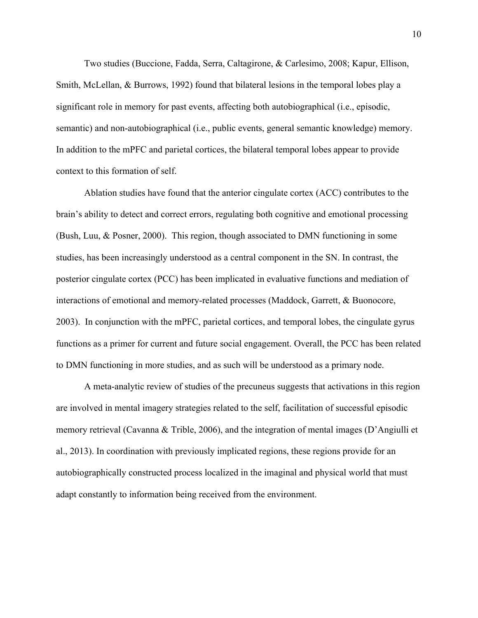Two studies (Buccione, Fadda, Serra, Caltagirone, & Carlesimo, 2008; Kapur, Ellison, Smith, McLellan, & Burrows, 1992) found that bilateral lesions in the temporal lobes play a significant role in memory for past events, affecting both autobiographical (i.e., episodic, semantic) and non-autobiographical (i.e., public events, general semantic knowledge) memory. In addition to the mPFC and parietal cortices, the bilateral temporal lobes appear to provide context to this formation of self.

Ablation studies have found that the anterior cingulate cortex (ACC) contributes to the brain's ability to detect and correct errors, regulating both cognitive and emotional processing (Bush, Luu, & Posner, 2000). This region, though associated to DMN functioning in some studies, has been increasingly understood as a central component in the SN. In contrast, the posterior cingulate cortex (PCC) has been implicated in evaluative functions and mediation of interactions of emotional and memory-related processes (Maddock, Garrett, & Buonocore, 2003). In conjunction with the mPFC, parietal cortices, and temporal lobes, the cingulate gyrus functions as a primer for current and future social engagement. Overall, the PCC has been related to DMN functioning in more studies, and as such will be understood as a primary node.

A meta-analytic review of studies of the precuneus suggests that activations in this region are involved in mental imagery strategies related to the self, facilitation of successful episodic memory retrieval (Cavanna & Trible, 2006), and the integration of mental images (D'Angiulli et al., 2013). In coordination with previously implicated regions, these regions provide for an autobiographically constructed process localized in the imaginal and physical world that must adapt constantly to information being received from the environment.

10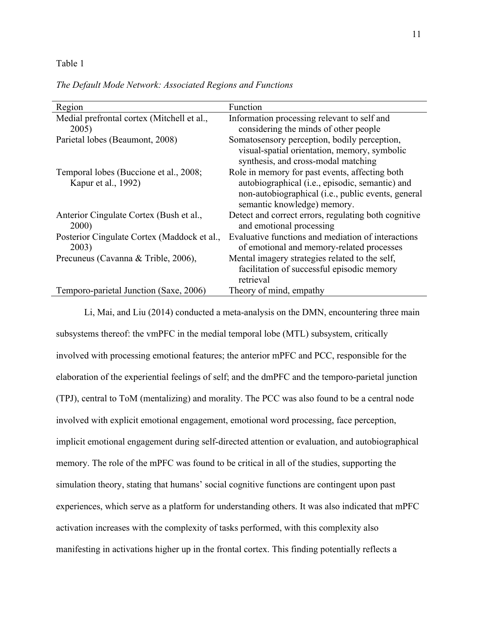#### Table 1

#### *The Default Mode Network: Associated Regions and Functions*

| Region                                               | Function                                                                                        |
|------------------------------------------------------|-------------------------------------------------------------------------------------------------|
| Medial prefrontal cortex (Mitchell et al.,           | Information processing relevant to self and                                                     |
| 2005)                                                | considering the minds of other people                                                           |
| Parietal lobes (Beaumont, 2008)                      | Somatosensory perception, bodily perception,                                                    |
|                                                      | visual-spatial orientation, memory, symbolic<br>synthesis, and cross-modal matching             |
|                                                      |                                                                                                 |
| Temporal lobes (Buccione et al., 2008;               | Role in memory for past events, affecting both                                                  |
| Kapur et al., 1992)                                  | autobiographical (i.e., episodic, semantic) and                                                 |
|                                                      | non-autobiographical (i.e., public events, general                                              |
|                                                      | semantic knowledge) memory.                                                                     |
|                                                      |                                                                                                 |
| Anterior Cingulate Cortex (Bush et al.,<br>2000)     | Detect and correct errors, regulating both cognitive<br>and emotional processing                |
|                                                      |                                                                                                 |
| Posterior Cingulate Cortex (Maddock et al.,<br>2003) | Evaluative functions and mediation of interactions<br>of emotional and memory-related processes |
| Precuneus (Cavanna & Trible, 2006),                  | Mental imagery strategies related to the self,                                                  |
|                                                      | facilitation of successful episodic memory                                                      |
|                                                      | retrieval                                                                                       |
| Temporo-parietal Junction (Saxe, 2006)               | Theory of mind, empathy                                                                         |

Li, Mai, and Liu (2014) conducted a meta-analysis on the DMN, encountering three main subsystems thereof: the vmPFC in the medial temporal lobe (MTL) subsystem, critically involved with processing emotional features; the anterior mPFC and PCC, responsible for the elaboration of the experiential feelings of self; and the dmPFC and the temporo-parietal junction (TPJ), central to ToM (mentalizing) and morality. The PCC was also found to be a central node involved with explicit emotional engagement, emotional word processing, face perception, implicit emotional engagement during self-directed attention or evaluation, and autobiographical memory. The role of the mPFC was found to be critical in all of the studies, supporting the simulation theory, stating that humans' social cognitive functions are contingent upon past experiences, which serve as a platform for understanding others. It was also indicated that mPFC activation increases with the complexity of tasks performed, with this complexity also manifesting in activations higher up in the frontal cortex. This finding potentially reflects a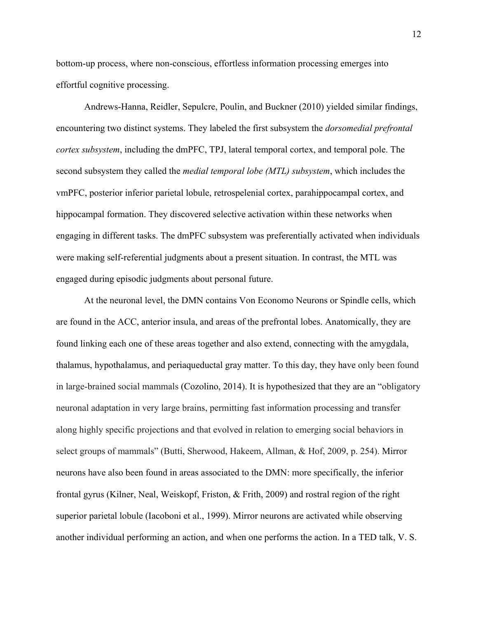bottom-up process, where non-conscious, effortless information processing emerges into effortful cognitive processing.

Andrews-Hanna, Reidler, Sepulcre, Poulin, and Buckner (2010) yielded similar findings, encountering two distinct systems. They labeled the first subsystem the *dorsomedial prefrontal cortex subsystem*, including the dmPFC, TPJ, lateral temporal cortex, and temporal pole. The second subsystem they called the *medial temporal lobe (MTL) subsystem*, which includes the vmPFC, posterior inferior parietal lobule, retrospelenial cortex, parahippocampal cortex, and hippocampal formation. They discovered selective activation within these networks when engaging in different tasks. The dmPFC subsystem was preferentially activated when individuals were making self-referential judgments about a present situation. In contrast, the MTL was engaged during episodic judgments about personal future.

At the neuronal level, the DMN contains Von Economo Neurons or Spindle cells, which are found in the ACC, anterior insula, and areas of the prefrontal lobes. Anatomically, they are found linking each one of these areas together and also extend, connecting with the amygdala, thalamus, hypothalamus, and periaqueductal gray matter. To this day, they have only been found in large-brained social mammals (Cozolino, 2014). It is hypothesized that they are an "obligatory neuronal adaptation in very large brains, permitting fast information processing and transfer along highly specific projections and that evolved in relation to emerging social behaviors in select groups of mammals" (Butti, Sherwood, Hakeem, Allman, & Hof, 2009, p. 254). Mirror neurons have also been found in areas associated to the DMN: more specifically, the inferior frontal gyrus (Kilner, Neal, Weiskopf, Friston, & Frith, 2009) and rostral region of the right superior parietal lobule (Iacoboni et al., 1999). Mirror neurons are activated while observing another individual performing an action, and when one performs the action. In a TED talk, V. S.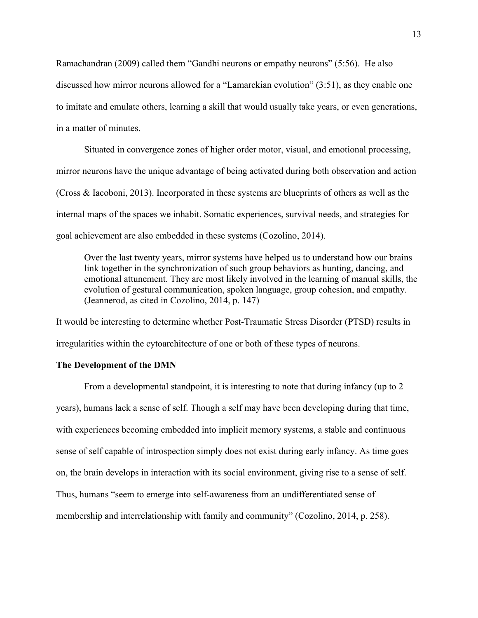Ramachandran (2009) called them "Gandhi neurons or empathy neurons" (5:56). He also discussed how mirror neurons allowed for a "Lamarckian evolution" (3:51), as they enable one to imitate and emulate others, learning a skill that would usually take years, or even generations, in a matter of minutes.

Situated in convergence zones of higher order motor, visual, and emotional processing, mirror neurons have the unique advantage of being activated during both observation and action (Cross & Iacoboni, 2013). Incorporated in these systems are blueprints of others as well as the internal maps of the spaces we inhabit. Somatic experiences, survival needs, and strategies for goal achievement are also embedded in these systems (Cozolino, 2014).

Over the last twenty years, mirror systems have helped us to understand how our brains link together in the synchronization of such group behaviors as hunting, dancing, and emotional attunement. They are most likely involved in the learning of manual skills, the evolution of gestural communication, spoken language, group cohesion, and empathy. (Jeannerod, as cited in Cozolino, 2014, p. 147)

It would be interesting to determine whether Post-Traumatic Stress Disorder (PTSD) results in irregularities within the cytoarchitecture of one or both of these types of neurons.

#### **The Development of the DMN**

From a developmental standpoint, it is interesting to note that during infancy (up to 2 years), humans lack a sense of self. Though a self may have been developing during that time, with experiences becoming embedded into implicit memory systems, a stable and continuous sense of self capable of introspection simply does not exist during early infancy. As time goes on, the brain develops in interaction with its social environment, giving rise to a sense of self. Thus, humans "seem to emerge into self-awareness from an undifferentiated sense of membership and interrelationship with family and community" (Cozolino, 2014, p. 258).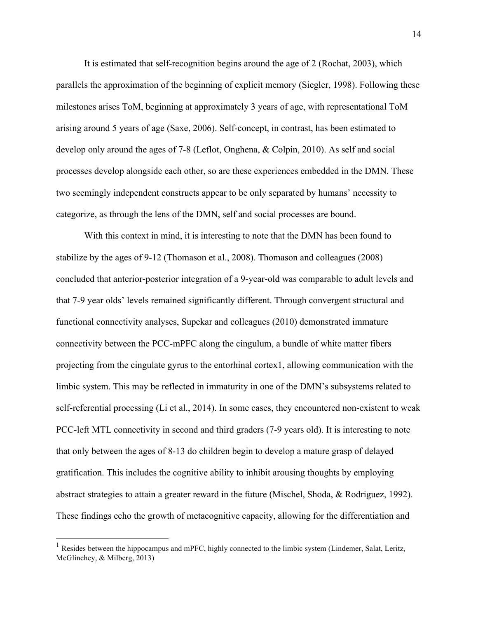It is estimated that self-recognition begins around the age of 2 (Rochat, 2003), which parallels the approximation of the beginning of explicit memory (Siegler, 1998). Following these milestones arises ToM, beginning at approximately 3 years of age, with representational ToM arising around 5 years of age (Saxe, 2006). Self-concept, in contrast, has been estimated to develop only around the ages of 7-8 (Leflot, Onghena, & Colpin, 2010). As self and social processes develop alongside each other, so are these experiences embedded in the DMN. These two seemingly independent constructs appear to be only separated by humans' necessity to categorize, as through the lens of the DMN, self and social processes are bound.

With this context in mind, it is interesting to note that the DMN has been found to stabilize by the ages of 9-12 (Thomason et al., 2008). Thomason and colleagues (2008) concluded that anterior-posterior integration of a 9-year-old was comparable to adult levels and that 7-9 year olds' levels remained significantly different. Through convergent structural and functional connectivity analyses, Supekar and colleagues (2010) demonstrated immature connectivity between the PCC-mPFC along the cingulum, a bundle of white matter fibers projecting from the cingulate gyrus to the entorhinal cortex1, allowing communication with the limbic system. This may be reflected in immaturity in one of the DMN's subsystems related to self-referential processing (Li et al., 2014). In some cases, they encountered non-existent to weak PCC-left MTL connectivity in second and third graders (7-9 years old). It is interesting to note that only between the ages of 8-13 do children begin to develop a mature grasp of delayed gratification. This includes the cognitive ability to inhibit arousing thoughts by employing abstract strategies to attain a greater reward in the future (Mischel, Shoda, & Rodriguez, 1992). These findings echo the growth of metacognitive capacity, allowing for the differentiation and

<sup>&</sup>lt;sup>1</sup> Resides between the hippocampus and mPFC, highly connected to the limbic system (Lindemer, Salat, Leritz, McGlinchey, & Milberg, 2013)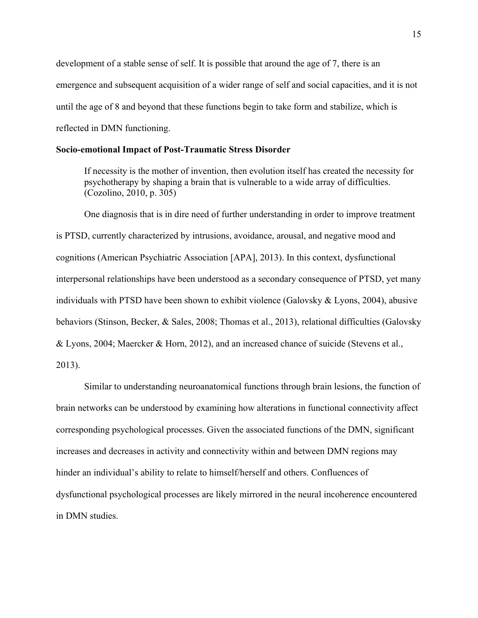development of a stable sense of self. It is possible that around the age of 7, there is an emergence and subsequent acquisition of a wider range of self and social capacities, and it is not until the age of 8 and beyond that these functions begin to take form and stabilize, which is reflected in DMN functioning.

#### **Socio-emotional Impact of Post-Traumatic Stress Disorder**

If necessity is the mother of invention, then evolution itself has created the necessity for psychotherapy by shaping a brain that is vulnerable to a wide array of difficulties. (Cozolino, 2010, p. 305)

One diagnosis that is in dire need of further understanding in order to improve treatment is PTSD, currently characterized by intrusions, avoidance, arousal, and negative mood and cognitions (American Psychiatric Association [APA], 2013). In this context, dysfunctional interpersonal relationships have been understood as a secondary consequence of PTSD, yet many individuals with PTSD have been shown to exhibit violence (Galovsky & Lyons, 2004), abusive behaviors (Stinson, Becker, & Sales, 2008; Thomas et al., 2013), relational difficulties (Galovsky & Lyons, 2004; Maercker & Horn, 2012), and an increased chance of suicide (Stevens et al., 2013).

Similar to understanding neuroanatomical functions through brain lesions, the function of brain networks can be understood by examining how alterations in functional connectivity affect corresponding psychological processes. Given the associated functions of the DMN, significant increases and decreases in activity and connectivity within and between DMN regions may hinder an individual's ability to relate to himself/herself and others. Confluences of dysfunctional psychological processes are likely mirrored in the neural incoherence encountered in DMN studies.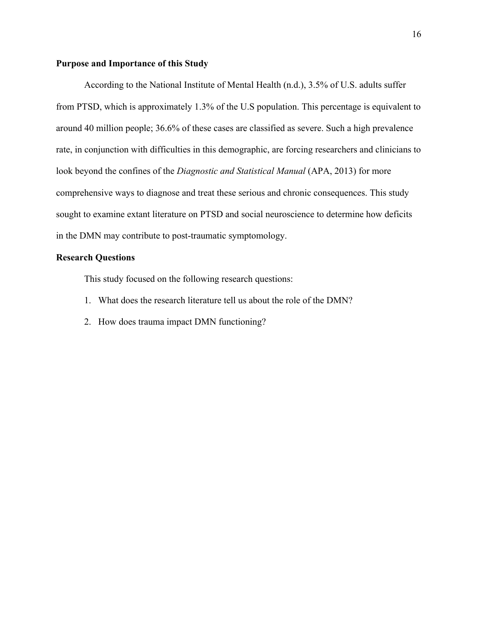#### **Purpose and Importance of this Study**

According to the National Institute of Mental Health (n.d.), 3.5% of U.S. adults suffer from PTSD, which is approximately 1.3% of the U.S population. This percentage is equivalent to around 40 million people; 36.6% of these cases are classified as severe. Such a high prevalence rate, in conjunction with difficulties in this demographic, are forcing researchers and clinicians to look beyond the confines of the *Diagnostic and Statistical Manual* (APA, 2013) for more comprehensive ways to diagnose and treat these serious and chronic consequences. This study sought to examine extant literature on PTSD and social neuroscience to determine how deficits in the DMN may contribute to post-traumatic symptomology.

# **Research Questions**

This study focused on the following research questions:

- 1. What does the research literature tell us about the role of the DMN?
- 2. How does trauma impact DMN functioning?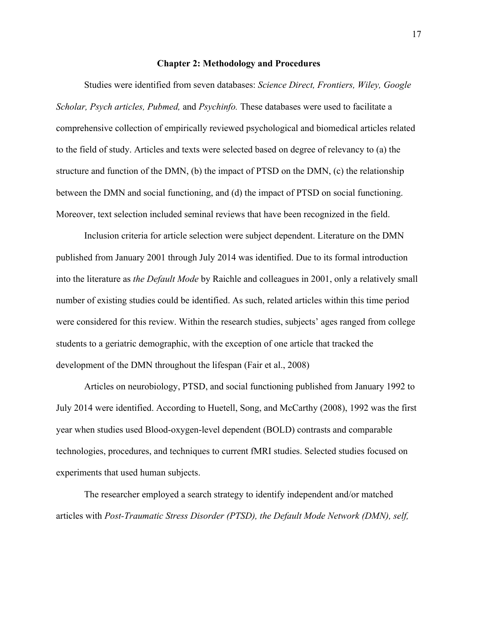#### **Chapter 2: Methodology and Procedures**

Studies were identified from seven databases: *Science Direct, Frontiers, Wiley, Google Scholar, Psych articles, Pubmed,* and *Psychinfo.* These databases were used to facilitate a comprehensive collection of empirically reviewed psychological and biomedical articles related to the field of study. Articles and texts were selected based on degree of relevancy to (a) the structure and function of the DMN, (b) the impact of PTSD on the DMN, (c) the relationship between the DMN and social functioning, and (d) the impact of PTSD on social functioning. Moreover, text selection included seminal reviews that have been recognized in the field.

Inclusion criteria for article selection were subject dependent. Literature on the DMN published from January 2001 through July 2014 was identified. Due to its formal introduction into the literature as *the Default Mode* by Raichle and colleagues in 2001, only a relatively small number of existing studies could be identified. As such, related articles within this time period were considered for this review. Within the research studies, subjects' ages ranged from college students to a geriatric demographic, with the exception of one article that tracked the development of the DMN throughout the lifespan (Fair et al., 2008)

Articles on neurobiology, PTSD, and social functioning published from January 1992 to July 2014 were identified. According to Huetell, Song, and McCarthy (2008), 1992 was the first year when studies used Blood-oxygen-level dependent (BOLD) contrasts and comparable technologies, procedures, and techniques to current fMRI studies. Selected studies focused on experiments that used human subjects.

The researcher employed a search strategy to identify independent and/or matched articles with *Post-Traumatic Stress Disorder (PTSD), the Default Mode Network (DMN), self,* 

17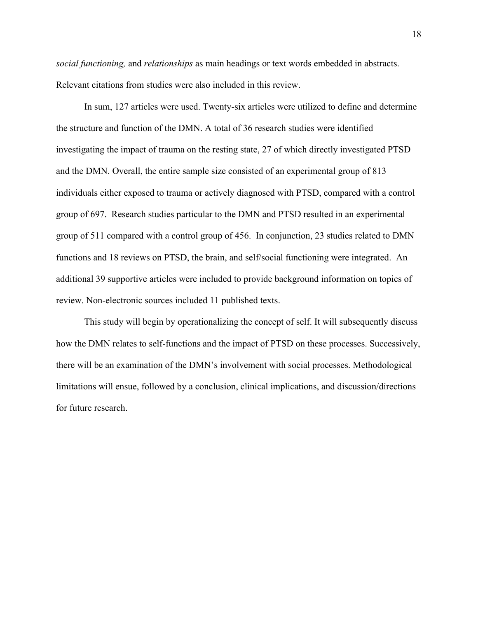*social functioning,* and *relationships* as main headings or text words embedded in abstracts. Relevant citations from studies were also included in this review.

In sum, 127 articles were used. Twenty-six articles were utilized to define and determine the structure and function of the DMN. A total of 36 research studies were identified investigating the impact of trauma on the resting state, 27 of which directly investigated PTSD and the DMN. Overall, the entire sample size consisted of an experimental group of 813 individuals either exposed to trauma or actively diagnosed with PTSD, compared with a control group of 697. Research studies particular to the DMN and PTSD resulted in an experimental group of 511 compared with a control group of 456. In conjunction, 23 studies related to DMN functions and 18 reviews on PTSD, the brain, and self/social functioning were integrated. An additional 39 supportive articles were included to provide background information on topics of review. Non-electronic sources included 11 published texts.

This study will begin by operationalizing the concept of self. It will subsequently discuss how the DMN relates to self-functions and the impact of PTSD on these processes. Successively, there will be an examination of the DMN's involvement with social processes. Methodological limitations will ensue, followed by a conclusion, clinical implications, and discussion/directions for future research.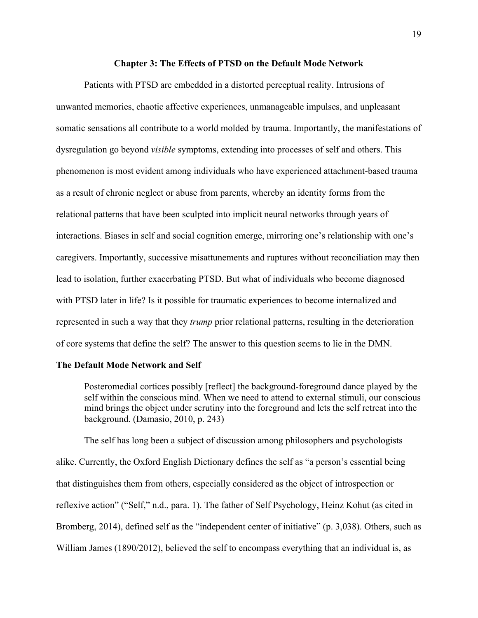#### **Chapter 3: The Effects of PTSD on the Default Mode Network**

Patients with PTSD are embedded in a distorted perceptual reality. Intrusions of unwanted memories, chaotic affective experiences, unmanageable impulses, and unpleasant somatic sensations all contribute to a world molded by trauma. Importantly, the manifestations of dysregulation go beyond *visible* symptoms, extending into processes of self and others. This phenomenon is most evident among individuals who have experienced attachment-based trauma as a result of chronic neglect or abuse from parents, whereby an identity forms from the relational patterns that have been sculpted into implicit neural networks through years of interactions. Biases in self and social cognition emerge, mirroring one's relationship with one's caregivers. Importantly, successive misattunements and ruptures without reconciliation may then lead to isolation, further exacerbating PTSD. But what of individuals who become diagnosed with PTSD later in life? Is it possible for traumatic experiences to become internalized and represented in such a way that they *trump* prior relational patterns, resulting in the deterioration of core systems that define the self? The answer to this question seems to lie in the DMN.

#### **The Default Mode Network and Self**

Posteromedial cortices possibly [reflect] the background-foreground dance played by the self within the conscious mind. When we need to attend to external stimuli, our conscious mind brings the object under scrutiny into the foreground and lets the self retreat into the background. (Damasio, 2010, p. 243)

The self has long been a subject of discussion among philosophers and psychologists alike. Currently, the Oxford English Dictionary defines the self as "a person's essential being that distinguishes them from others, especially considered as the object of introspection or reflexive action" ("Self," n.d., para. 1). The father of Self Psychology, Heinz Kohut (as cited in Bromberg, 2014), defined self as the "independent center of initiative" (p. 3,038). Others, such as William James (1890/2012), believed the self to encompass everything that an individual is, as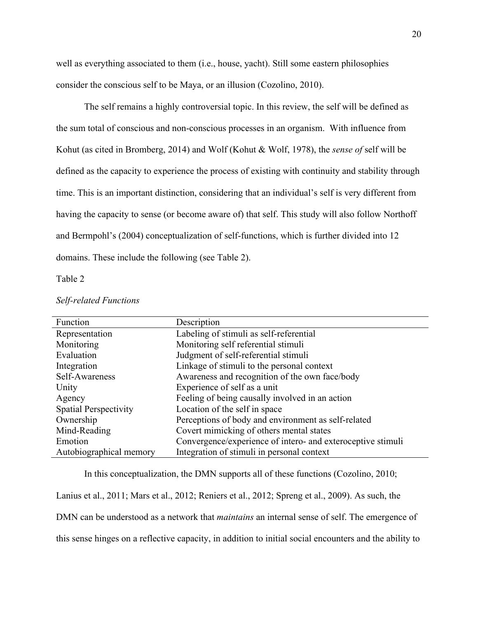well as everything associated to them (i.e., house, yacht). Still some eastern philosophies consider the conscious self to be Maya, or an illusion (Cozolino, 2010).

The self remains a highly controversial topic. In this review, the self will be defined as the sum total of conscious and non-conscious processes in an organism. With influence from Kohut (as cited in Bromberg, 2014) and Wolf (Kohut & Wolf, 1978), the *sense of* self will be defined as the capacity to experience the process of existing with continuity and stability through time. This is an important distinction, considering that an individual's self is very different from having the capacity to sense (or become aware of) that self. This study will also follow Northoff and Bermpohl's (2004) conceptualization of self-functions, which is further divided into 12 domains. These include the following (see Table 2).

Table 2

| Function                     | Description                                                 |
|------------------------------|-------------------------------------------------------------|
| Representation               | Labeling of stimuli as self-referential                     |
| Monitoring                   | Monitoring self referential stimuli                         |
| Evaluation                   | Judgment of self-referential stimuli                        |
| Integration                  | Linkage of stimuli to the personal context                  |
| Self-Awareness               | Awareness and recognition of the own face/body              |
| Unity                        | Experience of self as a unit                                |
| Agency                       | Feeling of being causally involved in an action             |
| <b>Spatial Perspectivity</b> | Location of the self in space                               |
| Ownership                    | Perceptions of body and environment as self-related         |
| Mind-Reading                 | Covert mimicking of others mental states                    |
| Emotion                      | Convergence/experience of intero- and exteroceptive stimuli |
| Autobiographical memory      | Integration of stimuli in personal context                  |

*Self-related Functions*

In this conceptualization, the DMN supports all of these functions (Cozolino, 2010; Lanius et al., 2011; Mars et al., 2012; Reniers et al., 2012; Spreng et al., 2009). As such, the DMN can be understood as a network that *maintains* an internal sense of self. The emergence of this sense hinges on a reflective capacity, in addition to initial social encounters and the ability to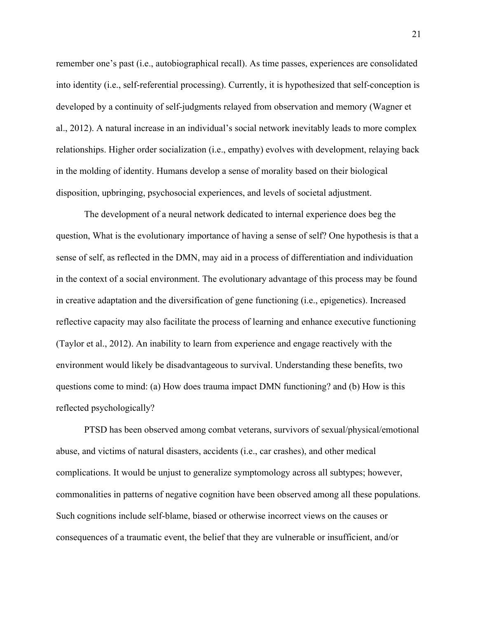remember one's past (i.e., autobiographical recall). As time passes, experiences are consolidated into identity (i.e., self-referential processing). Currently, it is hypothesized that self-conception is developed by a continuity of self-judgments relayed from observation and memory (Wagner et al., 2012). A natural increase in an individual's social network inevitably leads to more complex relationships. Higher order socialization (i.e., empathy) evolves with development, relaying back in the molding of identity. Humans develop a sense of morality based on their biological disposition, upbringing, psychosocial experiences, and levels of societal adjustment.

The development of a neural network dedicated to internal experience does beg the question, What is the evolutionary importance of having a sense of self? One hypothesis is that a sense of self, as reflected in the DMN, may aid in a process of differentiation and individuation in the context of a social environment. The evolutionary advantage of this process may be found in creative adaptation and the diversification of gene functioning (i.e., epigenetics). Increased reflective capacity may also facilitate the process of learning and enhance executive functioning (Taylor et al., 2012). An inability to learn from experience and engage reactively with the environment would likely be disadvantageous to survival. Understanding these benefits, two questions come to mind: (a) How does trauma impact DMN functioning? and (b) How is this reflected psychologically?

PTSD has been observed among combat veterans, survivors of sexual/physical/emotional abuse, and victims of natural disasters, accidents (i.e., car crashes), and other medical complications. It would be unjust to generalize symptomology across all subtypes; however, commonalities in patterns of negative cognition have been observed among all these populations. Such cognitions include self-blame, biased or otherwise incorrect views on the causes or consequences of a traumatic event, the belief that they are vulnerable or insufficient, and/or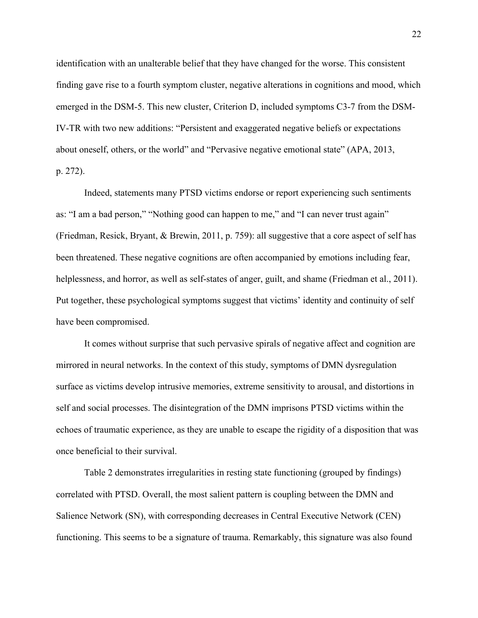identification with an unalterable belief that they have changed for the worse. This consistent finding gave rise to a fourth symptom cluster, negative alterations in cognitions and mood, which emerged in the DSM-5. This new cluster, Criterion D, included symptoms C3-7 from the DSM-IV-TR with two new additions: "Persistent and exaggerated negative beliefs or expectations about oneself, others, or the world" and "Pervasive negative emotional state" (APA, 2013, p. 272).

Indeed, statements many PTSD victims endorse or report experiencing such sentiments as: "I am a bad person," "Nothing good can happen to me," and "I can never trust again" (Friedman, Resick, Bryant, & Brewin, 2011, p. 759): all suggestive that a core aspect of self has been threatened. These negative cognitions are often accompanied by emotions including fear, helplessness, and horror, as well as self-states of anger, guilt, and shame (Friedman et al., 2011). Put together, these psychological symptoms suggest that victims' identity and continuity of self have been compromised.

It comes without surprise that such pervasive spirals of negative affect and cognition are mirrored in neural networks. In the context of this study, symptoms of DMN dysregulation surface as victims develop intrusive memories, extreme sensitivity to arousal, and distortions in self and social processes. The disintegration of the DMN imprisons PTSD victims within the echoes of traumatic experience, as they are unable to escape the rigidity of a disposition that was once beneficial to their survival.

Table 2 demonstrates irregularities in resting state functioning (grouped by findings) correlated with PTSD. Overall, the most salient pattern is coupling between the DMN and Salience Network (SN), with corresponding decreases in Central Executive Network (CEN) functioning. This seems to be a signature of trauma. Remarkably, this signature was also found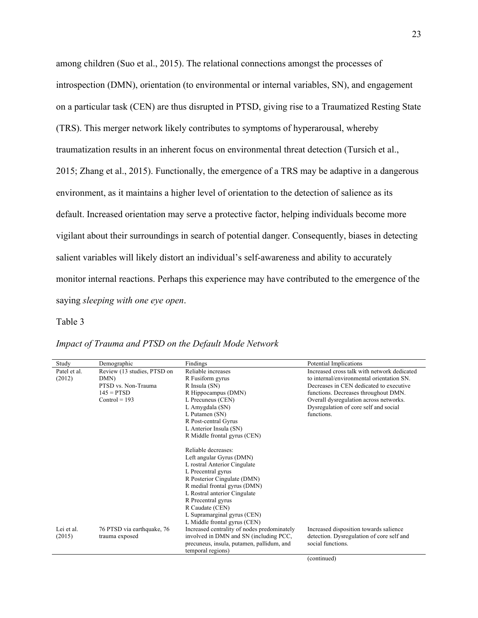among children (Suo et al., 2015). The relational connections amongst the processes of introspection (DMN), orientation (to environmental or internal variables, SN), and engagement on a particular task (CEN) are thus disrupted in PTSD, giving rise to a Traumatized Resting State (TRS). This merger network likely contributes to symptoms of hyperarousal, whereby traumatization results in an inherent focus on environmental threat detection (Tursich et al., 2015; Zhang et al., 2015). Functionally, the emergence of a TRS may be adaptive in a dangerous environment, as it maintains a higher level of orientation to the detection of salience as its default. Increased orientation may serve a protective factor, helping individuals become more vigilant about their surroundings in search of potential danger. Consequently, biases in detecting salient variables will likely distort an individual's self-awareness and ability to accurately monitor internal reactions. Perhaps this experience may have contributed to the emergence of the saying *sleeping with one eye open*.

#### Table 3

| Study        | Demographic                 | Findings                                    | Potential Implications                      |
|--------------|-----------------------------|---------------------------------------------|---------------------------------------------|
| Patel et al. | Review (13 studies, PTSD on | Reliable increases                          | Increased cross talk with network dedicated |
| (2012)       | DMN)                        | R Fusiform gyrus                            | to internal/environmental orientation SN.   |
|              | PTSD vs. Non-Trauma         | R Insula (SN)                               | Decreases in CEN dedicated to executive     |
|              | $145 = PTSD$                | R Hippocampus (DMN)                         | functions. Decreases throughout DMN.        |
|              | $Control = 193$             | L Precuneus (CEN)                           | Overall dysregulation across networks.      |
|              |                             | L Amygdala (SN)                             | Dysregulation of core self and social       |
|              |                             | L Putamen (SN)                              | functions.                                  |
|              |                             | R Post-central Gyrus                        |                                             |
|              |                             | L Anterior Insula (SN)                      |                                             |
|              |                             | R Middle frontal gyrus (CEN)                |                                             |
|              |                             | Reliable decreases:                         |                                             |
|              |                             | Left angular Gyrus (DMN)                    |                                             |
|              |                             | L rostral Anterior Cingulate                |                                             |
|              |                             | L Precentral gyrus                          |                                             |
|              |                             | R Posterior Cingulate (DMN)                 |                                             |
|              |                             | R medial frontal gyrus (DMN)                |                                             |
|              |                             | L Rostral anterior Cingulate                |                                             |
|              |                             | R Precentral gyrus                          |                                             |
|              |                             | R Caudate (CEN)                             |                                             |
|              |                             | L Supramarginal gyrus (CEN)                 |                                             |
|              |                             | L Middle frontal gyrus (CEN)                |                                             |
| Lei et al.   | 76 PTSD via earthquake, 76  | Increased centrality of nodes predominately | Increased disposition towards salience      |
| (2015)       | trauma exposed              | involved in DMN and SN (including PCC,      | detection. Dysregulation of core self and   |
|              |                             | precuneus, insula, putamen, pallidum, and   | social functions.                           |
|              |                             | temporal regions)                           |                                             |
|              |                             |                                             | (continued)                                 |

# *Impact of Trauma and PTSD on the Default Mode Network*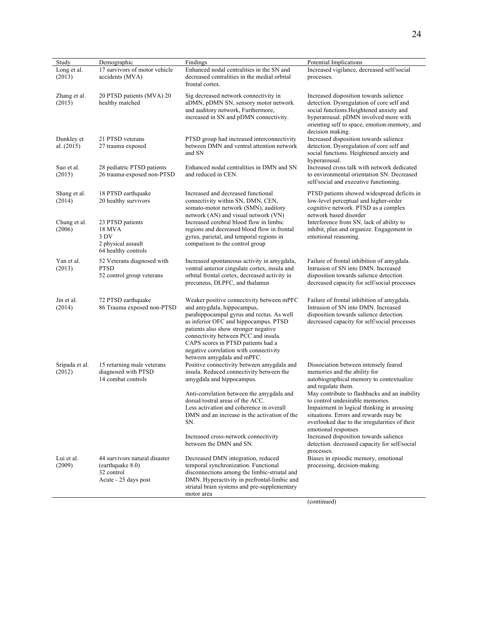| Study                      | Demographic                                                                             | Findings                                                                                                                                                                                                                                                                                                                                                    | Potential Implications                                                                                                                                                                                                                           |
|----------------------------|-----------------------------------------------------------------------------------------|-------------------------------------------------------------------------------------------------------------------------------------------------------------------------------------------------------------------------------------------------------------------------------------------------------------------------------------------------------------|--------------------------------------------------------------------------------------------------------------------------------------------------------------------------------------------------------------------------------------------------|
| Long et al.<br>(2013)      | 17 survivors of motor vehicle<br>accidents (MVA)                                        | Enhanced nodal centralities in the SN and<br>decreased centralities in the medial orbital<br>frontal cortex.                                                                                                                                                                                                                                                | Increased vigilance, decreased self/social<br>processes.                                                                                                                                                                                         |
| Zhang et al.<br>(2015)     | 20 PTSD patients (MVA) 20<br>healthy matched                                            | Sig decreased network connectivity in<br>aDMN, pDMN SN, sensory motor network<br>and auditory network, Furthermore,<br>increased in SN and pDMN connectivity.                                                                                                                                                                                               | Increased disposition towards salience<br>detection. Dysregulation of core self and<br>social functions. Heightened anxiety and<br>hyperarousal. pDMN involved more with<br>orienting self to space, emotion-memory, and<br>decision making.     |
| Dunkley et<br>al. $(2015)$ | 21 PTSD veterans<br>27 trauma exposed                                                   | PTSD group had increased interconnectivity<br>between DMN and ventral attention network<br>and SN                                                                                                                                                                                                                                                           | Increased disposition towards salience<br>detection. Dysregulation of core self and<br>social functions. Heightened anxiety and<br>hyperarousal.                                                                                                 |
| Suo et al.<br>(2015)       | 28 pediatric PTSD patients<br>26 trauma-exposed non-PTSD                                | Enhanced nodal centralities in DMN and SN<br>and reduced in CEN.                                                                                                                                                                                                                                                                                            | Increased cross talk with network dedicated<br>to environmental orientation SN. Decreased<br>self/social and executive functioning.                                                                                                              |
| Shang et al.<br>(2014)     | 18 PTSD earthquake<br>20 healthy survivors                                              | Increased and decreased functional<br>connectivity within SN, DMN, CEN,<br>somato-motor network (SMN), auditory<br>network (AN) and visual network (VN)                                                                                                                                                                                                     | PTSD patients showed widespread deficits in<br>low-level perceptual and higher-order<br>cognitive network. PTSD as a complex<br>network based disorder                                                                                           |
| Chung et al.<br>(2006)     | 23 PTSD patients<br><b>18 MVA</b><br>3 DV<br>2 physical assault<br>64 healthy controls  | Increased cerebral blood flow in limbic<br>regions and decreased blood flow in frontal<br>gyrus, parietal, and temporal regions in<br>comparison to the control group                                                                                                                                                                                       | Interference from SN, lack of ability to<br>inhibit, plan and organize. Engagement in<br>emotional reasoning.                                                                                                                                    |
| Yan et al.<br>(2013)       | 52 Veterans diagnosed with<br><b>PTSD</b><br>52 control group veterans                  | Increased spontaneous activity in amygdala,<br>ventral anterior cingulate cortex, insula and<br>orbital frontal cortex, decreased activity in<br>precuneus, DLPFC, and thalamus                                                                                                                                                                             | Failure of frontal inhibition of amygdala.<br>Intrusion of SN into DMN. Increased<br>disposition towards salience detection.<br>decreased capacity for self/social processes                                                                     |
| Jin et al.<br>(2014)       | 72 PTSD earthquake<br>86 Trauma exposed non-PTSD                                        | Weaker positive connectivity between mPFC<br>and amygdala, hippocampus,<br>parahippocampal gyrus and rectus. As well<br>as inferior OFC and hippocampus. PTSD<br>patients also show stronger negative<br>connectivity between PCC and insula.<br>CAPS scores in PTSD patients had a<br>negative correlation with connectivity<br>between amygdala and mPFC. | Failure of frontal inhibition of amygdala.<br>Intrusion of SN into DMN. Increased<br>disposition towards salience detection.<br>decreased capacity for self/social processes                                                                     |
| Sripada et al.<br>(2012)   | 15 returning male veterans<br>diagnosed with PTSD<br>14 combat controls                 | Positive connectivity between amygdala and<br>insula. Reduced connectivity between the<br>amygdala and hippocampus.                                                                                                                                                                                                                                         | Dissociation between intensely feared<br>memories and the ability for<br>autobiographical memory to contextualize<br>and regulate them.                                                                                                          |
|                            |                                                                                         | Anti-correlation between the amygdala and<br>dorsal/rostral areas of the ACC.<br>Less activation and coherence in overall<br>DMN and an increase in the activation of the<br>SN.                                                                                                                                                                            | May contribute to flashbacks and an inability<br>to control undesirable memories.<br>Impairment in logical thinking in arousing<br>situations. Errors and rewards may be<br>overlooked due to the irregularities of their<br>emotional responses |
|                            |                                                                                         | Increased cross-network connectivity<br>between the DMN and SN.                                                                                                                                                                                                                                                                                             | Increased disposition towards salience<br>detection. decreased capacity for self/social<br>processes.                                                                                                                                            |
| Lui et al.<br>(2009)       | 44 survivors natural disaster<br>(earthquake 8.0)<br>32 control<br>Acute - 25 days post | Decreased DMN integration, reduced<br>temporal synchronization. Functional<br>disconnections among the limbic-striatal and<br>DMN. Hyperactivity in prefrontal-limbic and<br>striatal brain systems and pre-supplementary<br>motor area                                                                                                                     | Biases in episodic memory, emotional<br>processing, decision-making.                                                                                                                                                                             |

(continued)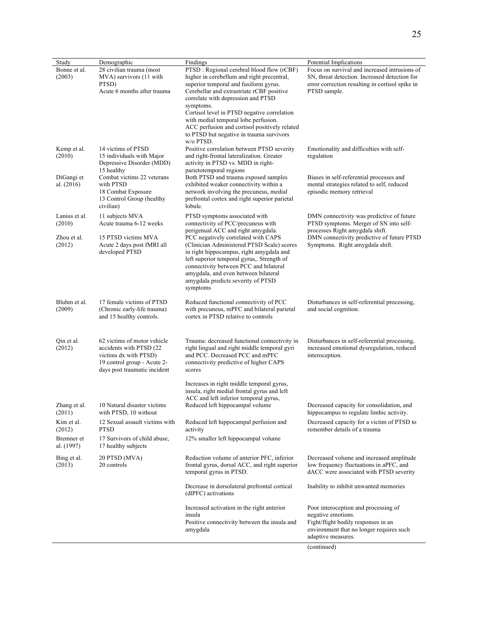| Study                              | Demographic                                                                                                                                     | Findings                                                                                                                                                                                                                                                                                                                                                                                                                            | Potential Implications                                                                                                                                              |
|------------------------------------|-------------------------------------------------------------------------------------------------------------------------------------------------|-------------------------------------------------------------------------------------------------------------------------------------------------------------------------------------------------------------------------------------------------------------------------------------------------------------------------------------------------------------------------------------------------------------------------------------|---------------------------------------------------------------------------------------------------------------------------------------------------------------------|
| Bonne et al.<br>(2003)             | 28 civilian trauma (most<br>MVA) survivors (11 with<br>PTSD)<br>Acute 6 months after trauma                                                     | PTSD: Regional cerebral blood flow (rCBF)<br>higher in cerebellum and right precentral,<br>superior temporal and fusiform gyrus.<br>Cerebellar and extrastriate rCBF positive<br>correlate with depression and PTSD<br>symptoms.<br>Cortisol level in PTSD negative correlation<br>with medial temporal lobe perfusion.<br>ACC perfusion and cortisol positively related<br>to PTSD but negative in trauma survivors<br>$w/o$ PTSD. | Focus on survival and increased intrusions of<br>SN, threat detection. Increased detection for<br>error correction resulting in cortisol spike in<br>PTSD sample.   |
| Kemp et al.<br>(2010)              | 14 victims of PTSD<br>15 individuals with Major<br>Depressive Disorder (MDD)<br>15 healthy                                                      | Positive correlation between PTSD severity<br>and right-frontal lateralization. Greater<br>activity in PTSD vs. MDD in right-<br>parietotemporal regions                                                                                                                                                                                                                                                                            | Emotionality and difficulties with self-<br>regulation                                                                                                              |
| DiGangi et<br>al. $(2016)$         | Combat victims 22 veterans<br>with PTSD<br>18 Combat Exposure<br>13 Control Group (healthy<br>civilian)                                         | Both PTSD and trauma exposed samples<br>exhibited weaker connectivity within a<br>network involving the precuneus, medial<br>prefrontal cortex and right superior parietal<br>lobule.                                                                                                                                                                                                                                               | Biases in self-referential processes and<br>mental strategies related to self, reduced<br>episodic memory retrieval                                                 |
| Lanius et al.<br>(2010)            | 11 subjects MVA<br>Acute trauma 6-12 weeks                                                                                                      | PTSD symptoms associated with<br>connectivity of PCC/precuneus with<br>perigenual ACC and right amygdala.                                                                                                                                                                                                                                                                                                                           | DMN connectivity was predictive of future<br>PTSD symptoms. Merger of SN into self-<br>processes Right amygdala shift.                                              |
| Zhou et al.<br>(2012)              | 15 PTSD victims MVA<br>Acute 2 days post fMRI all<br>developed PTSD                                                                             | PCC negatively correlated with CAPS<br>(Clinician Administered PTSD Scale) scores<br>in right hippocampus, right amygdala and<br>left superior temporal gyrus,. Strength of<br>connectivity between PCC and bilateral<br>amygdala, and even between bilateral<br>amygdala predicts severity of PTSD<br>symptoms                                                                                                                     | DMN connectivity predictive of future PTSD<br>Symptoms. Right amygdala shift.                                                                                       |
| Bluhm et al.<br>(2009)             | 17 female victims of PTSD<br>(Chronic early-life trauma)<br>and 15 healthy controls.                                                            | Reduced functional connectivity of PCC<br>with precuneus, mPFC and bilateral parietal<br>cortex in PTSD relative to controls                                                                                                                                                                                                                                                                                                        | Disturbances in self-referential processing,<br>and social cognition.                                                                                               |
| Qin et al.<br>(2012)               | 62 victims of motor vehicle<br>accidents with PTSD (22)<br>victims dx with PTSD)<br>19 control group - Acute 2-<br>days post traumatic incident | Trauma: decreased functional connectivity in<br>right lingual and right middle temporal gyri<br>and PCC. Decreased PCC and mPFC<br>connectivity predictive of higher CAPS<br>scores                                                                                                                                                                                                                                                 | Disturbances in self-referential processing,<br>increased emotional dysregulation, reduced<br>interoception.                                                        |
| Zhang et al.<br>(2011)             | 10 Natural disaster victims<br>with PTSD, 10 without                                                                                            | Increases in right middle temporal gyrus,<br>insula, right medial frontal gyrus and left<br>ACC and left inferior temporal gyrus,<br>Reduced left hippocampal volume                                                                                                                                                                                                                                                                | Decreased capacity for consolidation, and<br>hippocampus to regulate limbic activity.                                                                               |
| Kim et al.<br>(2012)<br>Bremner et | 12 Sexual assault victims with<br><b>PTSD</b><br>17 Survivors of child abuse,                                                                   | Reduced left hippocampal perfusion and<br>activity<br>12% smaller left hippocampal volume                                                                                                                                                                                                                                                                                                                                           | Decreased capacity for a victim of PTSD to<br>remember details of a trauma                                                                                          |
| al. (1997)                         | 17 healthy subjects                                                                                                                             |                                                                                                                                                                                                                                                                                                                                                                                                                                     |                                                                                                                                                                     |
| Bing et al.<br>(2013)              | 20 PTSD (MVA)<br>20 controls                                                                                                                    | Reduction volume of anterior PFC, inferior<br>frontal gyrus, dorsal ACC, and right superior<br>temporal gyrus in PTSD.                                                                                                                                                                                                                                                                                                              | Decreased volume and increased amplitude<br>low frequency fluctuations in aPFC, and<br>dACC were associated with PTSD severity                                      |
|                                    |                                                                                                                                                 | Decrease in dorsolateral prefrontal cortical<br>(dlPFC) activations                                                                                                                                                                                                                                                                                                                                                                 | Inability to inhibit unwanted memories                                                                                                                              |
|                                    |                                                                                                                                                 | Increased activation in the right anterior<br>insula<br>Positive connectivity between the insula and<br>amygdala                                                                                                                                                                                                                                                                                                                    | Poor interoception and processing of<br>negative emotions.<br>Fight/flight bodily responses in an<br>environment that no longer requires such<br>adaptive measures. |

(continued)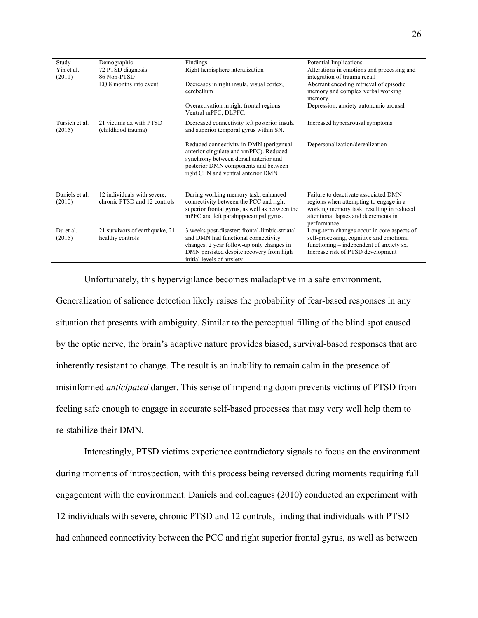| Study                    | Demographic                                                 | Findings                                                                                                                                                                                                    | Potential Implications                                                                                                                                                             |
|--------------------------|-------------------------------------------------------------|-------------------------------------------------------------------------------------------------------------------------------------------------------------------------------------------------------------|------------------------------------------------------------------------------------------------------------------------------------------------------------------------------------|
| Yin et al.               | 72 PTSD diagnosis                                           | Right hemisphere lateralization                                                                                                                                                                             | Alterations in emotions and processing and                                                                                                                                         |
| (2011)                   | 86 Non-PTSD                                                 |                                                                                                                                                                                                             | integration of trauma recall                                                                                                                                                       |
|                          | EQ 8 months into event                                      | Decreases in right insula, visual cortex,<br>cerebellum                                                                                                                                                     | Aberrant encoding retrieval of episodic<br>memory and complex verbal working<br>memory.                                                                                            |
|                          |                                                             | Overactivation in right frontal regions.<br>Ventral mPFC, DLPFC.                                                                                                                                            | Depression, anxiety autonomic arousal                                                                                                                                              |
| Tursich et al.<br>(2015) | 21 victims dx with PTSD<br>(childhood trauma)               | Decreased connectivity left posterior insula<br>and superior temporal gyrus within SN.                                                                                                                      | Increased hyperarousal symptoms                                                                                                                                                    |
|                          |                                                             | Reduced connectivity in DMN (perigenual<br>anterior cingulate and vmPFC). Reduced<br>synchrony between dorsal anterior and<br>posterior DMN components and between<br>right CEN and ventral anterior DMN    | Depersonalization/derealization                                                                                                                                                    |
| Daniels et al.<br>(2010) | 12 individuals with severe,<br>chronic PTSD and 12 controls | During working memory task, enhanced<br>connectivity between the PCC and right<br>superior frontal gyrus, as well as between the<br>mPFC and left parahippocampal gyrus.                                    | Failure to deactivate associated DMN<br>regions when attempting to engage in a<br>working memory task, resulting in reduced<br>attentional lapses and decrements in<br>performance |
| Du et al.<br>(2015)      | 21 survivors of earthquake, 21<br>healthy controls          | 3 weeks post-disaster: frontal-limbic-striatal<br>and DMN had functional connectivity<br>changes. 2 year follow-up only changes in<br>DMN persisted despite recovery from high<br>initial levels of anxiety | Long-term changes occur in core aspects of<br>self-processing, cognitive and emotional<br>functioning – independent of anxiety sx.<br>Increase risk of PTSD development            |

Unfortunately, this hypervigilance becomes maladaptive in a safe environment.

Generalization of salience detection likely raises the probability of fear-based responses in any situation that presents with ambiguity. Similar to the perceptual filling of the blind spot caused by the optic nerve, the brain's adaptive nature provides biased, survival-based responses that are inherently resistant to change. The result is an inability to remain calm in the presence of misinformed *anticipated* danger. This sense of impending doom prevents victims of PTSD from feeling safe enough to engage in accurate self-based processes that may very well help them to re-stabilize their DMN.

Interestingly, PTSD victims experience contradictory signals to focus on the environment during moments of introspection, with this process being reversed during moments requiring full engagement with the environment. Daniels and colleagues (2010) conducted an experiment with 12 individuals with severe, chronic PTSD and 12 controls, finding that individuals with PTSD had enhanced connectivity between the PCC and right superior frontal gyrus, as well as between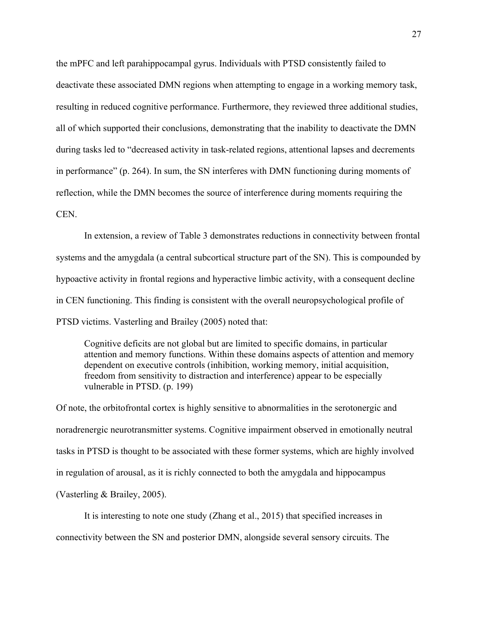the mPFC and left parahippocampal gyrus. Individuals with PTSD consistently failed to deactivate these associated DMN regions when attempting to engage in a working memory task, resulting in reduced cognitive performance. Furthermore, they reviewed three additional studies, all of which supported their conclusions, demonstrating that the inability to deactivate the DMN during tasks led to "decreased activity in task-related regions, attentional lapses and decrements in performance" (p. 264). In sum, the SN interferes with DMN functioning during moments of reflection, while the DMN becomes the source of interference during moments requiring the CEN.

In extension, a review of Table 3 demonstrates reductions in connectivity between frontal systems and the amygdala (a central subcortical structure part of the SN). This is compounded by hypoactive activity in frontal regions and hyperactive limbic activity, with a consequent decline in CEN functioning. This finding is consistent with the overall neuropsychological profile of PTSD victims. Vasterling and Brailey (2005) noted that:

Cognitive deficits are not global but are limited to specific domains, in particular attention and memory functions. Within these domains aspects of attention and memory dependent on executive controls (inhibition, working memory, initial acquisition, freedom from sensitivity to distraction and interference) appear to be especially vulnerable in PTSD. (p. 199)

Of note, the orbitofrontal cortex is highly sensitive to abnormalities in the serotonergic and noradrenergic neurotransmitter systems. Cognitive impairment observed in emotionally neutral tasks in PTSD is thought to be associated with these former systems, which are highly involved in regulation of arousal, as it is richly connected to both the amygdala and hippocampus (Vasterling & Brailey, 2005).

It is interesting to note one study (Zhang et al., 2015) that specified increases in connectivity between the SN and posterior DMN, alongside several sensory circuits. The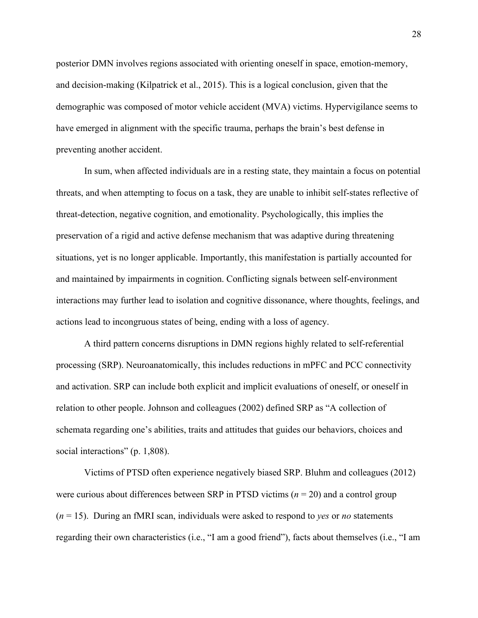posterior DMN involves regions associated with orienting oneself in space, emotion-memory, and decision-making (Kilpatrick et al., 2015). This is a logical conclusion, given that the demographic was composed of motor vehicle accident (MVA) victims. Hypervigilance seems to have emerged in alignment with the specific trauma, perhaps the brain's best defense in preventing another accident.

In sum, when affected individuals are in a resting state, they maintain a focus on potential threats, and when attempting to focus on a task, they are unable to inhibit self-states reflective of threat-detection, negative cognition, and emotionality. Psychologically, this implies the preservation of a rigid and active defense mechanism that was adaptive during threatening situations, yet is no longer applicable. Importantly, this manifestation is partially accounted for and maintained by impairments in cognition. Conflicting signals between self-environment interactions may further lead to isolation and cognitive dissonance, where thoughts, feelings, and actions lead to incongruous states of being, ending with a loss of agency.

A third pattern concerns disruptions in DMN regions highly related to self-referential processing (SRP). Neuroanatomically, this includes reductions in mPFC and PCC connectivity and activation. SRP can include both explicit and implicit evaluations of oneself, or oneself in relation to other people. Johnson and colleagues (2002) defined SRP as "A collection of schemata regarding one's abilities, traits and attitudes that guides our behaviors, choices and social interactions" (p. 1,808).

Victims of PTSD often experience negatively biased SRP. Bluhm and colleagues (2012) were curious about differences between SRP in PTSD victims (*n* = 20) and a control group (*n* = 15). During an fMRI scan, individuals were asked to respond to *yes* or *no* statements regarding their own characteristics (i.e., "I am a good friend"), facts about themselves (i.e., "I am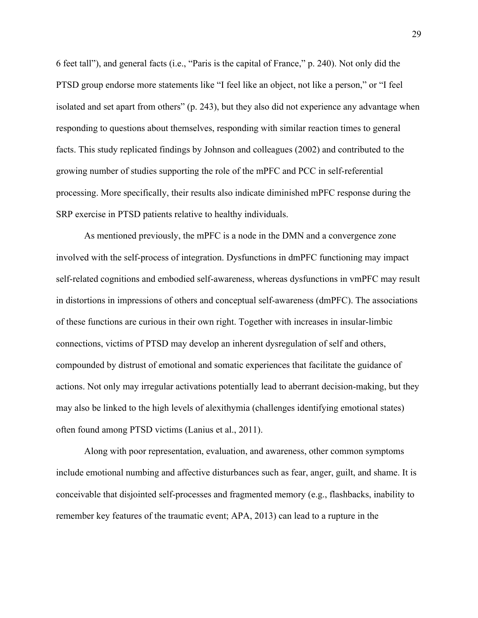6 feet tall"), and general facts (i.e., "Paris is the capital of France," p. 240). Not only did the PTSD group endorse more statements like "I feel like an object, not like a person," or "I feel isolated and set apart from others" (p. 243), but they also did not experience any advantage when responding to questions about themselves, responding with similar reaction times to general facts. This study replicated findings by Johnson and colleagues (2002) and contributed to the growing number of studies supporting the role of the mPFC and PCC in self-referential processing. More specifically, their results also indicate diminished mPFC response during the SRP exercise in PTSD patients relative to healthy individuals.

As mentioned previously, the mPFC is a node in the DMN and a convergence zone involved with the self-process of integration. Dysfunctions in dmPFC functioning may impact self-related cognitions and embodied self-awareness, whereas dysfunctions in vmPFC may result in distortions in impressions of others and conceptual self-awareness (dmPFC). The associations of these functions are curious in their own right. Together with increases in insular-limbic connections, victims of PTSD may develop an inherent dysregulation of self and others, compounded by distrust of emotional and somatic experiences that facilitate the guidance of actions. Not only may irregular activations potentially lead to aberrant decision-making, but they may also be linked to the high levels of alexithymia (challenges identifying emotional states) often found among PTSD victims (Lanius et al., 2011).

Along with poor representation, evaluation, and awareness, other common symptoms include emotional numbing and affective disturbances such as fear, anger, guilt, and shame. It is conceivable that disjointed self-processes and fragmented memory (e.g., flashbacks, inability to remember key features of the traumatic event; APA, 2013) can lead to a rupture in the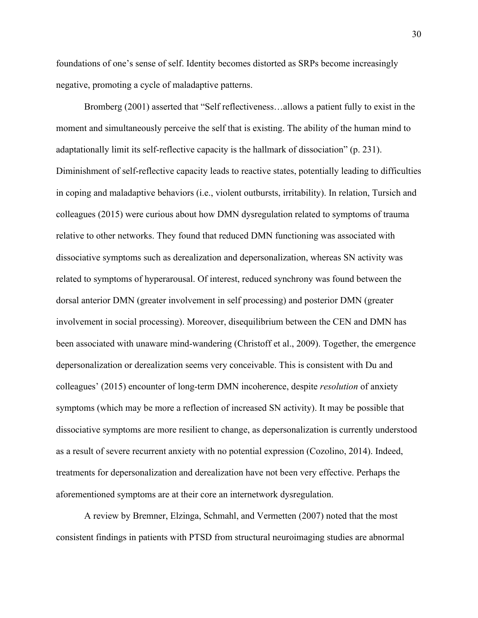foundations of one's sense of self. Identity becomes distorted as SRPs become increasingly negative, promoting a cycle of maladaptive patterns.

Bromberg (2001) asserted that "Self reflectiveness…allows a patient fully to exist in the moment and simultaneously perceive the self that is existing. The ability of the human mind to adaptationally limit its self-reflective capacity is the hallmark of dissociation" (p. 231). Diminishment of self-reflective capacity leads to reactive states, potentially leading to difficulties in coping and maladaptive behaviors (i.e., violent outbursts, irritability). In relation, Tursich and colleagues (2015) were curious about how DMN dysregulation related to symptoms of trauma relative to other networks. They found that reduced DMN functioning was associated with dissociative symptoms such as derealization and depersonalization, whereas SN activity was related to symptoms of hyperarousal. Of interest, reduced synchrony was found between the dorsal anterior DMN (greater involvement in self processing) and posterior DMN (greater involvement in social processing). Moreover, disequilibrium between the CEN and DMN has been associated with unaware mind-wandering (Christoff et al., 2009). Together, the emergence depersonalization or derealization seems very conceivable. This is consistent with Du and colleagues' (2015) encounter of long-term DMN incoherence, despite *resolution* of anxiety symptoms (which may be more a reflection of increased SN activity). It may be possible that dissociative symptoms are more resilient to change, as depersonalization is currently understood as a result of severe recurrent anxiety with no potential expression (Cozolino, 2014). Indeed, treatments for depersonalization and derealization have not been very effective. Perhaps the aforementioned symptoms are at their core an internetwork dysregulation.

A review by Bremner, Elzinga, Schmahl, and Vermetten (2007) noted that the most consistent findings in patients with PTSD from structural neuroimaging studies are abnormal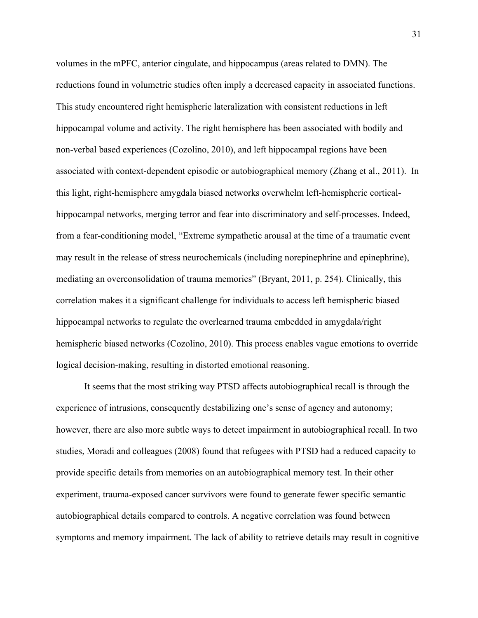volumes in the mPFC, anterior cingulate, and hippocampus (areas related to DMN). The reductions found in volumetric studies often imply a decreased capacity in associated functions. This study encountered right hemispheric lateralization with consistent reductions in left hippocampal volume and activity. The right hemisphere has been associated with bodily and non-verbal based experiences (Cozolino, 2010), and left hippocampal regions have been associated with context-dependent episodic or autobiographical memory (Zhang et al., 2011). In this light, right-hemisphere amygdala biased networks overwhelm left-hemispheric corticalhippocampal networks, merging terror and fear into discriminatory and self-processes. Indeed, from a fear-conditioning model, "Extreme sympathetic arousal at the time of a traumatic event may result in the release of stress neurochemicals (including norepinephrine and epinephrine), mediating an overconsolidation of trauma memories" (Bryant, 2011, p. 254). Clinically, this correlation makes it a significant challenge for individuals to access left hemispheric biased hippocampal networks to regulate the overlearned trauma embedded in amygdala/right hemispheric biased networks (Cozolino, 2010). This process enables vague emotions to override logical decision-making, resulting in distorted emotional reasoning.

It seems that the most striking way PTSD affects autobiographical recall is through the experience of intrusions, consequently destabilizing one's sense of agency and autonomy; however, there are also more subtle ways to detect impairment in autobiographical recall. In two studies, Moradi and colleagues (2008) found that refugees with PTSD had a reduced capacity to provide specific details from memories on an autobiographical memory test. In their other experiment, trauma-exposed cancer survivors were found to generate fewer specific semantic autobiographical details compared to controls. A negative correlation was found between symptoms and memory impairment. The lack of ability to retrieve details may result in cognitive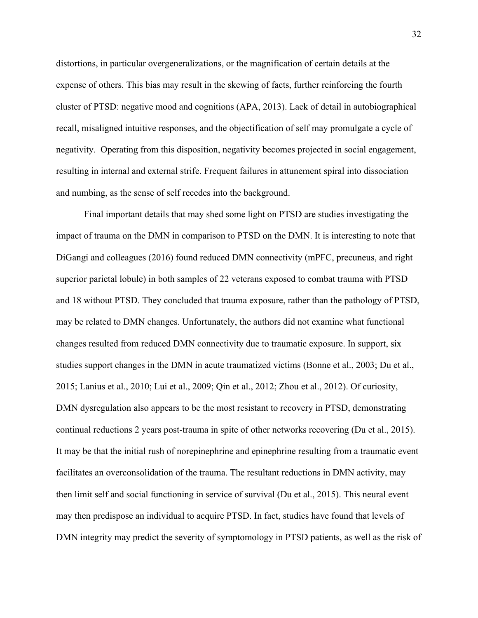distortions, in particular overgeneralizations, or the magnification of certain details at the expense of others. This bias may result in the skewing of facts, further reinforcing the fourth cluster of PTSD: negative mood and cognitions (APA, 2013). Lack of detail in autobiographical recall, misaligned intuitive responses, and the objectification of self may promulgate a cycle of negativity. Operating from this disposition, negativity becomes projected in social engagement, resulting in internal and external strife. Frequent failures in attunement spiral into dissociation and numbing, as the sense of self recedes into the background.

Final important details that may shed some light on PTSD are studies investigating the impact of trauma on the DMN in comparison to PTSD on the DMN. It is interesting to note that DiGangi and colleagues (2016) found reduced DMN connectivity (mPFC, precuneus, and right superior parietal lobule) in both samples of 22 veterans exposed to combat trauma with PTSD and 18 without PTSD. They concluded that trauma exposure, rather than the pathology of PTSD, may be related to DMN changes. Unfortunately, the authors did not examine what functional changes resulted from reduced DMN connectivity due to traumatic exposure. In support, six studies support changes in the DMN in acute traumatized victims (Bonne et al., 2003; Du et al., 2015; Lanius et al., 2010; Lui et al., 2009; Qin et al., 2012; Zhou et al., 2012). Of curiosity, DMN dysregulation also appears to be the most resistant to recovery in PTSD, demonstrating continual reductions 2 years post-trauma in spite of other networks recovering (Du et al., 2015). It may be that the initial rush of norepinephrine and epinephrine resulting from a traumatic event facilitates an overconsolidation of the trauma. The resultant reductions in DMN activity, may then limit self and social functioning in service of survival (Du et al., 2015). This neural event may then predispose an individual to acquire PTSD. In fact, studies have found that levels of DMN integrity may predict the severity of symptomology in PTSD patients, as well as the risk of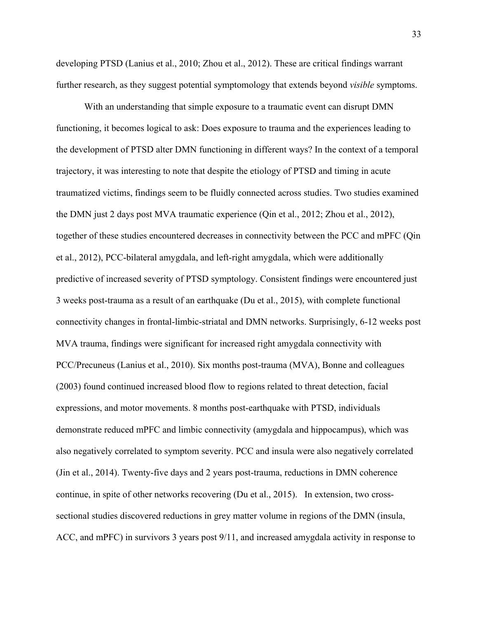developing PTSD (Lanius et al., 2010; Zhou et al., 2012). These are critical findings warrant further research, as they suggest potential symptomology that extends beyond *visible* symptoms.

With an understanding that simple exposure to a traumatic event can disrupt DMN functioning, it becomes logical to ask: Does exposure to trauma and the experiences leading to the development of PTSD alter DMN functioning in different ways? In the context of a temporal trajectory, it was interesting to note that despite the etiology of PTSD and timing in acute traumatized victims, findings seem to be fluidly connected across studies. Two studies examined the DMN just 2 days post MVA traumatic experience (Qin et al., 2012; Zhou et al., 2012), together of these studies encountered decreases in connectivity between the PCC and mPFC (Qin et al., 2012), PCC-bilateral amygdala, and left-right amygdala, which were additionally predictive of increased severity of PTSD symptology. Consistent findings were encountered just 3 weeks post-trauma as a result of an earthquake (Du et al., 2015), with complete functional connectivity changes in frontal-limbic-striatal and DMN networks. Surprisingly, 6-12 weeks post MVA trauma, findings were significant for increased right amygdala connectivity with PCC/Precuneus (Lanius et al., 2010). Six months post-trauma (MVA), Bonne and colleagues (2003) found continued increased blood flow to regions related to threat detection, facial expressions, and motor movements. 8 months post-earthquake with PTSD, individuals demonstrate reduced mPFC and limbic connectivity (amygdala and hippocampus), which was also negatively correlated to symptom severity. PCC and insula were also negatively correlated (Jin et al., 2014). Twenty-five days and 2 years post-trauma, reductions in DMN coherence continue, in spite of other networks recovering (Du et al., 2015). In extension, two crosssectional studies discovered reductions in grey matter volume in regions of the DMN (insula, ACC, and mPFC) in survivors 3 years post 9/11, and increased amygdala activity in response to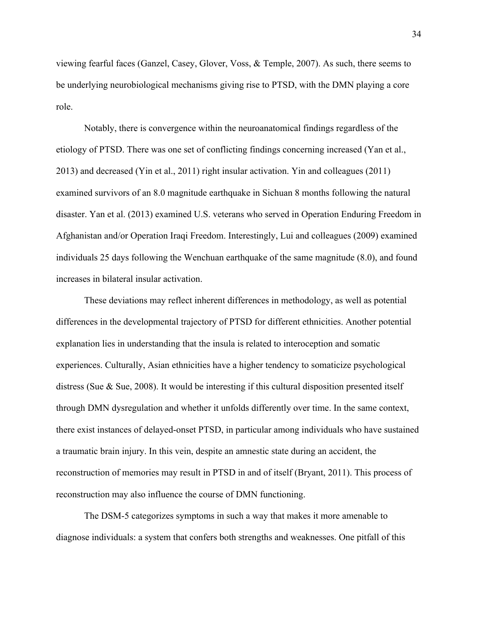viewing fearful faces (Ganzel, Casey, Glover, Voss, & Temple, 2007). As such, there seems to be underlying neurobiological mechanisms giving rise to PTSD, with the DMN playing a core role.

Notably, there is convergence within the neuroanatomical findings regardless of the etiology of PTSD. There was one set of conflicting findings concerning increased (Yan et al., 2013) and decreased (Yin et al., 2011) right insular activation. Yin and colleagues (2011) examined survivors of an 8.0 magnitude earthquake in Sichuan 8 months following the natural disaster. Yan et al. (2013) examined U.S. veterans who served in Operation Enduring Freedom in Afghanistan and/or Operation Iraqi Freedom. Interestingly, Lui and colleagues (2009) examined individuals 25 days following the Wenchuan earthquake of the same magnitude (8.0), and found increases in bilateral insular activation.

These deviations may reflect inherent differences in methodology, as well as potential differences in the developmental trajectory of PTSD for different ethnicities. Another potential explanation lies in understanding that the insula is related to interoception and somatic experiences. Culturally, Asian ethnicities have a higher tendency to somaticize psychological distress (Sue & Sue, 2008). It would be interesting if this cultural disposition presented itself through DMN dysregulation and whether it unfolds differently over time. In the same context, there exist instances of delayed-onset PTSD, in particular among individuals who have sustained a traumatic brain injury. In this vein, despite an amnestic state during an accident, the reconstruction of memories may result in PTSD in and of itself (Bryant, 2011). This process of reconstruction may also influence the course of DMN functioning.

The DSM-5 categorizes symptoms in such a way that makes it more amenable to diagnose individuals: a system that confers both strengths and weaknesses. One pitfall of this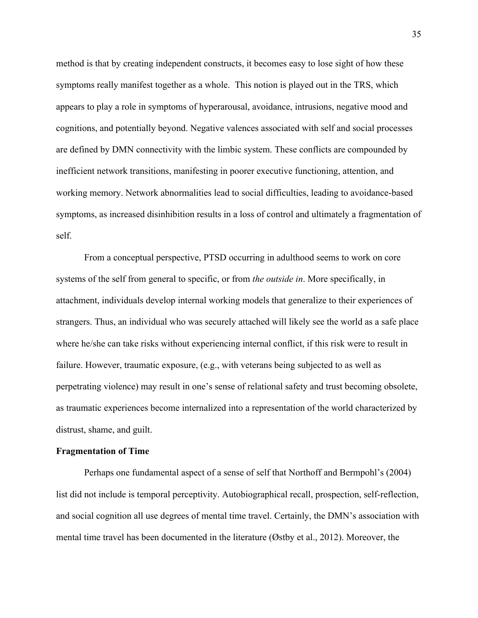method is that by creating independent constructs, it becomes easy to lose sight of how these symptoms really manifest together as a whole. This notion is played out in the TRS, which appears to play a role in symptoms of hyperarousal, avoidance, intrusions, negative mood and cognitions, and potentially beyond. Negative valences associated with self and social processes are defined by DMN connectivity with the limbic system. These conflicts are compounded by inefficient network transitions, manifesting in poorer executive functioning, attention, and working memory. Network abnormalities lead to social difficulties, leading to avoidance-based symptoms, as increased disinhibition results in a loss of control and ultimately a fragmentation of self.

From a conceptual perspective, PTSD occurring in adulthood seems to work on core systems of the self from general to specific, or from *the outside in*. More specifically, in attachment, individuals develop internal working models that generalize to their experiences of strangers. Thus, an individual who was securely attached will likely see the world as a safe place where he/she can take risks without experiencing internal conflict, if this risk were to result in failure. However, traumatic exposure, (e.g., with veterans being subjected to as well as perpetrating violence) may result in one's sense of relational safety and trust becoming obsolete, as traumatic experiences become internalized into a representation of the world characterized by distrust, shame, and guilt.

#### **Fragmentation of Time**

Perhaps one fundamental aspect of a sense of self that Northoff and Bermpohl's (2004) list did not include is temporal perceptivity. Autobiographical recall, prospection, self-reflection, and social cognition all use degrees of mental time travel. Certainly, the DMN's association with mental time travel has been documented in the literature (Østby et al., 2012). Moreover, the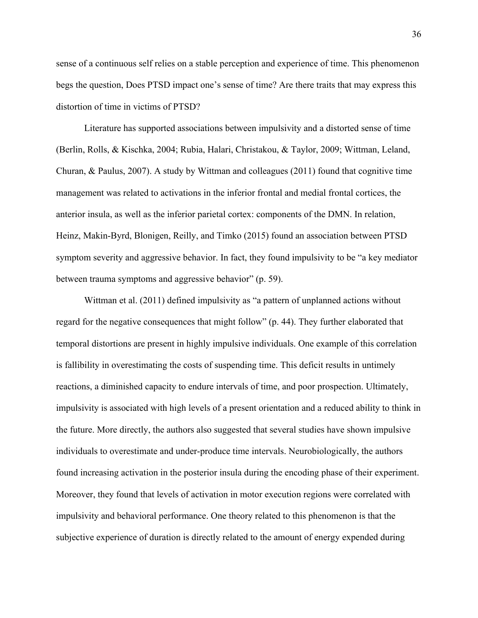sense of a continuous self relies on a stable perception and experience of time. This phenomenon begs the question, Does PTSD impact one's sense of time? Are there traits that may express this distortion of time in victims of PTSD?

Literature has supported associations between impulsivity and a distorted sense of time (Berlin, Rolls, & Kischka, 2004; Rubia, Halari, Christakou, & Taylor, 2009; Wittman, Leland, Churan, & Paulus, 2007). A study by Wittman and colleagues (2011) found that cognitive time management was related to activations in the inferior frontal and medial frontal cortices, the anterior insula, as well as the inferior parietal cortex: components of the DMN. In relation, Heinz, Makin-Byrd, Blonigen, Reilly, and Timko (2015) found an association between PTSD symptom severity and aggressive behavior. In fact, they found impulsivity to be "a key mediator between trauma symptoms and aggressive behavior" (p. 59).

Wittman et al. (2011) defined impulsivity as "a pattern of unplanned actions without regard for the negative consequences that might follow" (p. 44). They further elaborated that temporal distortions are present in highly impulsive individuals. One example of this correlation is fallibility in overestimating the costs of suspending time. This deficit results in untimely reactions, a diminished capacity to endure intervals of time, and poor prospection. Ultimately, impulsivity is associated with high levels of a present orientation and a reduced ability to think in the future. More directly, the authors also suggested that several studies have shown impulsive individuals to overestimate and under-produce time intervals. Neurobiologically, the authors found increasing activation in the posterior insula during the encoding phase of their experiment. Moreover, they found that levels of activation in motor execution regions were correlated with impulsivity and behavioral performance. One theory related to this phenomenon is that the subjective experience of duration is directly related to the amount of energy expended during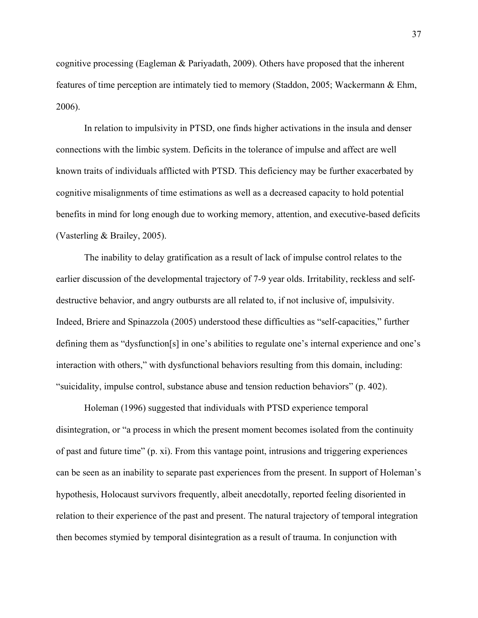cognitive processing (Eagleman & Pariyadath, 2009). Others have proposed that the inherent features of time perception are intimately tied to memory (Staddon, 2005; Wackermann & Ehm, 2006).

In relation to impulsivity in PTSD, one finds higher activations in the insula and denser connections with the limbic system. Deficits in the tolerance of impulse and affect are well known traits of individuals afflicted with PTSD. This deficiency may be further exacerbated by cognitive misalignments of time estimations as well as a decreased capacity to hold potential benefits in mind for long enough due to working memory, attention, and executive-based deficits (Vasterling & Brailey, 2005).

The inability to delay gratification as a result of lack of impulse control relates to the earlier discussion of the developmental trajectory of 7-9 year olds. Irritability, reckless and selfdestructive behavior, and angry outbursts are all related to, if not inclusive of, impulsivity. Indeed, Briere and Spinazzola (2005) understood these difficulties as "self-capacities," further defining them as "dysfunction[s] in one's abilities to regulate one's internal experience and one's interaction with others," with dysfunctional behaviors resulting from this domain, including: "suicidality, impulse control, substance abuse and tension reduction behaviors" (p. 402).

Holeman (1996) suggested that individuals with PTSD experience temporal disintegration, or "a process in which the present moment becomes isolated from the continuity of past and future time" (p. xi). From this vantage point, intrusions and triggering experiences can be seen as an inability to separate past experiences from the present. In support of Holeman's hypothesis, Holocaust survivors frequently, albeit anecdotally, reported feeling disoriented in relation to their experience of the past and present. The natural trajectory of temporal integration then becomes stymied by temporal disintegration as a result of trauma. In conjunction with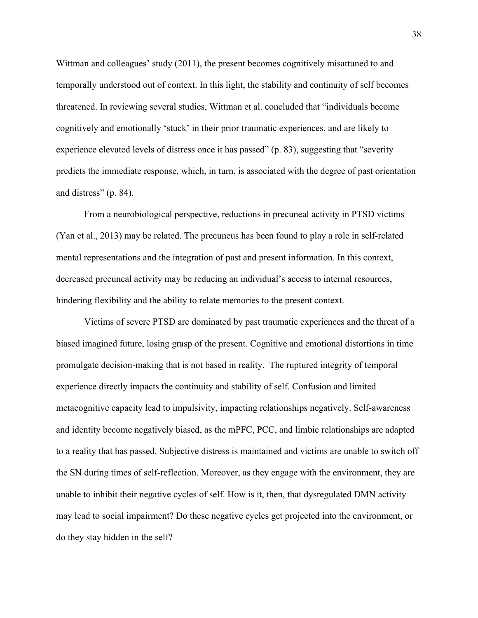Wittman and colleagues' study (2011), the present becomes cognitively misattuned to and temporally understood out of context. In this light, the stability and continuity of self becomes threatened. In reviewing several studies, Wittman et al. concluded that "individuals become cognitively and emotionally 'stuck' in their prior traumatic experiences, and are likely to experience elevated levels of distress once it has passed" (p. 83), suggesting that "severity predicts the immediate response, which, in turn, is associated with the degree of past orientation and distress" (p. 84).

From a neurobiological perspective, reductions in precuneal activity in PTSD victims (Yan et al., 2013) may be related. The precuneus has been found to play a role in self-related mental representations and the integration of past and present information. In this context, decreased precuneal activity may be reducing an individual's access to internal resources, hindering flexibility and the ability to relate memories to the present context.

Victims of severe PTSD are dominated by past traumatic experiences and the threat of a biased imagined future, losing grasp of the present. Cognitive and emotional distortions in time promulgate decision-making that is not based in reality. The ruptured integrity of temporal experience directly impacts the continuity and stability of self. Confusion and limited metacognitive capacity lead to impulsivity, impacting relationships negatively. Self-awareness and identity become negatively biased, as the mPFC, PCC, and limbic relationships are adapted to a reality that has passed. Subjective distress is maintained and victims are unable to switch off the SN during times of self-reflection. Moreover, as they engage with the environment, they are unable to inhibit their negative cycles of self. How is it, then, that dysregulated DMN activity may lead to social impairment? Do these negative cycles get projected into the environment, or do they stay hidden in the self?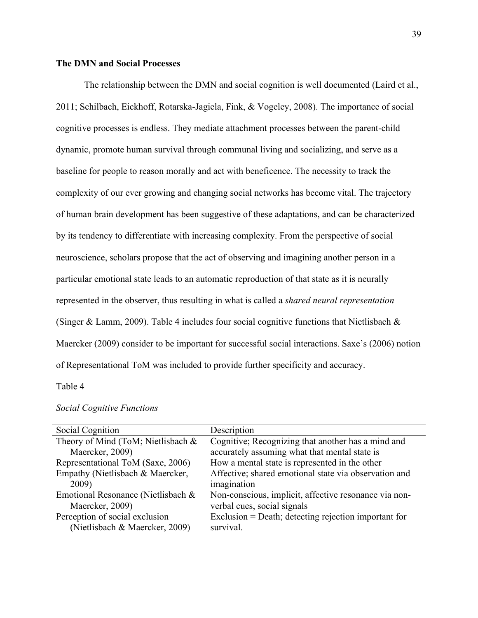## **The DMN and Social Processes**

The relationship between the DMN and social cognition is well documented (Laird et al., 2011; Schilbach, Eickhoff, Rotarska-Jagiela, Fink, & Vogeley, 2008). The importance of social cognitive processes is endless. They mediate attachment processes between the parent-child dynamic, promote human survival through communal living and socializing, and serve as a baseline for people to reason morally and act with beneficence. The necessity to track the complexity of our ever growing and changing social networks has become vital. The trajectory of human brain development has been suggestive of these adaptations, and can be characterized by its tendency to differentiate with increasing complexity. From the perspective of social neuroscience, scholars propose that the act of observing and imagining another person in a particular emotional state leads to an automatic reproduction of that state as it is neurally represented in the observer, thus resulting in what is called a *shared neural representation* (Singer & Lamm, 2009). Table 4 includes four social cognitive functions that Nietlisbach  $\&$ Maercker (2009) consider to be important for successful social interactions. Saxe's (2006) notion of Representational ToM was included to provide further specificity and accuracy.

# Table 4

| Social Cognition                   | Description                                           |
|------------------------------------|-------------------------------------------------------|
| Theory of Mind (ToM; Nietlisbach & | Cognitive; Recognizing that another has a mind and    |
| Maercker, 2009)                    | accurately assuming what that mental state is         |
| Representational ToM (Saxe, 2006)  | How a mental state is represented in the other        |
| Empathy (Nietlisbach & Maercker,   | Affective; shared emotional state via observation and |
| 2009)                              | imagination                                           |
| Emotional Resonance (Nietlisbach & | Non-conscious, implicit, affective resonance via non- |
| Maercker, 2009)                    | verbal cues, social signals                           |
| Perception of social exclusion     | Exclusion = Death; detecting rejection important for  |
| (Nietlisbach & Maercker, 2009)     | survival.                                             |

#### *Social Cognitive Functions*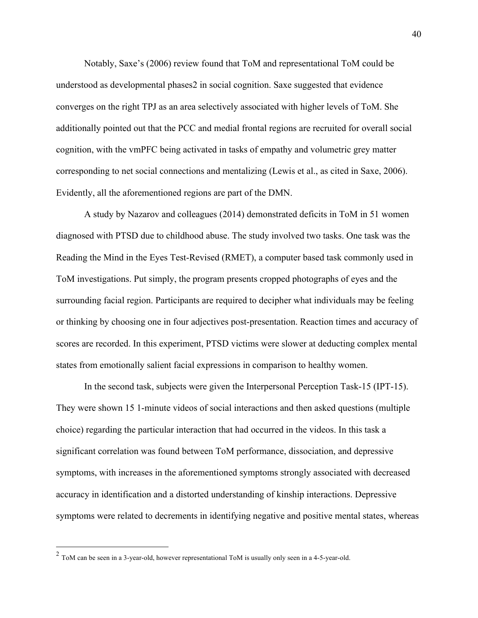Notably, Saxe's (2006) review found that ToM and representational ToM could be understood as developmental phases2 in social cognition. Saxe suggested that evidence converges on the right TPJ as an area selectively associated with higher levels of ToM. She additionally pointed out that the PCC and medial frontal regions are recruited for overall social cognition, with the vmPFC being activated in tasks of empathy and volumetric grey matter corresponding to net social connections and mentalizing (Lewis et al., as cited in Saxe, 2006). Evidently, all the aforementioned regions are part of the DMN.

A study by Nazarov and colleagues (2014) demonstrated deficits in ToM in 51 women diagnosed with PTSD due to childhood abuse. The study involved two tasks. One task was the Reading the Mind in the Eyes Test-Revised (RMET), a computer based task commonly used in ToM investigations. Put simply, the program presents cropped photographs of eyes and the surrounding facial region. Participants are required to decipher what individuals may be feeling or thinking by choosing one in four adjectives post-presentation. Reaction times and accuracy of scores are recorded. In this experiment, PTSD victims were slower at deducting complex mental states from emotionally salient facial expressions in comparison to healthy women.

In the second task, subjects were given the Interpersonal Perception Task-15 (IPT-15). They were shown 15 1-minute videos of social interactions and then asked questions (multiple choice) regarding the particular interaction that had occurred in the videos. In this task a significant correlation was found between ToM performance, dissociation, and depressive symptoms, with increases in the aforementioned symptoms strongly associated with decreased accuracy in identification and a distorted understanding of kinship interactions. Depressive symptoms were related to decrements in identifying negative and positive mental states, whereas

 <sup>2</sup> ToM can be seen in a 3-year-old, however representational ToM is usually only seen in a 4-5-year-old.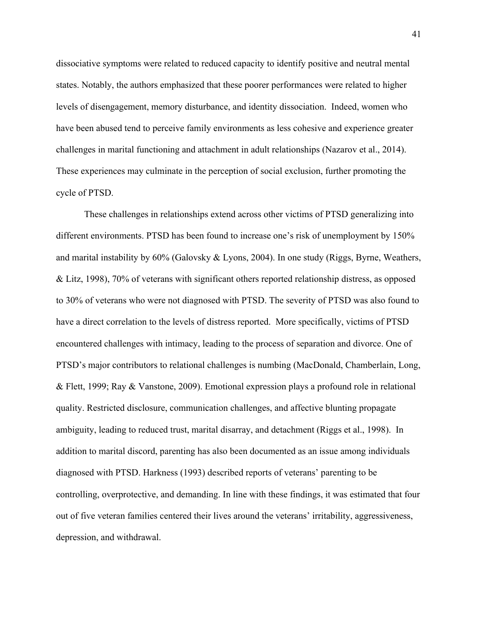dissociative symptoms were related to reduced capacity to identify positive and neutral mental states. Notably, the authors emphasized that these poorer performances were related to higher levels of disengagement, memory disturbance, and identity dissociation. Indeed, women who have been abused tend to perceive family environments as less cohesive and experience greater challenges in marital functioning and attachment in adult relationships (Nazarov et al., 2014). These experiences may culminate in the perception of social exclusion, further promoting the cycle of PTSD.

These challenges in relationships extend across other victims of PTSD generalizing into different environments. PTSD has been found to increase one's risk of unemployment by 150% and marital instability by 60% (Galovsky & Lyons, 2004). In one study (Riggs, Byrne, Weathers, & Litz, 1998), 70% of veterans with significant others reported relationship distress, as opposed to 30% of veterans who were not diagnosed with PTSD. The severity of PTSD was also found to have a direct correlation to the levels of distress reported. More specifically, victims of PTSD encountered challenges with intimacy, leading to the process of separation and divorce. One of PTSD's major contributors to relational challenges is numbing (MacDonald, Chamberlain, Long, & Flett, 1999; Ray & Vanstone, 2009). Emotional expression plays a profound role in relational quality. Restricted disclosure, communication challenges, and affective blunting propagate ambiguity, leading to reduced trust, marital disarray, and detachment (Riggs et al., 1998). In addition to marital discord, parenting has also been documented as an issue among individuals diagnosed with PTSD. Harkness (1993) described reports of veterans' parenting to be controlling, overprotective, and demanding. In line with these findings, it was estimated that four out of five veteran families centered their lives around the veterans' irritability, aggressiveness, depression, and withdrawal.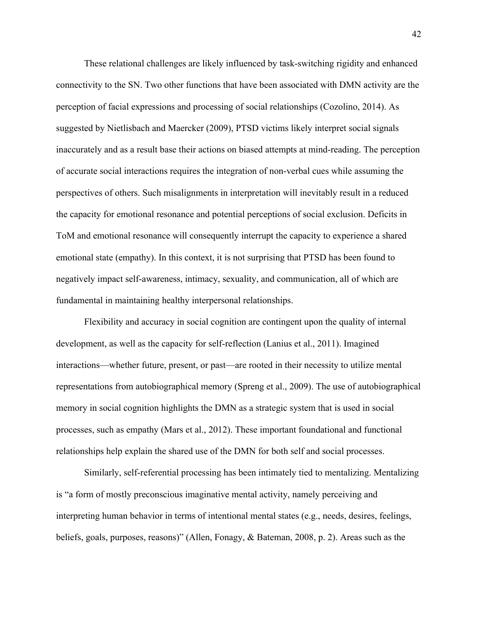These relational challenges are likely influenced by task-switching rigidity and enhanced connectivity to the SN. Two other functions that have been associated with DMN activity are the perception of facial expressions and processing of social relationships (Cozolino, 2014). As suggested by Nietlisbach and Maercker (2009), PTSD victims likely interpret social signals inaccurately and as a result base their actions on biased attempts at mind-reading. The perception of accurate social interactions requires the integration of non-verbal cues while assuming the perspectives of others. Such misalignments in interpretation will inevitably result in a reduced the capacity for emotional resonance and potential perceptions of social exclusion. Deficits in ToM and emotional resonance will consequently interrupt the capacity to experience a shared emotional state (empathy). In this context, it is not surprising that PTSD has been found to negatively impact self-awareness, intimacy, sexuality, and communication, all of which are fundamental in maintaining healthy interpersonal relationships.

Flexibility and accuracy in social cognition are contingent upon the quality of internal development, as well as the capacity for self-reflection (Lanius et al., 2011). Imagined interactions—whether future, present, or past—are rooted in their necessity to utilize mental representations from autobiographical memory (Spreng et al., 2009). The use of autobiographical memory in social cognition highlights the DMN as a strategic system that is used in social processes, such as empathy (Mars et al., 2012). These important foundational and functional relationships help explain the shared use of the DMN for both self and social processes.

Similarly, self-referential processing has been intimately tied to mentalizing. Mentalizing is "a form of mostly preconscious imaginative mental activity, namely perceiving and interpreting human behavior in terms of intentional mental states (e.g., needs, desires, feelings, beliefs, goals, purposes, reasons)" (Allen, Fonagy, & Bateman, 2008, p. 2). Areas such as the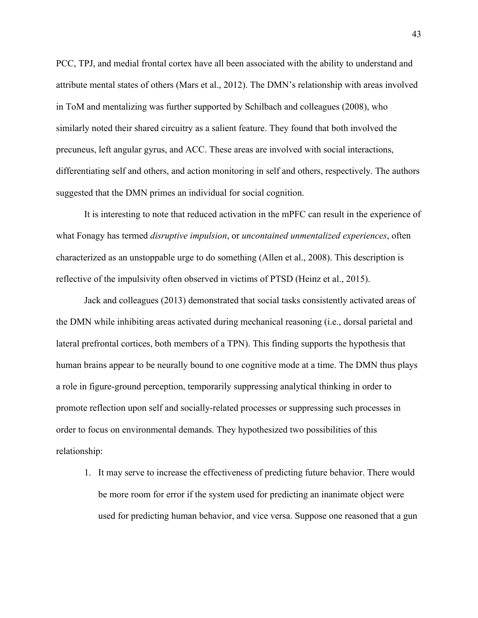PCC, TPJ, and medial frontal cortex have all been associated with the ability to understand and attribute mental states of others (Mars et al., 2012). The DMN's relationship with areas involved in ToM and mentalizing was further supported by Schilbach and colleagues (2008), who similarly noted their shared circuitry as a salient feature. They found that both involved the precuneus, left angular gyrus, and ACC. These areas are involved with social interactions, differentiating self and others, and action monitoring in self and others, respectively. The authors suggested that the DMN primes an individual for social cognition.

It is interesting to note that reduced activation in the mPFC can result in the experience of what Fonagy has termed *disruptive impulsion*, or *uncontained unmentalized experiences*, often characterized as an unstoppable urge to do something (Allen et al., 2008). This description is reflective of the impulsivity often observed in victims of PTSD (Heinz et al., 2015).

Jack and colleagues (2013) demonstrated that social tasks consistently activated areas of the DMN while inhibiting areas activated during mechanical reasoning (i.e., dorsal parietal and lateral prefrontal cortices, both members of a TPN). This finding supports the hypothesis that human brains appear to be neurally bound to one cognitive mode at a time. The DMN thus plays a role in figure-ground perception, temporarily suppressing analytical thinking in order to promote reflection upon self and socially-related processes or suppressing such processes in order to focus on environmental demands. They hypothesized two possibilities of this relationship:

1. It may serve to increase the effectiveness of predicting future behavior. There would be more room for error if the system used for predicting an inanimate object were used for predicting human behavior, and vice versa. Suppose one reasoned that a gun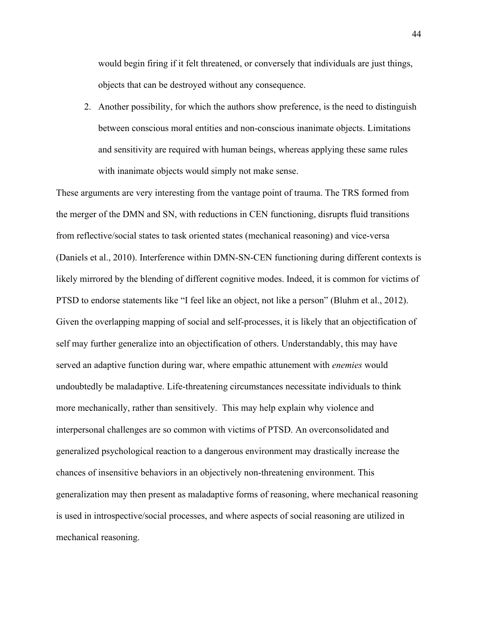would begin firing if it felt threatened, or conversely that individuals are just things, objects that can be destroyed without any consequence.

2. Another possibility, for which the authors show preference, is the need to distinguish between conscious moral entities and non-conscious inanimate objects. Limitations and sensitivity are required with human beings, whereas applying these same rules with inanimate objects would simply not make sense.

These arguments are very interesting from the vantage point of trauma. The TRS formed from the merger of the DMN and SN, with reductions in CEN functioning, disrupts fluid transitions from reflective/social states to task oriented states (mechanical reasoning) and vice-versa (Daniels et al., 2010). Interference within DMN-SN-CEN functioning during different contexts is likely mirrored by the blending of different cognitive modes. Indeed, it is common for victims of PTSD to endorse statements like "I feel like an object, not like a person" (Bluhm et al., 2012). Given the overlapping mapping of social and self-processes, it is likely that an objectification of self may further generalize into an objectification of others. Understandably, this may have served an adaptive function during war, where empathic attunement with *enemies* would undoubtedly be maladaptive. Life-threatening circumstances necessitate individuals to think more mechanically, rather than sensitively. This may help explain why violence and interpersonal challenges are so common with victims of PTSD. An overconsolidated and generalized psychological reaction to a dangerous environment may drastically increase the chances of insensitive behaviors in an objectively non-threatening environment. This generalization may then present as maladaptive forms of reasoning, where mechanical reasoning is used in introspective/social processes, and where aspects of social reasoning are utilized in mechanical reasoning.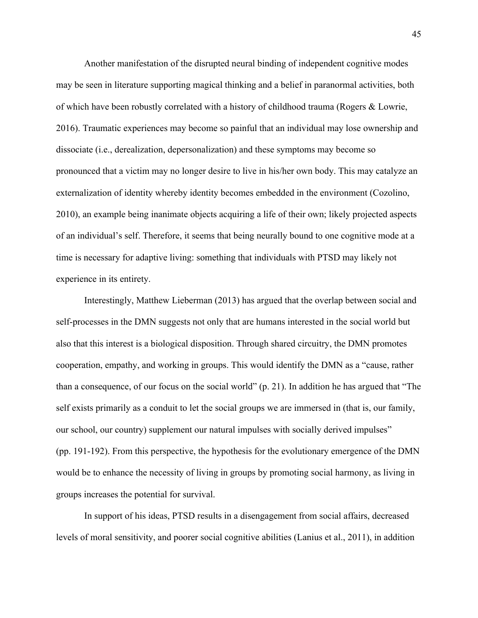Another manifestation of the disrupted neural binding of independent cognitive modes may be seen in literature supporting magical thinking and a belief in paranormal activities, both of which have been robustly correlated with a history of childhood trauma (Rogers & Lowrie, 2016). Traumatic experiences may become so painful that an individual may lose ownership and dissociate (i.e., derealization, depersonalization) and these symptoms may become so pronounced that a victim may no longer desire to live in his/her own body. This may catalyze an externalization of identity whereby identity becomes embedded in the environment (Cozolino, 2010), an example being inanimate objects acquiring a life of their own; likely projected aspects of an individual's self. Therefore, it seems that being neurally bound to one cognitive mode at a time is necessary for adaptive living: something that individuals with PTSD may likely not experience in its entirety.

Interestingly, Matthew Lieberman (2013) has argued that the overlap between social and self-processes in the DMN suggests not only that are humans interested in the social world but also that this interest is a biological disposition. Through shared circuitry, the DMN promotes cooperation, empathy, and working in groups. This would identify the DMN as a "cause, rather than a consequence, of our focus on the social world" (p. 21). In addition he has argued that "The self exists primarily as a conduit to let the social groups we are immersed in (that is, our family, our school, our country) supplement our natural impulses with socially derived impulses" (pp. 191-192). From this perspective, the hypothesis for the evolutionary emergence of the DMN would be to enhance the necessity of living in groups by promoting social harmony, as living in groups increases the potential for survival.

In support of his ideas, PTSD results in a disengagement from social affairs, decreased levels of moral sensitivity, and poorer social cognitive abilities (Lanius et al., 2011), in addition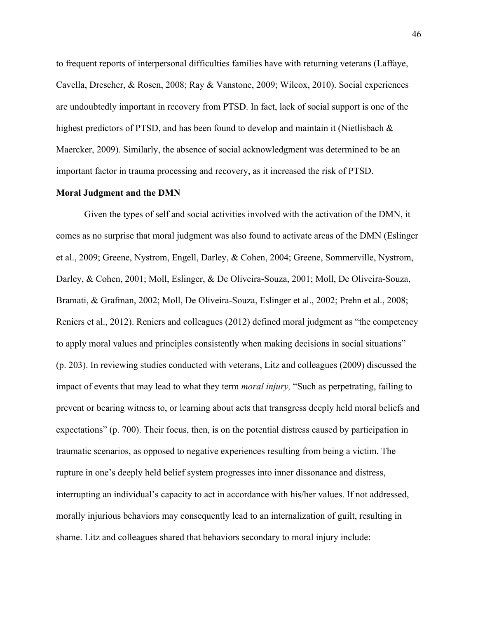to frequent reports of interpersonal difficulties families have with returning veterans (Laffaye, Cavella, Drescher, & Rosen, 2008; Ray & Vanstone, 2009; Wilcox, 2010). Social experiences are undoubtedly important in recovery from PTSD. In fact, lack of social support is one of the highest predictors of PTSD, and has been found to develop and maintain it (Nietlisbach & Maercker, 2009). Similarly, the absence of social acknowledgment was determined to be an important factor in trauma processing and recovery, as it increased the risk of PTSD.

## **Moral Judgment and the DMN**

Given the types of self and social activities involved with the activation of the DMN, it comes as no surprise that moral judgment was also found to activate areas of the DMN (Eslinger et al., 2009; Greene, Nystrom, Engell, Darley, & Cohen, 2004; Greene, Sommerville, Nystrom, Darley, & Cohen, 2001; Moll, Eslinger, & De Oliveira-Souza, 2001; Moll, De Oliveira-Souza, Bramati, & Grafman, 2002; Moll, De Oliveira-Souza, Eslinger et al., 2002; Prehn et al., 2008; Reniers et al., 2012). Reniers and colleagues (2012) defined moral judgment as "the competency to apply moral values and principles consistently when making decisions in social situations" (p. 203). In reviewing studies conducted with veterans, Litz and colleagues (2009) discussed the impact of events that may lead to what they term *moral injury,* "Such as perpetrating, failing to prevent or bearing witness to, or learning about acts that transgress deeply held moral beliefs and expectations" (p. 700). Their focus, then, is on the potential distress caused by participation in traumatic scenarios, as opposed to negative experiences resulting from being a victim. The rupture in one's deeply held belief system progresses into inner dissonance and distress, interrupting an individual's capacity to act in accordance with his/her values. If not addressed, morally injurious behaviors may consequently lead to an internalization of guilt, resulting in shame. Litz and colleagues shared that behaviors secondary to moral injury include: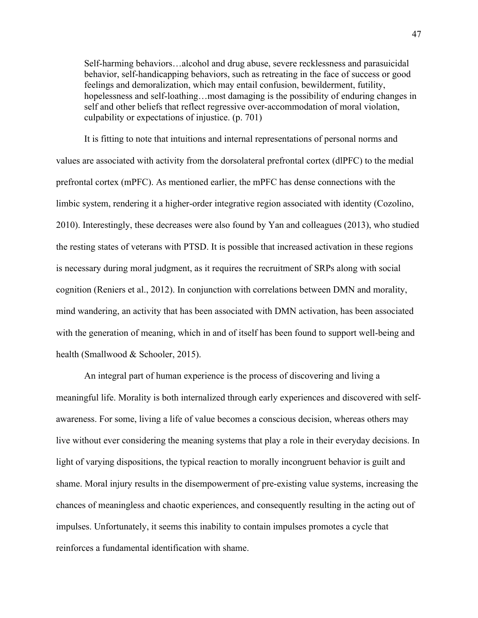Self-harming behaviors…alcohol and drug abuse, severe recklessness and parasuicidal behavior, self-handicapping behaviors, such as retreating in the face of success or good feelings and demoralization, which may entail confusion, bewilderment, futility, hopelessness and self-loathing...most damaging is the possibility of enduring changes in self and other beliefs that reflect regressive over-accommodation of moral violation, culpability or expectations of injustice. (p. 701)

It is fitting to note that intuitions and internal representations of personal norms and values are associated with activity from the dorsolateral prefrontal cortex (dlPFC) to the medial prefrontal cortex (mPFC). As mentioned earlier, the mPFC has dense connections with the limbic system, rendering it a higher-order integrative region associated with identity (Cozolino, 2010). Interestingly, these decreases were also found by Yan and colleagues (2013), who studied the resting states of veterans with PTSD. It is possible that increased activation in these regions is necessary during moral judgment, as it requires the recruitment of SRPs along with social cognition (Reniers et al., 2012). In conjunction with correlations between DMN and morality, mind wandering, an activity that has been associated with DMN activation, has been associated with the generation of meaning, which in and of itself has been found to support well-being and health (Smallwood & Schooler, 2015).

An integral part of human experience is the process of discovering and living a meaningful life. Morality is both internalized through early experiences and discovered with selfawareness. For some, living a life of value becomes a conscious decision, whereas others may live without ever considering the meaning systems that play a role in their everyday decisions. In light of varying dispositions, the typical reaction to morally incongruent behavior is guilt and shame. Moral injury results in the disempowerment of pre-existing value systems, increasing the chances of meaningless and chaotic experiences, and consequently resulting in the acting out of impulses. Unfortunately, it seems this inability to contain impulses promotes a cycle that reinforces a fundamental identification with shame.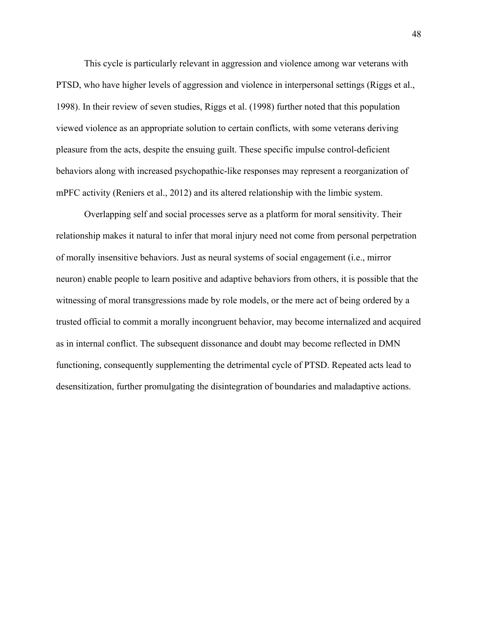This cycle is particularly relevant in aggression and violence among war veterans with PTSD, who have higher levels of aggression and violence in interpersonal settings (Riggs et al., 1998). In their review of seven studies, Riggs et al. (1998) further noted that this population viewed violence as an appropriate solution to certain conflicts, with some veterans deriving pleasure from the acts, despite the ensuing guilt. These specific impulse control-deficient behaviors along with increased psychopathic-like responses may represent a reorganization of mPFC activity (Reniers et al., 2012) and its altered relationship with the limbic system.

Overlapping self and social processes serve as a platform for moral sensitivity. Their relationship makes it natural to infer that moral injury need not come from personal perpetration of morally insensitive behaviors. Just as neural systems of social engagement (i.e., mirror neuron) enable people to learn positive and adaptive behaviors from others, it is possible that the witnessing of moral transgressions made by role models, or the mere act of being ordered by a trusted official to commit a morally incongruent behavior, may become internalized and acquired as in internal conflict. The subsequent dissonance and doubt may become reflected in DMN functioning, consequently supplementing the detrimental cycle of PTSD. Repeated acts lead to desensitization, further promulgating the disintegration of boundaries and maladaptive actions.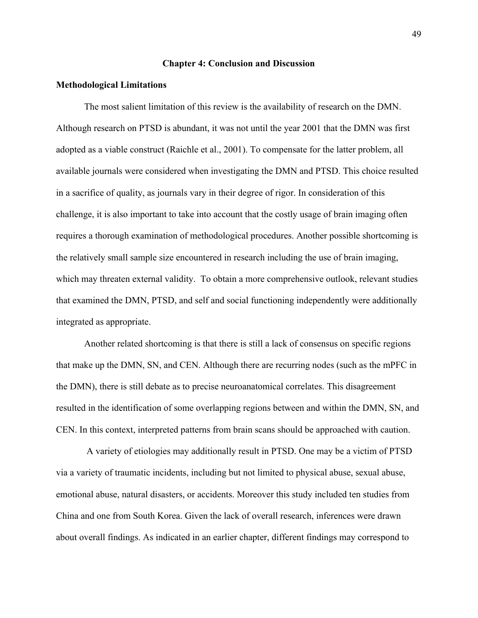#### **Chapter 4: Conclusion and Discussion**

#### **Methodological Limitations**

The most salient limitation of this review is the availability of research on the DMN. Although research on PTSD is abundant, it was not until the year 2001 that the DMN was first adopted as a viable construct (Raichle et al., 2001). To compensate for the latter problem, all available journals were considered when investigating the DMN and PTSD. This choice resulted in a sacrifice of quality, as journals vary in their degree of rigor. In consideration of this challenge, it is also important to take into account that the costly usage of brain imaging often requires a thorough examination of methodological procedures. Another possible shortcoming is the relatively small sample size encountered in research including the use of brain imaging, which may threaten external validity. To obtain a more comprehensive outlook, relevant studies that examined the DMN, PTSD, and self and social functioning independently were additionally integrated as appropriate.

Another related shortcoming is that there is still a lack of consensus on specific regions that make up the DMN, SN, and CEN. Although there are recurring nodes (such as the mPFC in the DMN), there is still debate as to precise neuroanatomical correlates. This disagreement resulted in the identification of some overlapping regions between and within the DMN, SN, and CEN. In this context, interpreted patterns from brain scans should be approached with caution.

A variety of etiologies may additionally result in PTSD. One may be a victim of PTSD via a variety of traumatic incidents, including but not limited to physical abuse, sexual abuse, emotional abuse, natural disasters, or accidents. Moreover this study included ten studies from China and one from South Korea. Given the lack of overall research, inferences were drawn about overall findings. As indicated in an earlier chapter, different findings may correspond to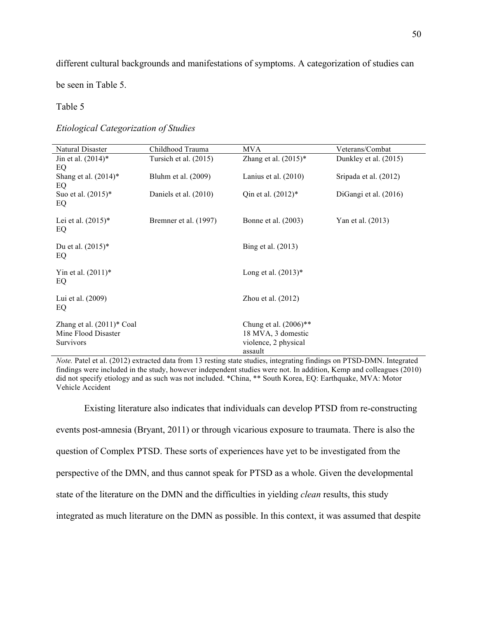different cultural backgrounds and manifestations of symptoms. A categorization of studies can

be seen in Table 5.

#### Table 5

*Etiological Categorization of Studies*

| Natural Disaster                                                        | Childhood Trauma      | <b>MVA</b>                                                                                   | Veterans/Combat       |
|-------------------------------------------------------------------------|-----------------------|----------------------------------------------------------------------------------------------|-----------------------|
| Jin et al. $(2014)^*$<br>EQ                                             | Tursich et al. (2015) | Zhang et al. $(2015)^*$                                                                      | Dunkley et al. (2015) |
| Shang et al. $(2014)^*$<br>EQ                                           | Bluhm et al. (2009)   | Lanius et al. $(2010)$                                                                       | Sripada et al. (2012) |
| Suo et al. $(2015)^*$<br>EQ                                             | Daniels et al. (2010) | Qin et al. $(2012)*$                                                                         | DiGangi et al. (2016) |
| Lei et al. $(2015)^*$<br>EQ                                             | Bremner et al. (1997) | Bonne et al. (2003)                                                                          | Yan et al. (2013)     |
| Du et al. $(2015)^*$<br>EQ                                              |                       | Bing et al. (2013)                                                                           |                       |
| Yin et al. $(2011)^*$<br>EQ                                             |                       | Long et al. $(2013)*$                                                                        |                       |
| Lui et al. (2009)<br>EQ                                                 |                       | Zhou et al. $(2012)$                                                                         |                       |
| Zhang et al. $(2011)^*$ Coal<br>Mine Flood Disaster<br><b>Survivors</b> |                       | Chung et al. $(2006)$ <sup>**</sup><br>18 MVA, 3 domestic<br>violence, 2 physical<br>assault |                       |

*Note.* Patel et al. (2012) extracted data from 13 resting state studies, integrating findings on PTSD-DMN. Integrated findings were included in the study, however independent studies were not. In addition, Kemp and colleagues (2010) did not specify etiology and as such was not included. \*China, \*\* South Korea, EQ: Earthquake, MVA: Motor Vehicle Accident

Existing literature also indicates that individuals can develop PTSD from re-constructing events post-amnesia (Bryant, 2011) or through vicarious exposure to traumata. There is also the question of Complex PTSD. These sorts of experiences have yet to be investigated from the perspective of the DMN, and thus cannot speak for PTSD as a whole. Given the developmental state of the literature on the DMN and the difficulties in yielding *clean* results, this study integrated as much literature on the DMN as possible. In this context, it was assumed that despite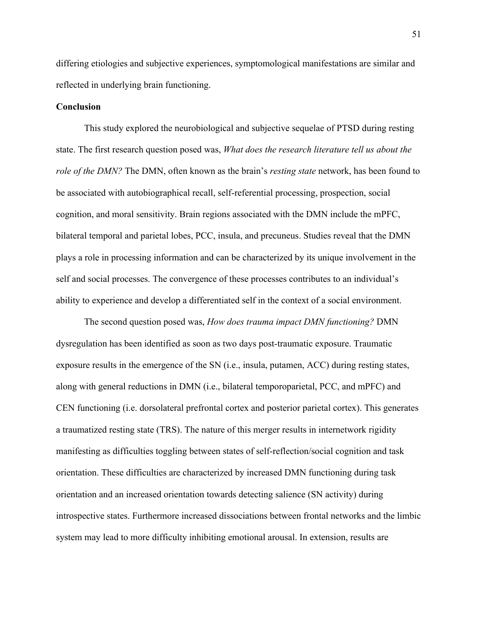differing etiologies and subjective experiences, symptomological manifestations are similar and reflected in underlying brain functioning.

# **Conclusion**

This study explored the neurobiological and subjective sequelae of PTSD during resting state. The first research question posed was, *What does the research literature tell us about the role of the DMN?* The DMN, often known as the brain's *resting state* network, has been found to be associated with autobiographical recall, self-referential processing, prospection, social cognition, and moral sensitivity. Brain regions associated with the DMN include the mPFC, bilateral temporal and parietal lobes, PCC, insula, and precuneus. Studies reveal that the DMN plays a role in processing information and can be characterized by its unique involvement in the self and social processes. The convergence of these processes contributes to an individual's ability to experience and develop a differentiated self in the context of a social environment.

The second question posed was, *How does trauma impact DMN functioning?* DMN dysregulation has been identified as soon as two days post-traumatic exposure. Traumatic exposure results in the emergence of the SN (i.e., insula, putamen, ACC) during resting states, along with general reductions in DMN (i.e., bilateral temporoparietal, PCC, and mPFC) and CEN functioning (i.e. dorsolateral prefrontal cortex and posterior parietal cortex). This generates a traumatized resting state (TRS). The nature of this merger results in internetwork rigidity manifesting as difficulties toggling between states of self-reflection/social cognition and task orientation. These difficulties are characterized by increased DMN functioning during task orientation and an increased orientation towards detecting salience (SN activity) during introspective states. Furthermore increased dissociations between frontal networks and the limbic system may lead to more difficulty inhibiting emotional arousal. In extension, results are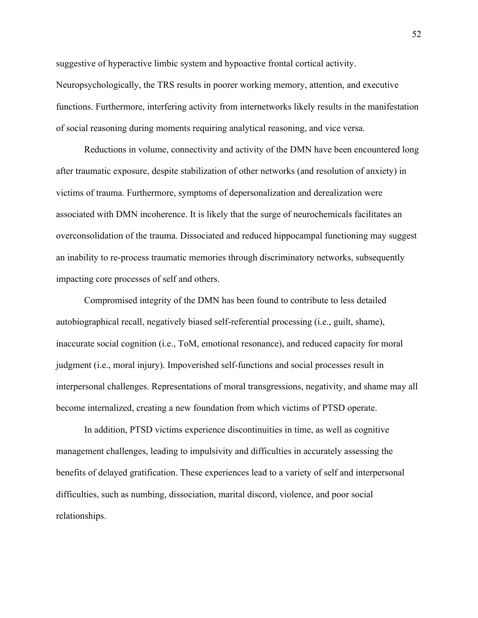suggestive of hyperactive limbic system and hypoactive frontal cortical activity. Neuropsychologically, the TRS results in poorer working memory, attention, and executive functions. Furthermore, interfering activity from internetworks likely results in the manifestation of social reasoning during moments requiring analytical reasoning, and vice versa.

Reductions in volume, connectivity and activity of the DMN have been encountered long after traumatic exposure, despite stabilization of other networks (and resolution of anxiety) in victims of trauma. Furthermore, symptoms of depersonalization and derealization were associated with DMN incoherence. It is likely that the surge of neurochemicals facilitates an overconsolidation of the trauma. Dissociated and reduced hippocampal functioning may suggest an inability to re-process traumatic memories through discriminatory networks, subsequently impacting core processes of self and others.

Compromised integrity of the DMN has been found to contribute to less detailed autobiographical recall, negatively biased self-referential processing (i.e., guilt, shame), inaccurate social cognition (i.e., ToM, emotional resonance), and reduced capacity for moral judgment (i.e., moral injury). Impoverished self-functions and social processes result in interpersonal challenges. Representations of moral transgressions, negativity, and shame may all become internalized, creating a new foundation from which victims of PTSD operate.

In addition, PTSD victims experience discontinuities in time, as well as cognitive management challenges, leading to impulsivity and difficulties in accurately assessing the benefits of delayed gratification. These experiences lead to a variety of self and interpersonal difficulties, such as numbing, dissociation, marital discord, violence, and poor social relationships.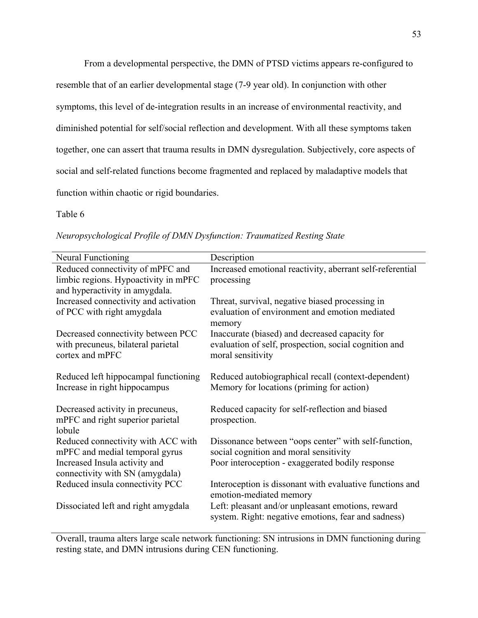From a developmental perspective, the DMN of PTSD victims appears re-configured to resemble that of an earlier developmental stage (7-9 year old). In conjunction with other symptoms, this level of de-integration results in an increase of environmental reactivity, and diminished potential for self/social reflection and development. With all these symptoms taken together, one can assert that trauma results in DMN dysregulation. Subjectively, core aspects of social and self-related functions become fragmented and replaced by maladaptive models that function within chaotic or rigid boundaries.

# Table 6

| <b>Neural Functioning</b>             | Description                                               |
|---------------------------------------|-----------------------------------------------------------|
| Reduced connectivity of mPFC and      | Increased emotional reactivity, aberrant self-referential |
| limbic regions. Hypoactivity in mPFC  | processing                                                |
| and hyperactivity in amygdala.        |                                                           |
| Increased connectivity and activation | Threat, survival, negative biased processing in           |
| of PCC with right amygdala            | evaluation of environment and emotion mediated            |
|                                       | memory                                                    |
| Decreased connectivity between PCC    | Inaccurate (biased) and decreased capacity for            |
| with precuneus, bilateral parietal    | evaluation of self, prospection, social cognition and     |
| cortex and mPFC                       | moral sensitivity                                         |
|                                       |                                                           |
| Reduced left hippocampal functioning  | Reduced autobiographical recall (context-dependent)       |
| Increase in right hippocampus         | Memory for locations (priming for action)                 |
|                                       |                                                           |
| Decreased activity in precuneus,      | Reduced capacity for self-reflection and biased           |
| mPFC and right superior parietal      | prospection.                                              |
| lobule                                |                                                           |
| Reduced connectivity with ACC with    | Dissonance between "oops center" with self-function,      |
| mPFC and medial temporal gyrus        | social cognition and moral sensitivity                    |
| Increased Insula activity and         | Poor interoception - exaggerated bodily response          |
| connectivity with SN (amygdala)       |                                                           |
| Reduced insula connectivity PCC       | Interoception is dissonant with evaluative functions and  |
|                                       | emotion-mediated memory                                   |
| Dissociated left and right amygdala   | Left: pleasant and/or unpleasant emotions, reward         |
|                                       | system. Right: negative emotions, fear and sadness)       |

*Neuropsychological Profile of DMN Dysfunction: Traumatized Resting State*

Overall, trauma alters large scale network functioning: SN intrusions in DMN functioning during resting state, and DMN intrusions during CEN functioning.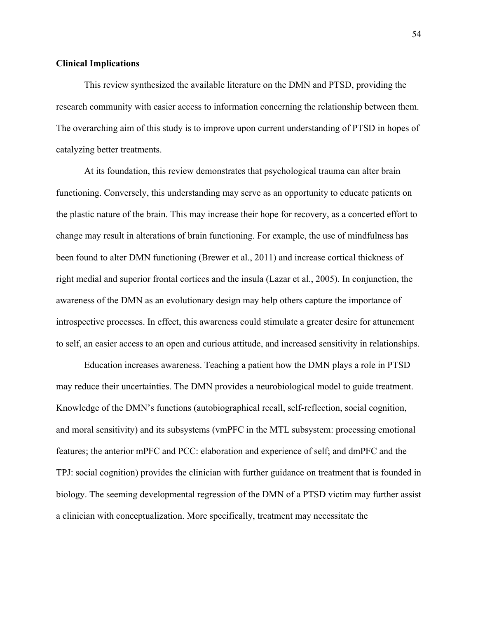## **Clinical Implications**

This review synthesized the available literature on the DMN and PTSD, providing the research community with easier access to information concerning the relationship between them. The overarching aim of this study is to improve upon current understanding of PTSD in hopes of catalyzing better treatments.

At its foundation, this review demonstrates that psychological trauma can alter brain functioning. Conversely, this understanding may serve as an opportunity to educate patients on the plastic nature of the brain. This may increase their hope for recovery, as a concerted effort to change may result in alterations of brain functioning. For example, the use of mindfulness has been found to alter DMN functioning (Brewer et al., 2011) and increase cortical thickness of right medial and superior frontal cortices and the insula (Lazar et al., 2005). In conjunction, the awareness of the DMN as an evolutionary design may help others capture the importance of introspective processes. In effect, this awareness could stimulate a greater desire for attunement to self, an easier access to an open and curious attitude, and increased sensitivity in relationships.

Education increases awareness. Teaching a patient how the DMN plays a role in PTSD may reduce their uncertainties. The DMN provides a neurobiological model to guide treatment. Knowledge of the DMN's functions (autobiographical recall, self-reflection, social cognition, and moral sensitivity) and its subsystems (vmPFC in the MTL subsystem: processing emotional features; the anterior mPFC and PCC: elaboration and experience of self; and dmPFC and the TPJ: social cognition) provides the clinician with further guidance on treatment that is founded in biology. The seeming developmental regression of the DMN of a PTSD victim may further assist a clinician with conceptualization. More specifically, treatment may necessitate the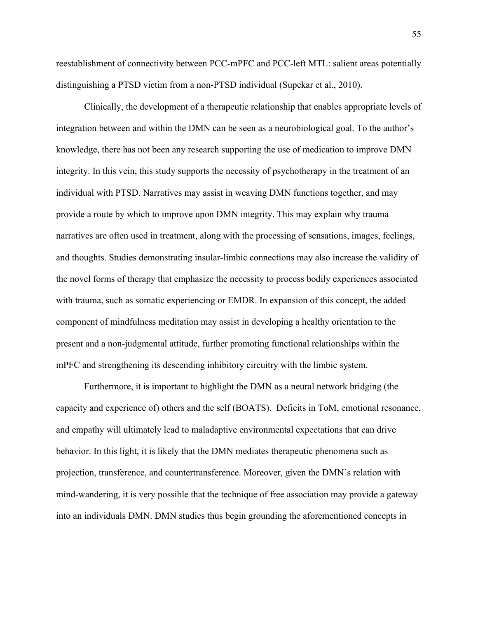reestablishment of connectivity between PCC-mPFC and PCC-left MTL: salient areas potentially distinguishing a PTSD victim from a non-PTSD individual (Supekar et al., 2010).

Clinically, the development of a therapeutic relationship that enables appropriate levels of integration between and within the DMN can be seen as a neurobiological goal. To the author's knowledge, there has not been any research supporting the use of medication to improve DMN integrity. In this vein, this study supports the necessity of psychotherapy in the treatment of an individual with PTSD. Narratives may assist in weaving DMN functions together, and may provide a route by which to improve upon DMN integrity. This may explain why trauma narratives are often used in treatment, along with the processing of sensations, images, feelings, and thoughts. Studies demonstrating insular-limbic connections may also increase the validity of the novel forms of therapy that emphasize the necessity to process bodily experiences associated with trauma, such as somatic experiencing or EMDR. In expansion of this concept, the added component of mindfulness meditation may assist in developing a healthy orientation to the present and a non-judgmental attitude, further promoting functional relationships within the mPFC and strengthening its descending inhibitory circuitry with the limbic system.

Furthermore, it is important to highlight the DMN as a neural network bridging (the capacity and experience of) others and the self (BOATS). Deficits in ToM, emotional resonance, and empathy will ultimately lead to maladaptive environmental expectations that can drive behavior. In this light, it is likely that the DMN mediates therapeutic phenomena such as projection, transference, and countertransference. Moreover, given the DMN's relation with mind-wandering, it is very possible that the technique of free association may provide a gateway into an individuals DMN. DMN studies thus begin grounding the aforementioned concepts in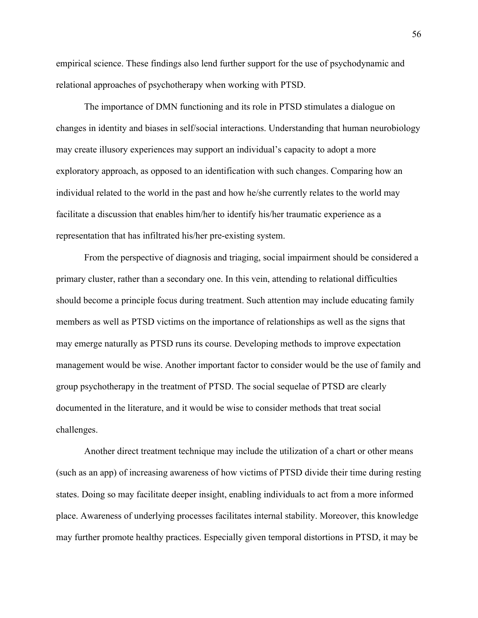empirical science. These findings also lend further support for the use of psychodynamic and relational approaches of psychotherapy when working with PTSD.

The importance of DMN functioning and its role in PTSD stimulates a dialogue on changes in identity and biases in self/social interactions. Understanding that human neurobiology may create illusory experiences may support an individual's capacity to adopt a more exploratory approach, as opposed to an identification with such changes. Comparing how an individual related to the world in the past and how he/she currently relates to the world may facilitate a discussion that enables him/her to identify his/her traumatic experience as a representation that has infiltrated his/her pre-existing system.

From the perspective of diagnosis and triaging, social impairment should be considered a primary cluster, rather than a secondary one. In this vein, attending to relational difficulties should become a principle focus during treatment. Such attention may include educating family members as well as PTSD victims on the importance of relationships as well as the signs that may emerge naturally as PTSD runs its course. Developing methods to improve expectation management would be wise. Another important factor to consider would be the use of family and group psychotherapy in the treatment of PTSD. The social sequelae of PTSD are clearly documented in the literature, and it would be wise to consider methods that treat social challenges.

Another direct treatment technique may include the utilization of a chart or other means (such as an app) of increasing awareness of how victims of PTSD divide their time during resting states. Doing so may facilitate deeper insight, enabling individuals to act from a more informed place. Awareness of underlying processes facilitates internal stability. Moreover, this knowledge may further promote healthy practices. Especially given temporal distortions in PTSD, it may be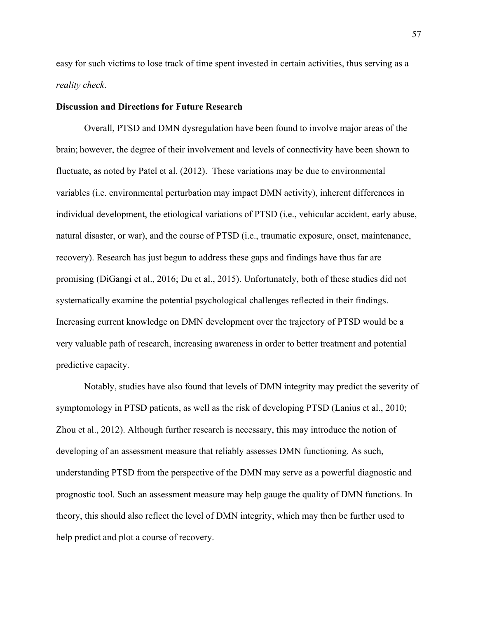easy for such victims to lose track of time spent invested in certain activities, thus serving as a *reality check*.

#### **Discussion and Directions for Future Research**

Overall, PTSD and DMN dysregulation have been found to involve major areas of the brain; however, the degree of their involvement and levels of connectivity have been shown to fluctuate, as noted by Patel et al. (2012). These variations may be due to environmental variables (i.e. environmental perturbation may impact DMN activity), inherent differences in individual development, the etiological variations of PTSD (i.e., vehicular accident, early abuse, natural disaster, or war), and the course of PTSD (i.e., traumatic exposure, onset, maintenance, recovery). Research has just begun to address these gaps and findings have thus far are promising (DiGangi et al., 2016; Du et al., 2015). Unfortunately, both of these studies did not systematically examine the potential psychological challenges reflected in their findings. Increasing current knowledge on DMN development over the trajectory of PTSD would be a very valuable path of research, increasing awareness in order to better treatment and potential predictive capacity.

Notably, studies have also found that levels of DMN integrity may predict the severity of symptomology in PTSD patients, as well as the risk of developing PTSD (Lanius et al., 2010; Zhou et al., 2012). Although further research is necessary, this may introduce the notion of developing of an assessment measure that reliably assesses DMN functioning. As such, understanding PTSD from the perspective of the DMN may serve as a powerful diagnostic and prognostic tool. Such an assessment measure may help gauge the quality of DMN functions. In theory, this should also reflect the level of DMN integrity, which may then be further used to help predict and plot a course of recovery.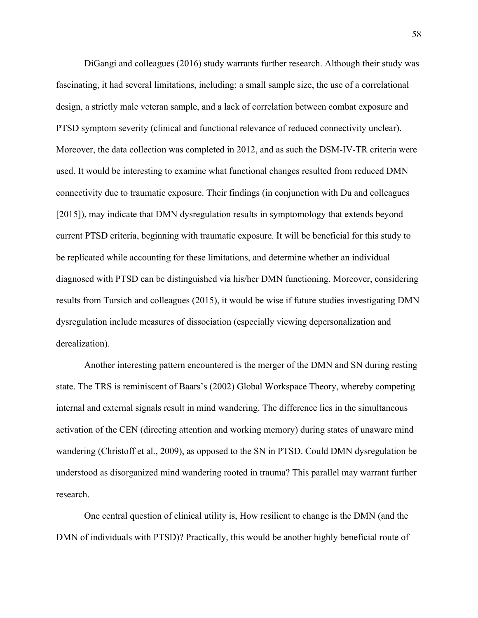DiGangi and colleagues (2016) study warrants further research. Although their study was fascinating, it had several limitations, including: a small sample size, the use of a correlational design, a strictly male veteran sample, and a lack of correlation between combat exposure and PTSD symptom severity (clinical and functional relevance of reduced connectivity unclear). Moreover, the data collection was completed in 2012, and as such the DSM-IV-TR criteria were used. It would be interesting to examine what functional changes resulted from reduced DMN connectivity due to traumatic exposure. Their findings (in conjunction with Du and colleagues [2015]), may indicate that DMN dysregulation results in symptomology that extends beyond current PTSD criteria, beginning with traumatic exposure. It will be beneficial for this study to be replicated while accounting for these limitations, and determine whether an individual diagnosed with PTSD can be distinguished via his/her DMN functioning. Moreover, considering results from Tursich and colleagues (2015), it would be wise if future studies investigating DMN dysregulation include measures of dissociation (especially viewing depersonalization and derealization).

Another interesting pattern encountered is the merger of the DMN and SN during resting state. The TRS is reminiscent of Baars's (2002) Global Workspace Theory, whereby competing internal and external signals result in mind wandering. The difference lies in the simultaneous activation of the CEN (directing attention and working memory) during states of unaware mind wandering (Christoff et al., 2009), as opposed to the SN in PTSD. Could DMN dysregulation be understood as disorganized mind wandering rooted in trauma? This parallel may warrant further research.

One central question of clinical utility is, How resilient to change is the DMN (and the DMN of individuals with PTSD)? Practically, this would be another highly beneficial route of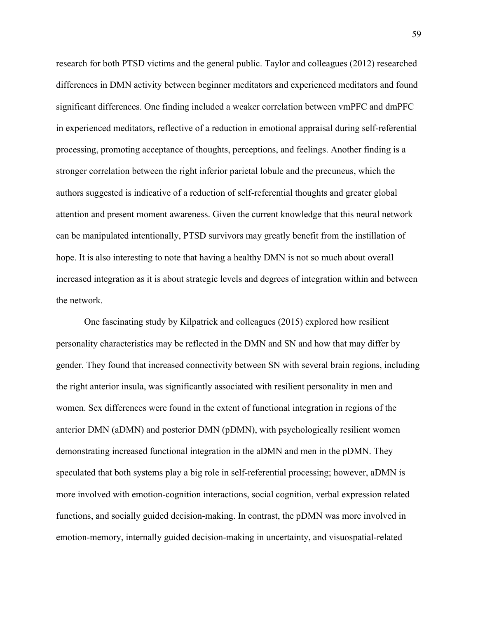research for both PTSD victims and the general public. Taylor and colleagues (2012) researched differences in DMN activity between beginner meditators and experienced meditators and found significant differences. One finding included a weaker correlation between vmPFC and dmPFC in experienced meditators, reflective of a reduction in emotional appraisal during self-referential processing, promoting acceptance of thoughts, perceptions, and feelings. Another finding is a stronger correlation between the right inferior parietal lobule and the precuneus, which the authors suggested is indicative of a reduction of self-referential thoughts and greater global attention and present moment awareness. Given the current knowledge that this neural network can be manipulated intentionally, PTSD survivors may greatly benefit from the instillation of hope. It is also interesting to note that having a healthy DMN is not so much about overall increased integration as it is about strategic levels and degrees of integration within and between the network.

One fascinating study by Kilpatrick and colleagues (2015) explored how resilient personality characteristics may be reflected in the DMN and SN and how that may differ by gender. They found that increased connectivity between SN with several brain regions, including the right anterior insula, was significantly associated with resilient personality in men and women. Sex differences were found in the extent of functional integration in regions of the anterior DMN (aDMN) and posterior DMN (pDMN), with psychologically resilient women demonstrating increased functional integration in the aDMN and men in the pDMN. They speculated that both systems play a big role in self-referential processing; however, aDMN is more involved with emotion-cognition interactions, social cognition, verbal expression related functions, and socially guided decision-making. In contrast, the pDMN was more involved in emotion-memory, internally guided decision-making in uncertainty, and visuospatial-related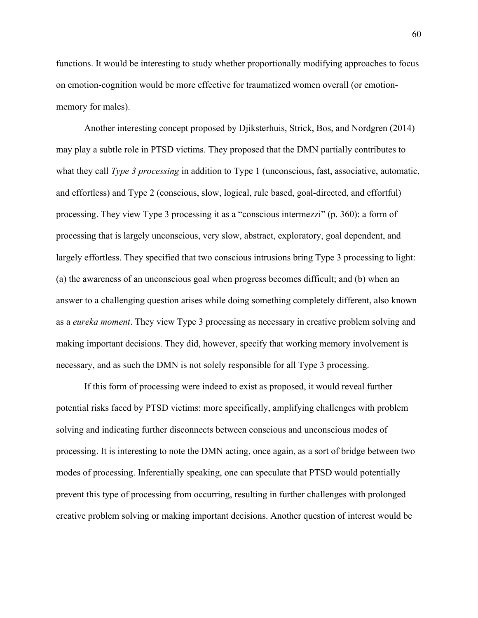functions. It would be interesting to study whether proportionally modifying approaches to focus on emotion-cognition would be more effective for traumatized women overall (or emotionmemory for males).

Another interesting concept proposed by Djiksterhuis, Strick, Bos, and Nordgren (2014) may play a subtle role in PTSD victims. They proposed that the DMN partially contributes to what they call *Type 3 processing* in addition to Type 1 (unconscious, fast, associative, automatic, and effortless) and Type 2 (conscious, slow, logical, rule based, goal-directed, and effortful) processing. They view Type 3 processing it as a "conscious intermezzi" (p. 360): a form of processing that is largely unconscious, very slow, abstract, exploratory, goal dependent, and largely effortless. They specified that two conscious intrusions bring Type 3 processing to light: (a) the awareness of an unconscious goal when progress becomes difficult; and (b) when an answer to a challenging question arises while doing something completely different, also known as a *eureka moment*. They view Type 3 processing as necessary in creative problem solving and making important decisions. They did, however, specify that working memory involvement is necessary, and as such the DMN is not solely responsible for all Type 3 processing.

If this form of processing were indeed to exist as proposed, it would reveal further potential risks faced by PTSD victims: more specifically, amplifying challenges with problem solving and indicating further disconnects between conscious and unconscious modes of processing. It is interesting to note the DMN acting, once again, as a sort of bridge between two modes of processing. Inferentially speaking, one can speculate that PTSD would potentially prevent this type of processing from occurring, resulting in further challenges with prolonged creative problem solving or making important decisions. Another question of interest would be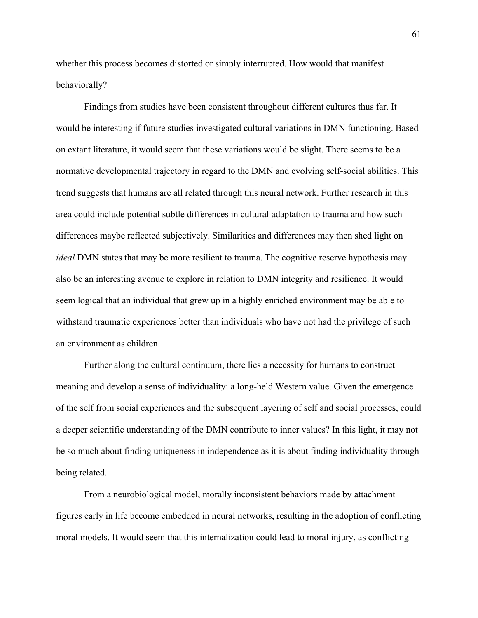whether this process becomes distorted or simply interrupted. How would that manifest behaviorally?

Findings from studies have been consistent throughout different cultures thus far. It would be interesting if future studies investigated cultural variations in DMN functioning. Based on extant literature, it would seem that these variations would be slight. There seems to be a normative developmental trajectory in regard to the DMN and evolving self-social abilities. This trend suggests that humans are all related through this neural network. Further research in this area could include potential subtle differences in cultural adaptation to trauma and how such differences maybe reflected subjectively. Similarities and differences may then shed light on *ideal* DMN states that may be more resilient to trauma. The cognitive reserve hypothesis may also be an interesting avenue to explore in relation to DMN integrity and resilience. It would seem logical that an individual that grew up in a highly enriched environment may be able to withstand traumatic experiences better than individuals who have not had the privilege of such an environment as children.

Further along the cultural continuum, there lies a necessity for humans to construct meaning and develop a sense of individuality: a long-held Western value. Given the emergence of the self from social experiences and the subsequent layering of self and social processes, could a deeper scientific understanding of the DMN contribute to inner values? In this light, it may not be so much about finding uniqueness in independence as it is about finding individuality through being related.

From a neurobiological model, morally inconsistent behaviors made by attachment figures early in life become embedded in neural networks, resulting in the adoption of conflicting moral models. It would seem that this internalization could lead to moral injury, as conflicting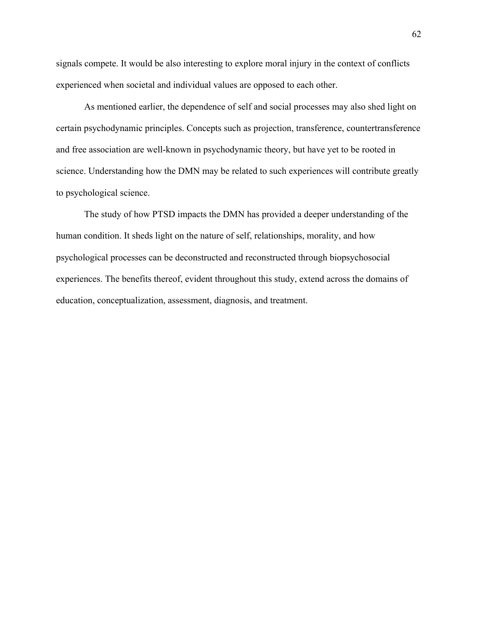signals compete. It would be also interesting to explore moral injury in the context of conflicts experienced when societal and individual values are opposed to each other.

As mentioned earlier, the dependence of self and social processes may also shed light on certain psychodynamic principles. Concepts such as projection, transference, countertransference and free association are well-known in psychodynamic theory, but have yet to be rooted in science. Understanding how the DMN may be related to such experiences will contribute greatly to psychological science.

The study of how PTSD impacts the DMN has provided a deeper understanding of the human condition. It sheds light on the nature of self, relationships, morality, and how psychological processes can be deconstructed and reconstructed through biopsychosocial experiences. The benefits thereof, evident throughout this study, extend across the domains of education, conceptualization, assessment, diagnosis, and treatment.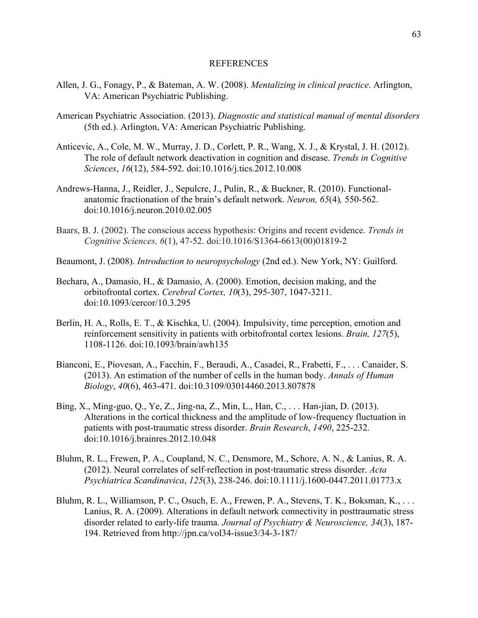## REFERENCES

- Allen, J. G., Fonagy, P., & Bateman, A. W. (2008). *Mentalizing in clinical practice*. Arlington, VA: American Psychiatric Publishing.
- American Psychiatric Association. (2013). *Diagnostic and statistical manual of mental disorders* (5th ed.). Arlington, VA: American Psychiatric Publishing.
- Anticevic, A., Cole, M. W., Murray, J. D., Corlett, P. R., Wang, X. J., & Krystal, J. H. (2012). The role of default network deactivation in cognition and disease. *Trends in Cognitive Sciences*, *16*(12), 584-592. doi:10.1016/j.tics.2012.10.008
- Andrews-Hanna, J., Reidler, J., Sepulcre, J., Pulin, R., & Buckner, R. (2010). Functionalanatomic fractionation of the brain's default network. *Neuron, 65*(4)*,* 550-562. doi:10.1016/j.neuron.2010.02.005
- Baars, B. J. (2002). The conscious access hypothesis: Origins and recent evidence. *Trends in Cognitive Sciences, 6*(1), 47-52. doi:10.1016/S1364-6613(00)01819-2
- Beaumont, J. (2008). *Introduction to neuropsychology* (2nd ed.). New York, NY: Guilford*.*
- Bechara, A., Damasio, H., & Damasio, A. (2000). Emotion, decision making, and the orbitofrontal cortex. *Cerebral Cortex, 10*(3), 295-307, 1047-3211. doi:10.1093/cercor/10.3.295
- Berlin, H. A., Rolls, E. T., & Kischka, U. (2004). Impulsivity, time perception, emotion and reinforcement sensitivity in patients with orbitofrontal cortex lesions. *Brain, 127*(5), 1108-1126. doi:10.1093/brain/awh135
- Bianconi, E., Piovesan, A., Facchin, F., Beraudi, A., Casadei, R., Frabetti, F., . . . Canaider, S. (2013). An estimation of the number of cells in the human body. *Annals of Human Biology*, *40*(6), 463-471. doi:10.3109/03014460.2013.807878
- Bing, X., Ming-guo, Q., Ye, Z., Jing-na, Z., Min, L., Han, C., . . . Han-jian, D. (2013). Alterations in the cortical thickness and the amplitude of low-frequency fluctuation in patients with post-traumatic stress disorder. *Brain Research*, *1490*, 225-232. doi:10.1016/j.brainres.2012.10.048
- Bluhm, R. L., Frewen, P. A., Coupland, N. C., Densmore, M., Schore, A. N., & Lanius, R. A. (2012). Neural correlates of self‐reflection in post‐traumatic stress disorder. *Acta Psychiatrica Scandinavica*, *125*(3), 238-246. doi:10.1111/j.1600-0447.2011.01773.x
- Bluhm, R. L., Williamson, P. C., Osuch, E. A., Frewen, P. A., Stevens, T. K., Boksman, K., ... Lanius, R. A. (2009). Alterations in default network connectivity in posttraumatic stress disorder related to early-life trauma. *Journal of Psychiatry & Neuroscience, 34*(3), 187- 194. Retrieved from http://jpn.ca/vol34-issue3/34-3-187/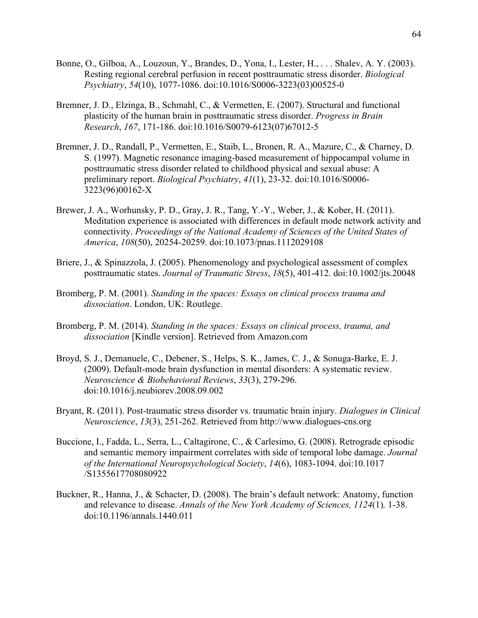- Bonne, O., Gilboa, A., Louzoun, Y., Brandes, D., Yona, I., Lester, H., . . . Shalev, A. Y. (2003). Resting regional cerebral perfusion in recent posttraumatic stress disorder. *Biological Psychiatry*, *54*(10), 1077-1086. doi:10.1016/S0006-3223(03)00525-0
- Bremner, J. D., Elzinga, B., Schmahl, C., & Vermetten, E. (2007). Structural and functional plasticity of the human brain in posttraumatic stress disorder. *Progress in Brain Research*, *167*, 171-186. doi:10.1016/S0079-6123(07)67012-5
- Bremner, J. D., Randall, P., Vermetten, E., Staib, L., Bronen, R. A., Mazure, C., & Charney, D. S. (1997). Magnetic resonance imaging-based measurement of hippocampal volume in posttraumatic stress disorder related to childhood physical and sexual abuse: A preliminary report. *Biological Psychiatry*, *41*(1), 23-32. doi:10.1016/S0006- 3223(96)00162-X
- Brewer, J. A., Worhunsky, P. D., Gray, J. R., Tang, Y.-Y., Weber, J., & Kober, H. (2011). Meditation experience is associated with differences in default mode network activity and connectivity. *Proceedings of the National Academy of Sciences of the United States of America*, *108*(50), 20254-20259. doi:10.1073/pnas.1112029108
- Briere, J., & Spinazzola, J. (2005). Phenomenology and psychological assessment of complex posttraumatic states. *Journal of Traumatic Stress*, *18*(5), 401-412. doi:10.1002/jts.20048
- Bromberg, P. M. (2001). *Standing in the spaces: Essays on clinical process trauma and dissociation*. London, UK: Routlege.
- Bromberg, P. M. (2014). *Standing in the spaces: Essays on clinical process, trauma, and dissociation* [Kindle version]. Retrieved from Amazon.com
- Broyd, S. J., Demanuele, C., Debener, S., Helps, S. K., James, C. J., & Sonuga-Barke, E. J. (2009). Default-mode brain dysfunction in mental disorders: A systematic review. *Neuroscience & Biobehavioral Reviews*, *33*(3), 279-296. doi:10.1016/j.neubiorev.2008.09.002
- Bryant, R. (2011). Post-traumatic stress disorder vs. traumatic brain injury. *Dialogues in Clinical Neuroscience*, *13*(3), 251-262. Retrieved from http://www.dialogues-cns.org
- Buccione, I., Fadda, L., Serra, L., Caltagirone, C., & Carlesimo, G. (2008). Retrograde episodic and semantic memory impairment correlates with side of temporal lobe damage. *Journal of the International Neuropsychological Society*, *14*(6), 1083-1094. doi:10.1017 /S1355617708080922
- Buckner, R., Hanna, J., & Schacter, D. (2008). The brain's default network: Anatomy, function and relevance to disease. *Annals of the New York Academy of Sciences, 1124*(1)*,* 1-38. doi:10.1196/annals.1440.011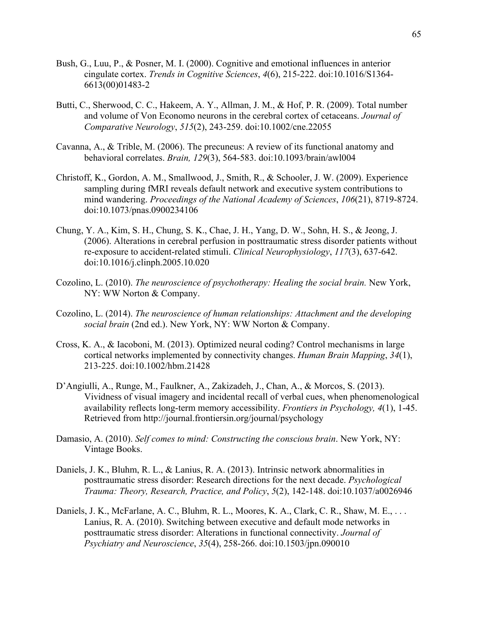- Bush, G., Luu, P., & Posner, M. I. (2000). Cognitive and emotional influences in anterior cingulate cortex. *Trends in Cognitive Sciences*, *4*(6), 215-222. doi:10.1016/S1364- 6613(00)01483-2
- Butti, C., Sherwood, C. C., Hakeem, A. Y., Allman, J. M., & Hof, P. R. (2009). Total number and volume of Von Economo neurons in the cerebral cortex of cetaceans. *Journal of Comparative Neurology*, *515*(2), 243-259. doi:10.1002/cne.22055
- Cavanna, A., & Trible, M. (2006). The precuneus: A review of its functional anatomy and behavioral correlates. *Brain, 129*(3), 564-583. doi:10.1093/brain/awl004
- Christoff, K., Gordon, A. M., Smallwood, J., Smith, R., & Schooler, J. W. (2009). Experience sampling during fMRI reveals default network and executive system contributions to mind wandering. *Proceedings of the National Academy of Sciences*, *106*(21), 8719-8724. doi:10.1073/pnas.0900234106
- Chung, Y. A., Kim, S. H., Chung, S. K., Chae, J. H., Yang, D. W., Sohn, H. S., & Jeong, J. (2006). Alterations in cerebral perfusion in posttraumatic stress disorder patients without re-exposure to accident-related stimuli. *Clinical Neurophysiology*, *117*(3), 637-642. doi:10.1016/j.clinph.2005.10.020
- Cozolino, L. (2010). *The neuroscience of psychotherapy: Healing the social brain.* New York, NY: WW Norton & Company.
- Cozolino, L. (2014). *The neuroscience of human relationships: Attachment and the developing social brain* (2nd ed.). New York, NY: WW Norton & Company.
- Cross, K. A., & Iacoboni, M. (2013). Optimized neural coding? Control mechanisms in large cortical networks implemented by connectivity changes. *Human Brain Mapping*, *34*(1), 213-225. doi:10.1002/hbm.21428
- D'Angiulli, A., Runge, M., Faulkner, A., Zakizadeh, J., Chan, A., & Morcos, S. (2013). Vividness of visual imagery and incidental recall of verbal cues, when phenomenological availability reflects long-term memory accessibility. *Frontiers in Psychology, 4*(1), 1-45. Retrieved from http://journal.frontiersin.org/journal/psychology
- Damasio, A. (2010). *Self comes to mind: Constructing the conscious brain*. New York, NY: Vintage Books.
- Daniels, J. K., Bluhm, R. L., & Lanius, R. A. (2013). Intrinsic network abnormalities in posttraumatic stress disorder: Research directions for the next decade. *Psychological Trauma: Theory, Research, Practice, and Policy*, *5*(2), 142-148. doi:10.1037/a0026946
- Daniels, J. K., McFarlane, A. C., Bluhm, R. L., Moores, K. A., Clark, C. R., Shaw, M. E., ... Lanius, R. A. (2010). Switching between executive and default mode networks in posttraumatic stress disorder: Alterations in functional connectivity. *Journal of Psychiatry and Neuroscience*, *35*(4), 258-266. doi:10.1503/jpn.090010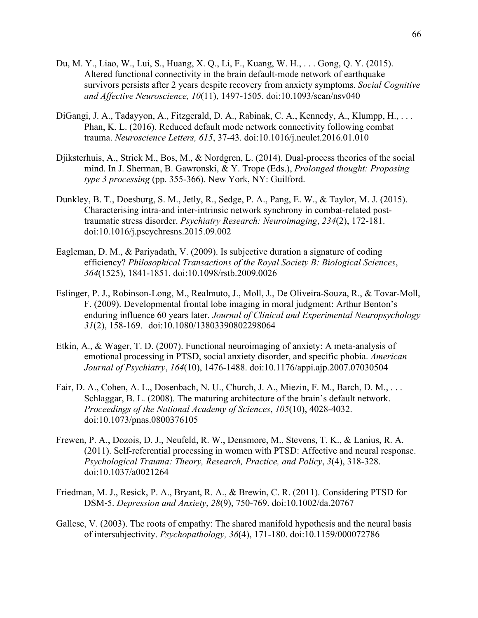- Du, M. Y., Liao, W., Lui, S., Huang, X. Q., Li, F., Kuang, W. H., . . . Gong, Q. Y. (2015). Altered functional connectivity in the brain default-mode network of earthquake survivors persists after 2 years despite recovery from anxiety symptoms. *Social Cognitive and Affective Neuroscience, 10*(11), 1497-1505. doi:10.1093/scan/nsv040
- DiGangi, J. A., Tadayyon, A., Fitzgerald, D. A., Rabinak, C. A., Kennedy, A., Klumpp, H., . . . Phan, K. L. (2016). Reduced default mode network connectivity following combat trauma. *Neuroscience Letters, 615*, 37-43. doi:10.1016/j.neulet.2016.01.010
- Djiksterhuis, A., Strick M., Bos, M., & Nordgren, L. (2014). Dual-process theories of the social mind. In J. Sherman, B. Gawronski, & Y. Trope (Eds.), *Prolonged thought: Proposing type 3 processing* (pp. 355-366). New York, NY: Guilford.
- Dunkley, B. T., Doesburg, S. M., Jetly, R., Sedge, P. A., Pang, E. W., & Taylor, M. J. (2015). Characterising intra-and inter-intrinsic network synchrony in combat-related posttraumatic stress disorder. *Psychiatry Research: Neuroimaging*, *234*(2), 172-181. doi:10.1016/j.pscychresns.2015.09.002
- Eagleman, D. M., & Pariyadath, V. (2009). Is subjective duration a signature of coding efficiency? *Philosophical Transactions of the Royal Society B: Biological Sciences*, *364*(1525), 1841-1851. doi:10.1098/rstb.2009.0026
- Eslinger, P. J., Robinson-Long, M., Realmuto, J., Moll, J., De Oliveira-Souza, R., & Tovar-Moll, F. (2009). Developmental frontal lobe imaging in moral judgment: Arthur Benton's enduring influence 60 years later. *Journal of Clinical and Experimental Neuropsychology 31*(2), 158-169. doi:10.1080/13803390802298064
- Etkin, A., & Wager, T. D. (2007). Functional neuroimaging of anxiety: A meta-analysis of emotional processing in PTSD, social anxiety disorder, and specific phobia. *American Journal of Psychiatry*, *164*(10), 1476-1488. doi:10.1176/appi.ajp.2007.07030504
- Fair, D. A., Cohen, A. L., Dosenbach, N. U., Church, J. A., Miezin, F. M., Barch, D. M., . . . Schlaggar, B. L. (2008). The maturing architecture of the brain's default network. *Proceedings of the National Academy of Sciences*, *105*(10), 4028-4032. doi:10.1073/pnas.0800376105
- Frewen, P. A., Dozois, D. J., Neufeld, R. W., Densmore, M., Stevens, T. K., & Lanius, R. A. (2011). Self-referential processing in women with PTSD: Affective and neural response. *Psychological Trauma: Theory, Research, Practice, and Policy*, *3*(4), 318-328. doi:10.1037/a0021264
- Friedman, M. J., Resick, P. A., Bryant, R. A., & Brewin, C. R. (2011). Considering PTSD for DSM‐5. *Depression and Anxiety*, *28*(9), 750-769. doi:10.1002/da.20767
- Gallese, V. (2003). The roots of empathy: The shared manifold hypothesis and the neural basis of intersubjectivity. *Psychopathology, 36*(4), 171-180. doi:10.1159/000072786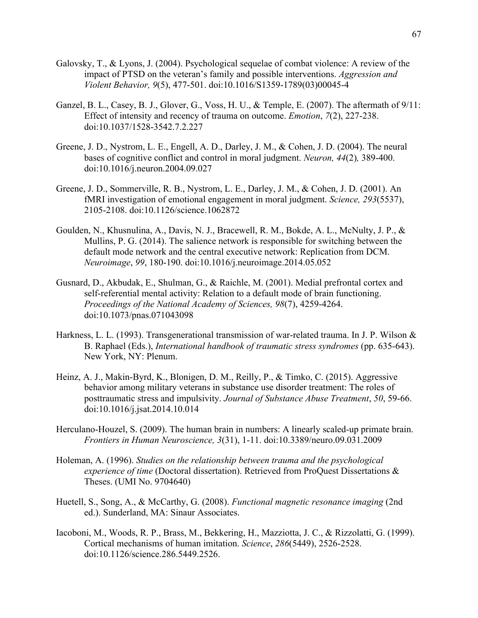- Galovsky, T., & Lyons, J. (2004). Psychological sequelae of combat violence: A review of the impact of PTSD on the veteran's family and possible interventions. *Aggression and Violent Behavior, 9*(5), 477-501. doi:10.1016/S1359-1789(03)00045-4
- Ganzel, B. L., Casey, B. J., Glover, G., Voss, H. U., & Temple, E. (2007). The aftermath of 9/11: Effect of intensity and recency of trauma on outcome. *Emotion*, *7*(2), 227-238. doi:10.1037/1528-3542.7.2.227
- Greene, J. D., Nystrom, L. E., Engell, A. D., Darley, J. M., & Cohen, J. D. (2004). The neural bases of cognitive conflict and control in moral judgment. *Neuron, 44*(2)*,* 389-400. doi:10.1016/j.neuron.2004.09.027
- Greene, J. D., Sommerville, R. B., Nystrom, L. E., Darley, J. M., & Cohen, J. D. (2001). An fMRI investigation of emotional engagement in moral judgment. *Science, 293*(5537), 2105-2108. doi:10.1126/science.1062872
- Goulden, N., Khusnulina, A., Davis, N. J., Bracewell, R. M., Bokde, A. L., McNulty, J. P., & Mullins, P. G. (2014). The salience network is responsible for switching between the default mode network and the central executive network: Replication from DCM. *Neuroimage*, *99*, 180-190. doi:10.1016/j.neuroimage.2014.05.052
- Gusnard, D., Akbudak, E., Shulman, G., & Raichle, M. (2001). Medial prefrontal cortex and self-referential mental activity: Relation to a default mode of brain functioning. *Proceedings of the National Academy of Sciences, 98*(7), 4259-4264. doi:10.1073/pnas.071043098
- Harkness, L. L. (1993). Transgenerational transmission of war-related trauma. In J. P. Wilson & B. Raphael (Eds.), *International handbook of traumatic stress syndromes* (pp. 635-643). New York, NY: Plenum.
- Heinz, A. J., Makin-Byrd, K., Blonigen, D. M., Reilly, P., & Timko, C. (2015). Aggressive behavior among military veterans in substance use disorder treatment: The roles of posttraumatic stress and impulsivity. *Journal of Substance Abuse Treatment*, *50*, 59-66. doi:10.1016/j.jsat.2014.10.014
- Herculano-Houzel, S. (2009). The human brain in numbers: A linearly scaled-up primate brain. *Frontiers in Human Neuroscience, 3*(31), 1-11. doi:10.3389/neuro.09.031.2009
- Holeman, A. (1996). *Studies on the relationship between trauma and the psychological experience of time* (Doctoral dissertation). Retrieved from ProQuest Dissertations & Theses. (UMI No. 9704640)
- Huetell, S., Song, A., & McCarthy, G. (2008). *Functional magnetic resonance imaging* (2nd ed.). Sunderland, MA: Sinaur Associates.
- Iacoboni, M., Woods, R. P., Brass, M., Bekkering, H., Mazziotta, J. C., & Rizzolatti, G. (1999). Cortical mechanisms of human imitation. *Science*, *286*(5449), 2526-2528. doi:10.1126/science.286.5449.2526.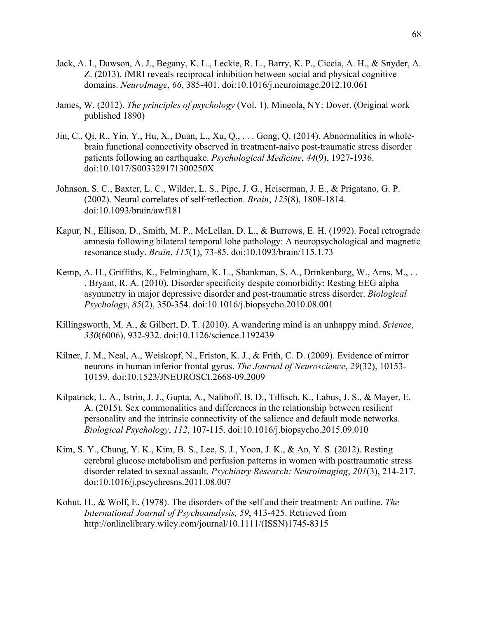- Jack, A. I., Dawson, A. J., Begany, K. L., Leckie, R. L., Barry, K. P., Ciccia, A. H., & Snyder, A. Z. (2013). fMRI reveals reciprocal inhibition between social and physical cognitive domains. *NeuroImage*, *66*, 385-401. doi:10.1016/j.neuroimage.2012.10.061
- James, W. (2012). *The principles of psychology* (Vol. 1). Mineola, NY: Dover. (Original work published 1890)
- Jin, C., Qi, R., Yin, Y., Hu, X., Duan, L., Xu, Q., . . . Gong, Q. (2014). Abnormalities in wholebrain functional connectivity observed in treatment-naive post-traumatic stress disorder patients following an earthquake. *Psychological Medicine*, *44*(9), 1927-1936. doi:10.1017/S003329171300250X
- Johnson, S. C., Baxter, L. C., Wilder, L. S., Pipe, J. G., Heiserman, J. E., & Prigatano, G. P. (2002). Neural correlates of self‐reflection. *Brain*, *125*(8), 1808-1814. doi:10.1093/brain/awf181
- Kapur, N., Ellison, D., Smith, M. P., McLellan, D. L., & Burrows, E. H. (1992). Focal retrograde amnesia following bilateral temporal lobe pathology: A neuropsychological and magnetic resonance study. *Brain*, *115*(1), 73-85. doi:10.1093/brain/115.1.73
- Kemp, A. H., Griffiths, K., Felmingham, K. L., Shankman, S. A., Drinkenburg, W., Arns, M., . . . Bryant, R. A. (2010). Disorder specificity despite comorbidity: Resting EEG alpha asymmetry in major depressive disorder and post-traumatic stress disorder. *Biological Psychology*, *85*(2), 350-354. doi:10.1016/j.biopsycho.2010.08.001
- Killingsworth, M. A., & Gilbert, D. T. (2010). A wandering mind is an unhappy mind. *Science*, *330*(6006), 932-932. doi:10.1126/science.1192439
- Kilner, J. M., Neal, A., Weiskopf, N., Friston, K. J., & Frith, C. D. (2009). Evidence of mirror neurons in human inferior frontal gyrus. *The Journal of Neuroscience*, *29*(32), 10153- 10159. doi:10.1523/JNEUROSCI.2668-09.2009
- Kilpatrick, L. A., Istrin, J. J., Gupta, A., Naliboff, B. D., Tillisch, K., Labus, J. S., & Mayer, E. A. (2015). Sex commonalities and differences in the relationship between resilient personality and the intrinsic connectivity of the salience and default mode networks. *Biological Psychology*, *112*, 107-115. doi:10.1016/j.biopsycho.2015.09.010
- Kim, S. Y., Chung, Y. K., Kim, B. S., Lee, S. J., Yoon, J. K., & An, Y. S. (2012). Resting cerebral glucose metabolism and perfusion patterns in women with posttraumatic stress disorder related to sexual assault. *Psychiatry Research: Neuroimaging*, *201*(3), 214-217. doi:10.1016/j.pscychresns.2011.08.007
- Kohut, H., & Wolf, E. (1978). The disorders of the self and their treatment: An outline. *The International Journal of Psychoanalysis, 59*, 413-425. Retrieved from http://onlinelibrary.wiley.com/journal/10.1111/(ISSN)1745-8315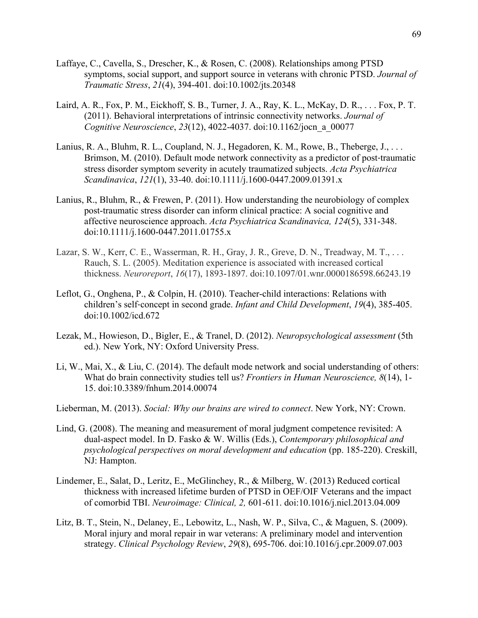- Laffaye, C., Cavella, S., Drescher, K., & Rosen, C. (2008). Relationships among PTSD symptoms, social support, and support source in veterans with chronic PTSD. *Journal of Traumatic Stress*, *21*(4), 394-401. doi:10.1002/jts.20348
- Laird, A. R., Fox, P. M., Eickhoff, S. B., Turner, J. A., Ray, K. L., McKay, D. R., . . . Fox, P. T. (2011). Behavioral interpretations of intrinsic connectivity networks. *Journal of Cognitive Neuroscience*, *23*(12), 4022-4037. doi:10.1162/jocn\_a\_00077
- Lanius, R. A., Bluhm, R. L., Coupland, N. J., Hegadoren, K. M., Rowe, B., Theberge, J., ... Brimson, M. (2010). Default mode network connectivity as a predictor of post-traumatic stress disorder symptom severity in acutely traumatized subjects. *Acta Psychiatrica Scandinavica*, *121*(1), 33-40. doi:10.1111/j.1600-0447.2009.01391.x
- Lanius, R., Bluhm, R., & Frewen, P. (2011). How understanding the neurobiology of complex post-traumatic stress disorder can inform clinical practice: A social cognitive and affective neuroscience approach. *Acta Psychiatrica Scandinavica, 124*(5), 331-348. doi:10.1111/j.1600-0447.2011.01755.x
- Lazar, S. W., Kerr, C. E., Wasserman, R. H., Gray, J. R., Greve, D. N., Treadway, M. T., . . . Rauch, S. L. (2005). Meditation experience is associated with increased cortical thickness. *Neuroreport*, *16*(17), 1893-1897. doi:10.1097/01.wnr.0000186598.66243.19
- Leflot, G., Onghena, P., & Colpin, H. (2010). Teacher-child interactions: Relations with children's self‐concept in second grade. *Infant and Child Development*, *19*(4), 385-405. doi:10.1002/icd.672
- Lezak, M., Howieson, D., Bigler, E., & Tranel, D. (2012). *Neuropsychological assessment* (5th ed.). New York, NY: Oxford University Press.
- Li, W., Mai, X., & Liu, C. (2014). The default mode network and social understanding of others: What do brain connectivity studies tell us? *Frontiers in Human Neuroscience, 8*(14), 1- 15. doi:10.3389/fnhum.2014.00074
- Lieberman, M. (2013). *Social: Why our brains are wired to connect*. New York, NY: Crown.
- Lind, G. (2008). The meaning and measurement of moral judgment competence revisited: A dual-aspect model. In D. Fasko & W. Willis (Eds.), *Contemporary philosophical and psychological perspectives on moral development and education* (pp. 185-220). Creskill, NJ: Hampton.
- Lindemer, E., Salat, D., Leritz, E., McGlinchey, R., & Milberg, W. (2013) Reduced cortical thickness with increased lifetime burden of PTSD in OEF/OIF Veterans and the impact of comorbid TBI. *Neuroimage: Clinical, 2,* 601-611. doi:10.1016/j.nicl.2013.04.009
- Litz, B. T., Stein, N., Delaney, E., Lebowitz, L., Nash, W. P., Silva, C., & Maguen, S. (2009). Moral injury and moral repair in war veterans: A preliminary model and intervention strategy. *Clinical Psychology Review*, *29*(8), 695-706. doi:10.1016/j.cpr.2009.07.003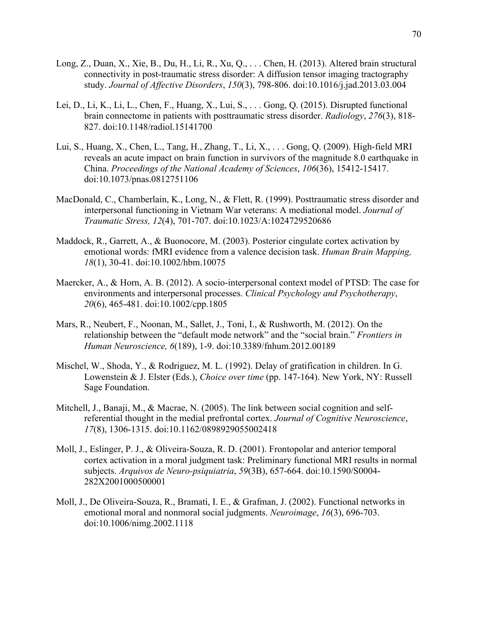- Long, Z., Duan, X., Xie, B., Du, H., Li, R., Xu, Q., . . . Chen, H. (2013). Altered brain structural connectivity in post-traumatic stress disorder: A diffusion tensor imaging tractography study. *Journal of Affective Disorders*, *150*(3), 798-806. doi:10.1016/j.jad.2013.03.004
- Lei, D., Li, K., Li, L., Chen, F., Huang, X., Lui, S., . . . Gong, Q. (2015). Disrupted functional brain connectome in patients with posttraumatic stress disorder. *Radiology*, *276*(3), 818- 827. doi:10.1148/radiol.15141700
- Lui, S., Huang, X., Chen, L., Tang, H., Zhang, T., Li, X., . . . Gong, Q. (2009). High-field MRI reveals an acute impact on brain function in survivors of the magnitude 8.0 earthquake in China. *Proceedings of the National Academy of Sciences*, *106*(36), 15412-15417. doi:10.1073/pnas.0812751106
- MacDonald, C., Chamberlain, K., Long, N., & Flett, R. (1999). Posttraumatic stress disorder and interpersonal functioning in Vietnam War veterans: A mediational model. *Journal of Traumatic Stress, 12*(4), 701-707. doi:10.1023/A:1024729520686
- Maddock, R., Garrett, A., & Buonocore, M. (2003). Posterior cingulate cortex activation by emotional words: fMRI evidence from a valence decision task. *Human Brain Mapping, 18*(1), 30-41. doi:10.1002/hbm.10075
- Maercker, A., & Horn, A. B. (2012). A socio-interpersonal context model of PTSD: The case for environments and interpersonal processes. *Clinical Psychology and Psychotherapy*, *20*(6), 465-481. doi:10.1002/cpp.1805
- Mars, R., Neubert, F., Noonan, M., Sallet, J., Toni, I., & Rushworth, M. (2012). On the relationship between the "default mode network" and the "social brain." *Frontiers in Human Neuroscience, 6*(189), 1-9. doi:10.3389/fnhum.2012.00189
- Mischel, W., Shoda, Y., & Rodriguez, M. L. (1992). Delay of gratification in children. In G. Lowenstein & J. Elster (Eds.), *Choice over time* (pp. 147-164). New York, NY: Russell Sage Foundation.
- Mitchell, J., Banaji, M., & Macrae, N. (2005). The link between social cognition and selfreferential thought in the medial prefrontal cortex. *Journal of Cognitive Neuroscience*, *17*(8), 1306-1315. doi:10.1162/0898929055002418
- Moll, J., Eslinger, P. J., & Oliveira-Souza, R. D. (2001). Frontopolar and anterior temporal cortex activation in a moral judgment task: Preliminary functional MRI results in normal subjects. *Arquivos de Neuro-psiquiatria*, *59*(3B), 657-664. doi:10.1590/S0004- 282X2001000500001
- Moll, J., De Oliveira-Souza, R., Bramati, I. E., & Grafman, J. (2002). Functional networks in emotional moral and nonmoral social judgments. *Neuroimage*, *16*(3), 696-703. doi:10.1006/nimg.2002.1118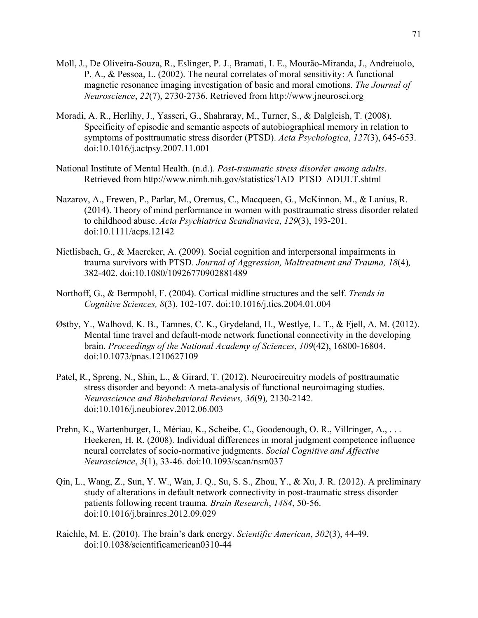- Moll, J., De Oliveira-Souza, R., Eslinger, P. J., Bramati, I. E., Mourão-Miranda, J., Andreiuolo, P. A., & Pessoa, L. (2002). The neural correlates of moral sensitivity: A functional magnetic resonance imaging investigation of basic and moral emotions. *The Journal of Neuroscience*, *22*(7), 2730-2736. Retrieved from http://www.jneurosci.org
- Moradi, A. R., Herlihy, J., Yasseri, G., Shahraray, M., Turner, S., & Dalgleish, T. (2008). Specificity of episodic and semantic aspects of autobiographical memory in relation to symptoms of posttraumatic stress disorder (PTSD). *Acta Psychologica*, *127*(3), 645-653. doi:10.1016/j.actpsy.2007.11.001
- National Institute of Mental Health. (n.d.). *Post-traumatic stress disorder among adults*. Retrieved from http://www.nimh.nih.gov/statistics/1AD\_PTSD\_ADULT.shtml
- Nazarov, A., Frewen, P., Parlar, M., Oremus, C., Macqueen, G., McKinnon, M., & Lanius, R. (2014). Theory of mind performance in women with posttraumatic stress disorder related to childhood abuse. *Acta Psychiatrica Scandinavica*, *129*(3), 193-201. doi:10.1111/acps.12142
- Nietlisbach, G., & Maercker, A. (2009). Social cognition and interpersonal impairments in trauma survivors with PTSD. *Journal of Aggression, Maltreatment and Trauma, 18*(4)*,* 382-402. doi:10.1080/10926770902881489
- Northoff, G., & Bermpohl, F. (2004). Cortical midline structures and the self. *Trends in Cognitive Sciences, 8*(3), 102-107. doi:10.1016/j.tics.2004.01.004
- Østby, Y., Walhovd, K. B., Tamnes, C. K., Grydeland, H., Westlye, L. T., & Fjell, A. M. (2012). Mental time travel and default-mode network functional connectivity in the developing brain. *Proceedings of the National Academy of Sciences*, *109*(42), 16800-16804. doi:10.1073/pnas.1210627109
- Patel, R., Spreng, N., Shin, L., & Girard, T. (2012). Neurocircuitry models of posttraumatic stress disorder and beyond: A meta-analysis of functional neuroimaging studies. *Neuroscience and Biobehavioral Reviews, 36*(9)*,* 2130-2142. doi:10.1016/j.neubiorev.2012.06.003
- Prehn, K., Wartenburger, I., Mériau, K., Scheibe, C., Goodenough, O. R., Villringer, A., ... Heekeren, H. R. (2008). Individual differences in moral judgment competence influence neural correlates of socio-normative judgments. *Social Cognitive and Affective Neuroscience*, *3*(1), 33-46. doi:10.1093/scan/nsm037
- Qin, L., Wang, Z., Sun, Y. W., Wan, J. Q., Su, S. S., Zhou, Y., & Xu, J. R. (2012). A preliminary study of alterations in default network connectivity in post-traumatic stress disorder patients following recent trauma. *Brain Research*, *1484*, 50-56. doi:10.1016/j.brainres.2012.09.029
- Raichle, M. E. (2010). The brain's dark energy. *Scientific American*, *302*(3), 44-49. doi:10.1038/scientificamerican0310-44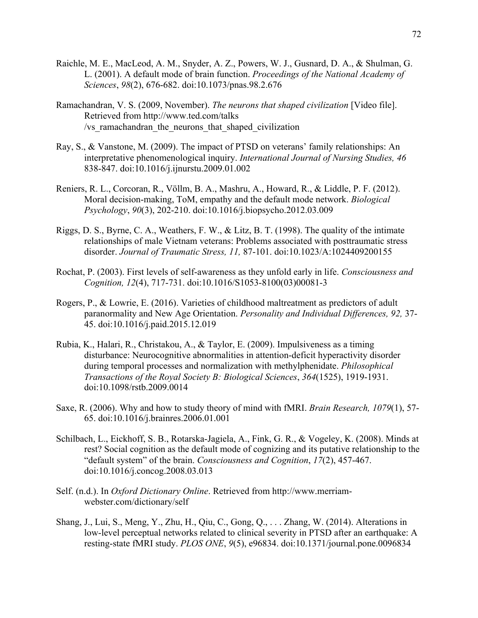- Raichle, M. E., MacLeod, A. M., Snyder, A. Z., Powers, W. J., Gusnard, D. A., & Shulman, G. L. (2001). A default mode of brain function. *Proceedings of the National Academy of Sciences*, *98*(2), 676-682. doi:10.1073/pnas.98.2.676
- Ramachandran, V. S. (2009, November). *The neurons that shaped civilization* [Video file]. Retrieved from http://www.ted.com/talks /vs ramachandran the neurons that shaped civilization
- Ray, S., & Vanstone, M. (2009). The impact of PTSD on veterans' family relationships: An interpretative phenomenological inquiry. *International Journal of Nursing Studies, 46* 838-847. doi:10.1016/j.ijnurstu.2009.01.002
- Reniers, R. L., Corcoran, R., Völlm, B. A., Mashru, A., Howard, R., & Liddle, P. F. (2012). Moral decision-making, ToM, empathy and the default mode network. *Biological Psychology*, *90*(3), 202-210. doi:10.1016/j.biopsycho.2012.03.009
- Riggs, D. S., Byrne, C. A., Weathers, F. W., & Litz, B. T. (1998). The quality of the intimate relationships of male Vietnam veterans: Problems associated with posttraumatic stress disorder. *Journal of Traumatic Stress, 11,* 87-101. doi:10.1023/A:1024409200155
- Rochat, P. (2003). First levels of self-awareness as they unfold early in life. *Consciousness and Cognition, 12*(4), 717-731. doi:10.1016/S1053-8100(03)00081-3
- Rogers, P., & Lowrie, E. (2016). Varieties of childhood maltreatment as predictors of adult paranormality and New Age Orientation. *Personality and Individual Differences, 92,* 37- 45. doi:10.1016/j.paid.2015.12.019
- Rubia, K., Halari, R., Christakou, A., & Taylor, E. (2009). Impulsiveness as a timing disturbance: Neurocognitive abnormalities in attention-deficit hyperactivity disorder during temporal processes and normalization with methylphenidate. *Philosophical Transactions of the Royal Society B: Biological Sciences*, *364*(1525), 1919-1931. doi:10.1098/rstb.2009.0014
- Saxe, R. (2006). Why and how to study theory of mind with fMRI. *Brain Research, 1079*(1), 57- 65. doi:10.1016/j.brainres.2006.01.001
- Schilbach, L., Eickhoff, S. B., Rotarska-Jagiela, A., Fink, G. R., & Vogeley, K. (2008). Minds at rest? Social cognition as the default mode of cognizing and its putative relationship to the "default system" of the brain. *Consciousness and Cognition*, *17*(2), 457-467. doi:10.1016/j.concog.2008.03.013
- Self. (n.d.). In *Oxford Dictionary Online*. Retrieved from http://www.merriamwebster.com/dictionary/self
- Shang, J., Lui, S., Meng, Y., Zhu, H., Qiu, C., Gong, Q., . . . Zhang, W. (2014). Alterations in low-level perceptual networks related to clinical severity in PTSD after an earthquake: A resting-state fMRI study. *PLOS ONE*, *9*(5), e96834. doi:10.1371/journal.pone.0096834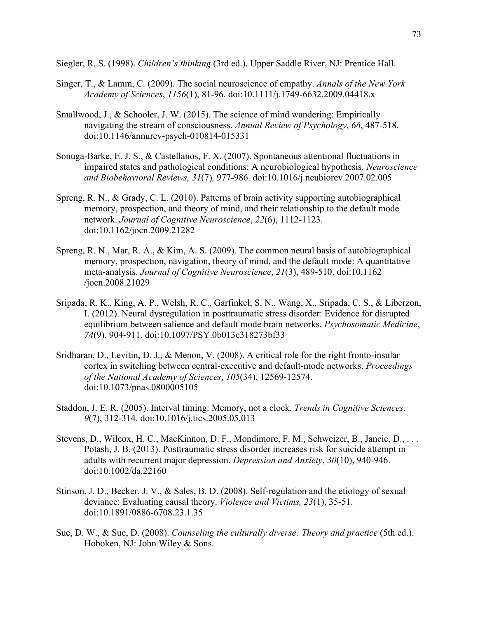Siegler, R. S. (1998). *Children's thinking* (3rd ed.). Upper Saddle River, NJ: Prentice Hall.

- Singer, T., & Lamm, C. (2009). The social neuroscience of empathy. *Annals of the New York Academy of Sciences*, *1156*(1), 81-96. doi:10.1111/j.1749-6632.2009.04418.x
- Smallwood, J., & Schooler, J. W. (2015). The science of mind wandering: Empirically navigating the stream of consciousness. *Annual Review of Psychology*, *66*, 487-518. doi:10.1146/annurev-psych-010814-015331
- Sonuga-Barke, E. J. S., & Castellanos, F. X. (2007). Spontaneous attentional fluctuations in impaired states and pathological conditions: A neurobiological hypothesis*. Neuroscience and Biobehavioral Reviews, 31*(7)*,* 977-986. doi:10.1016/j.neubiorev.2007.02.005
- Spreng, R. N., & Grady, C. L. (2010). Patterns of brain activity supporting autobiographical memory, prospection, and theory of mind, and their relationship to the default mode network. *Journal of Cognitive Neuroscience*, *22*(6), 1112-1123. doi:10.1162/jocn.2009.21282
- Spreng, R. N., Mar, R. A., & Kim, A. S. (2009). The common neural basis of autobiographical memory, prospection, navigation, theory of mind, and the default mode: A quantitative meta-analysis. *Journal of Cognitive Neuroscience*, *21*(3), 489-510. doi:10.1162 /jocn.2008.21029
- Sripada, R. K., King, A. P., Welsh, R. C., Garfinkel, S. N., Wang, X., Sripada, C. S., & Liberzon, I. (2012). Neural dysregulation in posttraumatic stress disorder: Evidence for disrupted equilibrium between salience and default mode brain networks. *Psychosomatic Medicine*, *74*(9), 904-911. doi:10.1097/PSY.0b013e318273bf33
- Sridharan, D., Levitin, D. J., & Menon, V. (2008). A critical role for the right fronto-insular cortex in switching between central-executive and default-mode networks. *Proceedings of the National Academy of Sciences*, *105*(34), 12569-12574. doi:10.1073/pnas.0800005105
- Staddon, J. E. R. (2005). Interval timing: Memory, not a clock. *Trends in Cognitive Sciences*, *9*(7), 312-314. doi:10.1016/j.tics.2005.05.013
- Stevens, D., Wilcox, H. C., MacKinnon, D. F., Mondimore, F. M., Schweizer, B., Jancic, D., . . . Potash, J. B. (2013). Posttraumatic stress disorder increases risk for suicide attempt in adults with recurrent major depression. *Depression and Anxiety*, *30*(10), 940-946. doi:10.1002/da.22160
- Stinson, J. D., Becker, J. V., & Sales, B. D. (2008). Self-regulation and the etiology of sexual deviance: Evaluating causal theory. *Violence and Victims, 23*(1), 35-51. doi:10.1891/0886-6708.23.1.35
- Sue, D. W., & Sue, D. (2008). *Counseling the culturally diverse: Theory and practice* (5th ed.). Hoboken, NJ: John Wiley & Sons.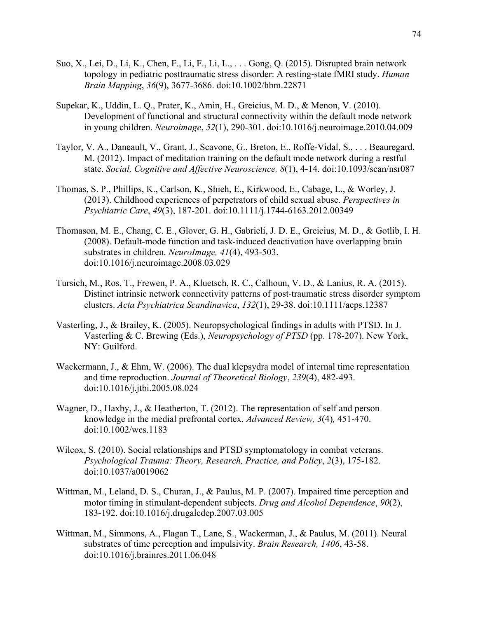- Suo, X., Lei, D., Li, K., Chen, F., Li, F., Li, L., . . . Gong, Q. (2015). Disrupted brain network topology in pediatric posttraumatic stress disorder: A resting‐state fMRI study. *Human Brain Mapping*, *36*(9), 3677-3686. doi:10.1002/hbm.22871
- Supekar, K., Uddin, L. Q., Prater, K., Amin, H., Greicius, M. D., & Menon, V. (2010). Development of functional and structural connectivity within the default mode network in young children. *Neuroimage*, *52*(1), 290-301. doi:10.1016/j.neuroimage.2010.04.009
- Taylor, V. A., Daneault, V., Grant, J., Scavone, G., Breton, E., Roffe-Vidal, S., . . . Beauregard, M. (2012). Impact of meditation training on the default mode network during a restful state. *Social, Cognitive and Affective Neuroscience, 8*(1), 4-14. doi:10.1093/scan/nsr087
- Thomas, S. P., Phillips, K., Carlson, K., Shieh, E., Kirkwood, E., Cabage, L., & Worley, J. (2013). Childhood experiences of perpetrators of child sexual abuse. *Perspectives in Psychiatric Care*, *49*(3), 187-201. doi:10.1111/j.1744-6163.2012.00349
- Thomason, M. E., Chang, C. E., Glover, G. H., Gabrieli, J. D. E., Greicius, M. D., & Gotlib, I. H. (2008). Default-mode function and task-induced deactivation have overlapping brain substrates in children. *NeuroImage, 41*(4), 493-503. doi:10.1016/j.neuroimage.2008.03.029
- Tursich, M., Ros, T., Frewen, P. A., Kluetsch, R. C., Calhoun, V. D., & Lanius, R. A. (2015). Distinct intrinsic network connectivity patterns of post-traumatic stress disorder symptom clusters. *Acta Psychiatrica Scandinavica*, *132*(1), 29-38. doi:10.1111/acps.12387
- Vasterling, J., & Brailey, K. (2005). Neuropsychological findings in adults with PTSD. In J. Vasterling & C. Brewing (Eds.), *Neuropsychology of PTSD* (pp. 178-207). New York, NY: Guilford.
- Wackermann, J., & Ehm, W. (2006). The dual klepsydra model of internal time representation and time reproduction. *Journal of Theoretical Biology*, *239*(4), 482-493. doi:10.1016/j.jtbi.2005.08.024
- Wagner, D., Haxby, J., & Heatherton, T. (2012). The representation of self and person knowledge in the medial prefrontal cortex. *Advanced Review, 3*(4)*,* 451-470. doi:10.1002/wcs.1183
- Wilcox, S. (2010). Social relationships and PTSD symptomatology in combat veterans. *Psychological Trauma: Theory, Research, Practice, and Policy*, *2*(3), 175-182. doi:10.1037/a0019062
- Wittman, M., Leland, D. S., Churan, J., & Paulus, M. P. (2007). Impaired time perception and motor timing in stimulant-dependent subjects. *Drug and Alcohol Dependence*, *90*(2), 183-192. doi:10.1016/j.drugalcdep.2007.03.005
- Wittman, M., Simmons, A., Flagan T., Lane, S., Wackerman, J., & Paulus, M. (2011). Neural substrates of time perception and impulsivity. *Brain Research, 1406*, 43-58. doi:10.1016/j.brainres.2011.06.048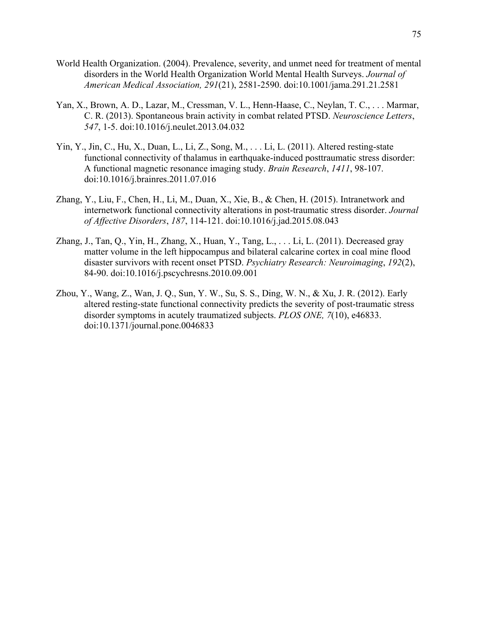- World Health Organization. (2004). Prevalence, severity, and unmet need for treatment of mental disorders in the World Health Organization World Mental Health Surveys. *Journal of American Medical Association, 291*(21), 2581-2590. doi:10.1001/jama.291.21.2581
- Yan, X., Brown, A. D., Lazar, M., Cressman, V. L., Henn-Haase, C., Neylan, T. C., . . . Marmar, C. R. (2013). Spontaneous brain activity in combat related PTSD. *Neuroscience Letters*, *547*, 1-5. doi:10.1016/j.neulet.2013.04.032
- Yin, Y., Jin, C., Hu, X., Duan, L., Li, Z., Song, M., . . . Li, L. (2011). Altered resting-state functional connectivity of thalamus in earthquake-induced posttraumatic stress disorder: A functional magnetic resonance imaging study. *Brain Research*, *1411*, 98-107. doi:10.1016/j.brainres.2011.07.016
- Zhang, Y., Liu, F., Chen, H., Li, M., Duan, X., Xie, B., & Chen, H. (2015). Intranetwork and internetwork functional connectivity alterations in post-traumatic stress disorder. *Journal of Affective Disorders*, *187*, 114-121. doi:10.1016/j.jad.2015.08.043
- Zhang, J., Tan, Q., Yin, H., Zhang, X., Huan, Y., Tang, L., . . . Li, L. (2011). Decreased gray matter volume in the left hippocampus and bilateral calcarine cortex in coal mine flood disaster survivors with recent onset PTSD. *Psychiatry Research: Neuroimaging*, *192*(2), 84-90. doi:10.1016/j.pscychresns.2010.09.001
- Zhou, Y., Wang, Z., Wan, J. Q., Sun, Y. W., Su, S. S., Ding, W. N., & Xu, J. R. (2012). Early altered resting-state functional connectivity predicts the severity of post-traumatic stress disorder symptoms in acutely traumatized subjects. *PLOS ONE, 7*(10), e46833. doi:10.1371/journal.pone.0046833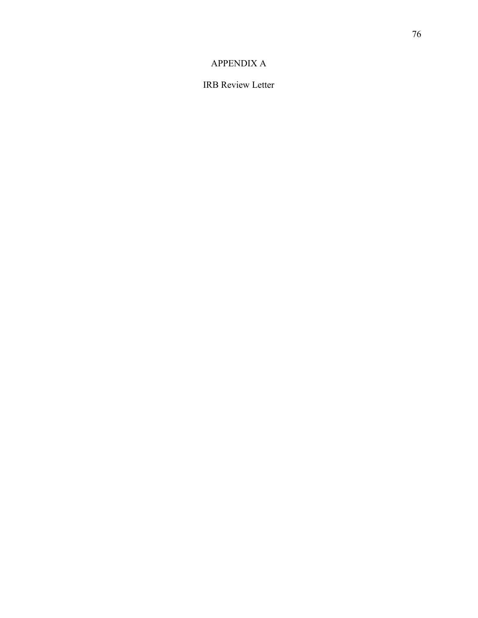## APPENDIX A

IRB Review Letter